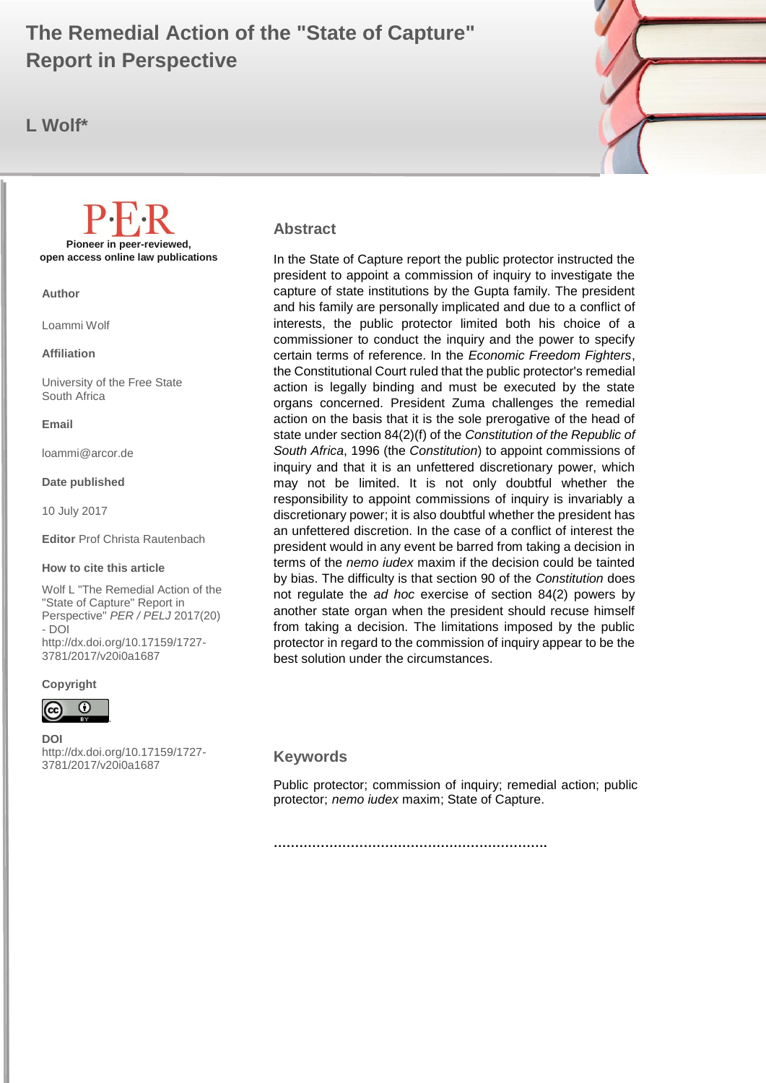# **Report in Perspective and all and all 2017 (20) 12:30 The Perspective Adventurer of Adventurer and Adventurer The Remedial Action of the "State of Capture"**

**L Wolf\***



#### **Abstract**

In the State of Capture report the public protector instructed the president to appoint a commission of inquiry to investigate the capture of state institutions by the Gupta family. The president and his family are personally implicated and due to a conflict of interests, the public protector limited both his choice of a commissioner to conduct the inquiry and the power to specify certain terms of reference. In the *Economic Freedom Fighters*, the Constitutional Court ruled that the public protector's remedial action is legally binding and must be executed by the state organs concerned. President Zuma challenges the remedial action on the basis that it is the sole prerogative of the head of state under section 84(2)(f) of the *Constitution of the Republic of South Africa*, 1996 (the *Constitution*) to appoint commissions of inquiry and that it is an unfettered discretionary power, which may not be limited. It is not only doubtful whether the responsibility to appoint commissions of inquiry is invariably a discretionary power; it is also doubtful whether the president has an unfettered discretion. In the case of a conflict of interest the president would in any event be barred from taking a decision in terms of the *nemo iudex* maxim if the decision could be tainted by bias. The difficulty is that section 90 of the *Constitution* does not regulate the *ad hoc* exercise of section 84(2) powers by another state organ when the president should recuse himself from taking a decision. The limitations imposed by the public protector in regard to the commission of inquiry appear to be the best solution under the circumstances.

#### **Keywords**

Public protector; commission of inquiry; remedial action; public protector; *nemo iudex* maxim; State of Capture.

**Pioneer in peer-reviewed, open access online law publications**

**Author**

Loammi Wolf

**Affiliation**

University of the Free State South Africa

**Email**

loammi@arcor.de

#### **Date published**

10 July 2017

**Editor** Prof Christa Rautenbach

#### **How to cite this article**

Wolf L "The Remedial Action of the "State of Capture" Report in Perspective" *PER / PELJ* 2017(20) - DOI http://dx.doi.org/10.17159/1727- 3781/2017/v20i0[a1687](http://journals.assaf.org.za/index.php/per/editor/submission/1160)

#### **Copyright**



**DOI**  http://dx.doi.org/10.17159/1727- 3781/2017/v20i0[a1687](http://journals.assaf.org.za/index.php/per/editor/submission/1160)

.

**……………………………………………………….**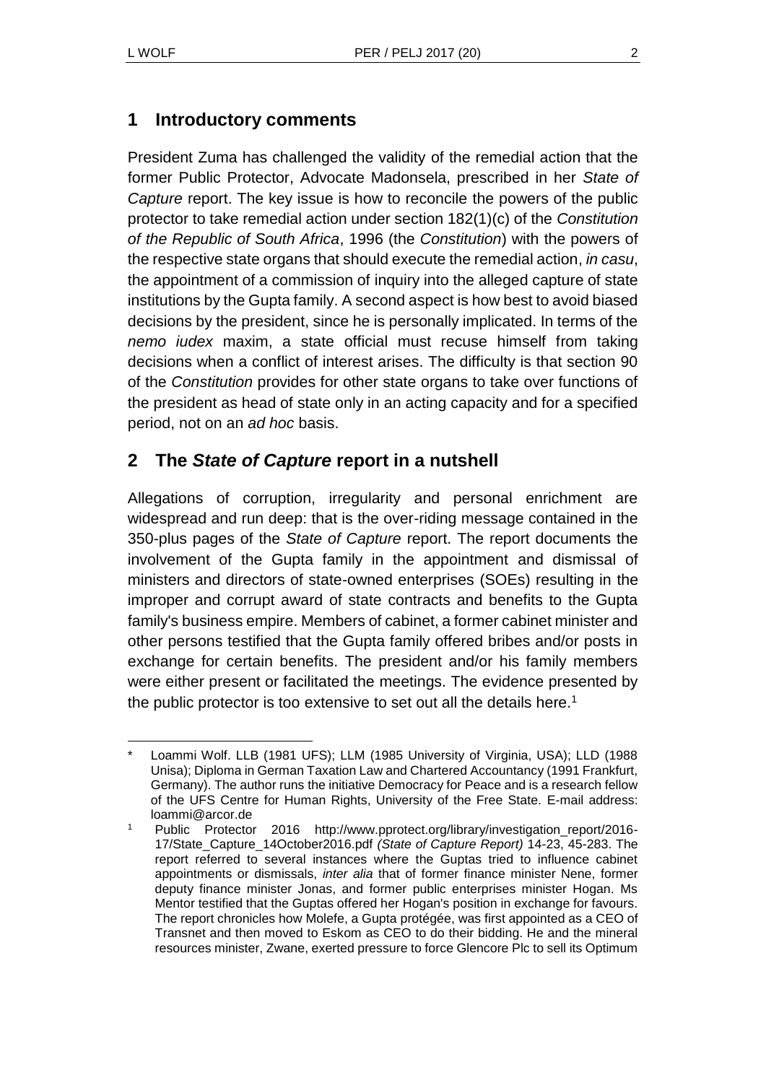# **1 Introductory comments**

President Zuma has challenged the validity of the remedial action that the former Public Protector, Advocate Madonsela, prescribed in her *State of Capture* report. The key issue is how to reconcile the powers of the public protector to take remedial action under section 182(1)(c) of the *Constitution of the Republic of South Africa*, 1996 (the *Constitution*) with the powers of the respective state organs that should execute the remedial action, *in casu*, the appointment of a commission of inquiry into the alleged capture of state institutions by the Gupta family. A second aspect is how best to avoid biased decisions by the president, since he is personally implicated. In terms of the *nemo iudex* maxim, a state official must recuse himself from taking decisions when a conflict of interest arises. The difficulty is that section 90 of the *Constitution* provides for other state organs to take over functions of the president as head of state only in an acting capacity and for a specified period, not on an *ad hoc* basis.

# **2 The** *State of Capture* **report in a nutshell**

Allegations of corruption, irregularity and personal enrichment are widespread and run deep: that is the over-riding message contained in the 350-plus pages of the *State of Capture* report. The report documents the involvement of the Gupta family in the appointment and dismissal of ministers and directors of state-owned enterprises (SOEs) resulting in the improper and corrupt award of state contracts and benefits to the Gupta family's business empire. Members of cabinet, a former cabinet minister and other persons testified that the Gupta family offered bribes and/or posts in exchange for certain benefits. The president and/or his family members were either present or facilitated the meetings. The evidence presented by the public protector is too extensive to set out all the details here.<sup>1</sup>

l Loammi Wolf. LLB (1981 UFS); LLM (1985 University of Virginia, USA); LLD (1988 Unisa); Diploma in German Taxation Law and Chartered Accountancy (1991 Frankfurt, Germany). The author runs the initiative Democracy for Peace and is a research fellow of the UFS Centre for Human Rights, University of the Free State. E-mail address: loammi@arcor.de

Public Protector 2016 http://www.pprotect.org/library/investigation\_report/2016-17/State\_Capture\_14October2016.pdf *(State of Capture Report)* 14-23, 45-283. The report referred to several instances where the Guptas tried to influence cabinet appointments or dismissals, *inter alia* that of former finance minister Nene, former deputy finance minister Jonas, and former public enterprises minister Hogan. Ms Mentor testified that the Guptas offered her Hogan's position in exchange for favours. The report chronicles how Molefe, a Gupta protégée, was first appointed as a CEO of Transnet and then moved to Eskom as CEO to do their bidding. He and the mineral resources minister, Zwane, exerted pressure to force Glencore Plc to sell its Optimum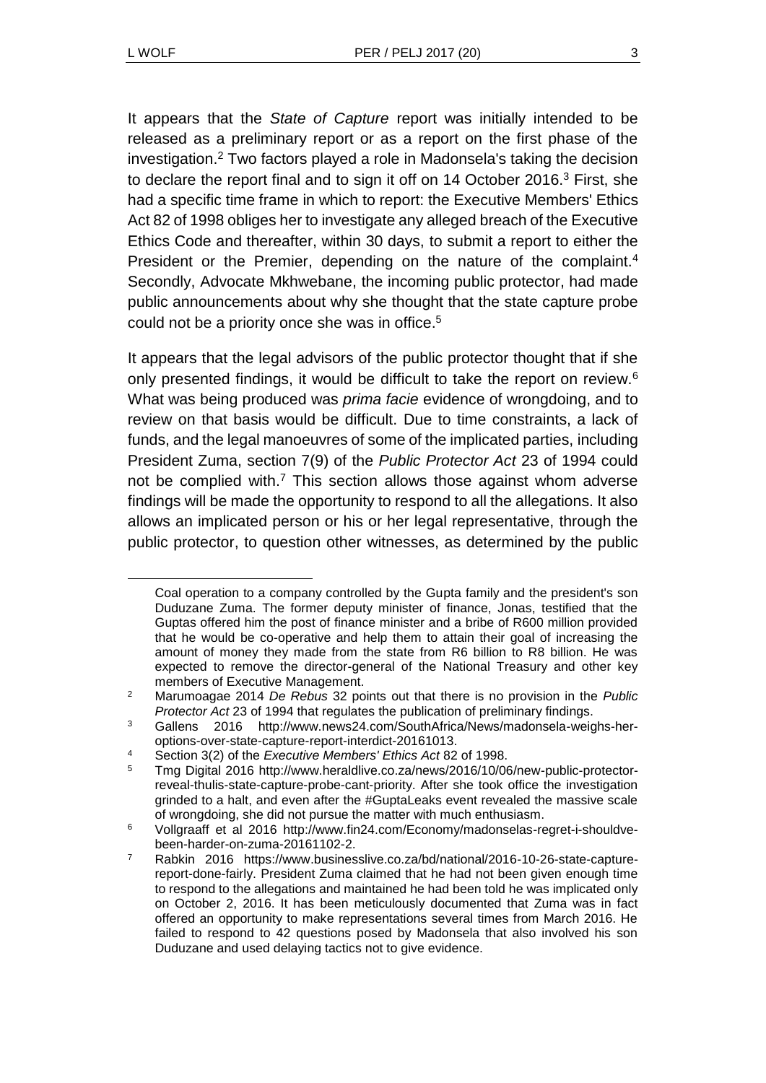$\overline{a}$ 

It appears that the *State of Capture* report was initially intended to be released as a preliminary report or as a report on the first phase of the investigation.<sup>2</sup> Two factors played a role in Madonsela's taking the decision to declare the report final and to sign it off on 14 October 2016. $3$  First, she had a specific time frame in which to report: the Executive Members' Ethics Act 82 of 1998 obliges her to investigate any alleged breach of the Executive Ethics Code and thereafter, within 30 days, to submit a report to either the President or the Premier, depending on the nature of the complaint.<sup>4</sup> Secondly, Advocate Mkhwebane, the incoming public protector, had made public announcements about why she thought that the state capture probe could not be a priority once she was in office.<sup>5</sup>

It appears that the legal advisors of the public protector thought that if she only presented findings, it would be difficult to take the report on review.<sup>6</sup> What was being produced was *prima facie* evidence of wrongdoing, and to review on that basis would be difficult. Due to time constraints, a lack of funds, and the legal manoeuvres of some of the implicated parties, including President Zuma, section 7(9) of the *Public Protector Act* 23 of 1994 could not be complied with.<sup>7</sup> This section allows those against whom adverse findings will be made the opportunity to respond to all the allegations. It also allows an implicated person or his or her legal representative, through the public protector, to question other witnesses, as determined by the public

<span id="page-2-0"></span>Coal operation to a company controlled by the Gupta family and the president's son Duduzane Zuma. The former deputy minister of finance, Jonas, testified that the Guptas offered him the post of finance minister and a bribe of R600 million provided that he would be co-operative and help them to attain their goal of increasing the amount of money they made from the state from R6 billion to R8 billion. He was expected to remove the director-general of the National Treasury and other key members of Executive Management.

<sup>2</sup> Marumoagae 2014 *De Rebus* 32 points out that there is no provision in the *Public Protector Act* 23 of 1994 that regulates the publication of preliminary findings.

<sup>3</sup> Gallens 2016 http://www.news24.com/SouthAfrica/News/madonsela-weighs-heroptions-over-state-capture-report-interdict-20161013.

<sup>4</sup> Section 3(2) of the *Executive Members' Ethics Act* 82 of 1998.

<sup>5</sup> Tmg Digital 2016 http://www.heraldlive.co.za/news/2016/10/06/new-public-protectorreveal-thulis-state-capture-probe-cant-priority. After she took office the investigation grinded to a halt, and even after the #GuptaLeaks event revealed the massive scale of wrongdoing, she did not pursue the matter with much enthusiasm.

<sup>6</sup> Vollgraaff et al 2016 http://www.fin24.com/Economy/madonselas-regret-i-shouldvebeen-harder-on-zuma-20161102-2.

Rabkin 2016 https://www.businesslive.co.za/bd/national/2016-10-26-state-capturereport-done-fairly. President Zuma claimed that he had not been given enough time to respond to the allegations and maintained he had been told he was implicated only on October 2, 2016. It has been meticulously documented that Zuma was in fact offered an opportunity to make representations several times from March 2016. He failed to respond to 42 questions posed by Madonsela that also involved his son Duduzane and used delaying tactics not to give evidence.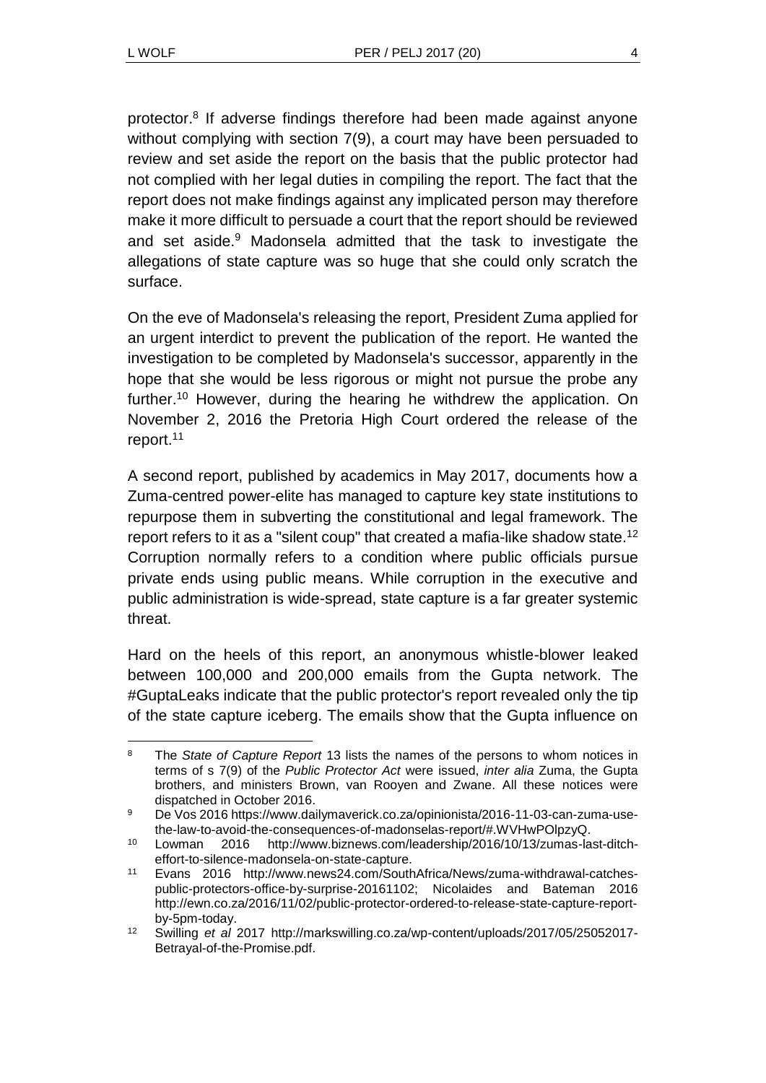protector.<sup>8</sup> If adverse findings therefore had been made against anyone without complying with section 7(9), a court may have been persuaded to review and set aside the report on the basis that the public protector had not complied with her legal duties in compiling the report. The fact that the report does not make findings against any implicated person may therefore make it more difficult to persuade a court that the report should be reviewed and set aside.<sup>9</sup> Madonsela admitted that the task to investigate the allegations of state capture was so huge that she could only scratch the surface.

On the eve of Madonsela's releasing the report, President Zuma applied for an urgent interdict to prevent the publication of the report. He wanted the investigation to be completed by Madonsela's successor, apparently in the hope that she would be less rigorous or might not pursue the probe any further.<sup>10</sup> However, during the hearing he withdrew the application. On November 2, 2016 the Pretoria High Court ordered the release of the report.<sup>11</sup>

A second report, published by academics in May 2017, documents how a Zuma-centred power-elite has managed to capture key state institutions to repurpose them in subverting the constitutional and legal framework. The report refers to it as a "silent coup" that created a mafia-like shadow state.<sup>12</sup> Corruption normally refers to a condition where public officials pursue private ends using public means. While corruption in the executive and public administration is wide-spread, state capture is a far greater systemic threat.

Hard on the heels of this report, an anonymous whistle-blower leaked between 100,000 and 200,000 emails from the Gupta network. The #GuptaLeaks indicate that the public protector's report revealed only the tip of the state capture iceberg. The emails show that the Gupta influence on

l <sup>8</sup> The *State of Capture Report* 13 lists the names of the persons to whom notices in terms of s 7(9) of the *Public Protector Act* were issued, *inter alia* Zuma, the Gupta brothers, and ministers Brown, van Rooyen and Zwane. All these notices were dispatched in October 2016.

<sup>9</sup> De Vos 2016 https://www.dailymaverick.co.za/opinionista/2016-11-03-can-zuma-usethe-law-to-avoid-the-consequences-of-madonselas-report/#.WVHwPOlpzyQ.

<sup>10</sup> Lowman 2016 http://www.biznews.com/leadership/2016/10/13/zumas-last-ditcheffort-to-silence-madonsela-on-state-capture.

<sup>11</sup> Evans 2016 http://www.news24.com/SouthAfrica/News/zuma-withdrawal-catchespublic-protectors-office-by-surprise-20161102; Nicolaides and Bateman 2016 http://ewn.co.za/2016/11/02/public-protector-ordered-to-release-state-capture-reportby-5pm-today.

<sup>12</sup> Swilling *et al* 2017 http://markswilling.co.za/wp-content/uploads/2017/05/25052017- Betrayal-of-the-Promise.pdf.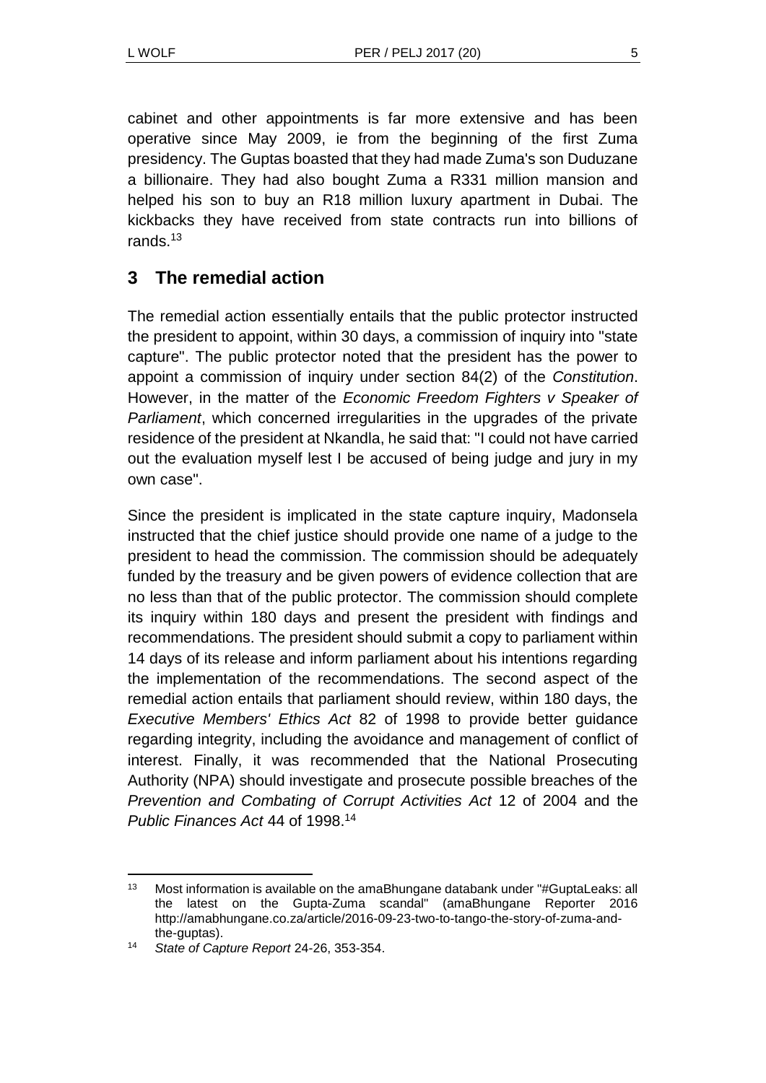cabinet and other appointments is far more extensive and has been operative since May 2009, ie from the beginning of the first Zuma presidency. The Guptas boasted that they had made Zuma's son Duduzane a billionaire. They had also bought Zuma a R331 million mansion and helped his son to buy an R18 million luxury apartment in Dubai. The kickbacks they have received from state contracts run into billions of rands.<sup>13</sup>

# **3 The remedial action**

The remedial action essentially entails that the public protector instructed the president to appoint, within 30 days, a commission of inquiry into "state capture". The public protector noted that the president has the power to appoint a commission of inquiry under section 84(2) of the *Constitution*. However, in the matter of the *Economic Freedom Fighters v Speaker of Parliament*, which concerned irregularities in the upgrades of the private residence of the president at Nkandla, he said that: "I could not have carried out the evaluation myself lest I be accused of being judge and jury in my own case".

Since the president is implicated in the state capture inquiry, Madonsela instructed that the chief justice should provide one name of a judge to the president to head the commission. The commission should be adequately funded by the treasury and be given powers of evidence collection that are no less than that of the public protector. The commission should complete its inquiry within 180 days and present the president with findings and recommendations. The president should submit a copy to parliament within 14 days of its release and inform parliament about his intentions regarding the implementation of the recommendations. The second aspect of the remedial action entails that parliament should review, within 180 days, the *Executive Members' Ethics Act* 82 of 1998 to provide better guidance regarding integrity, including the avoidance and management of conflict of interest. Finally, it was recommended that the National Prosecuting Authority (NPA) should investigate and prosecute possible breaches of the *Prevention and Combating of Corrupt Activities Act* 12 of 2004 and the *Public Finances Act* 44 of 1998.<sup>14</sup>

l 13 Most information is available on the amaBhungane databank under "#GuptaLeaks: all the latest on the Gupta-Zuma scandal" (amaBhungane Reporter 2016 http://amabhungane.co.za/article/2016-09-23-two-to-tango-the-story-of-zuma-andthe-guptas).

<sup>14</sup> *State of Capture Report* 24-26, 353-354.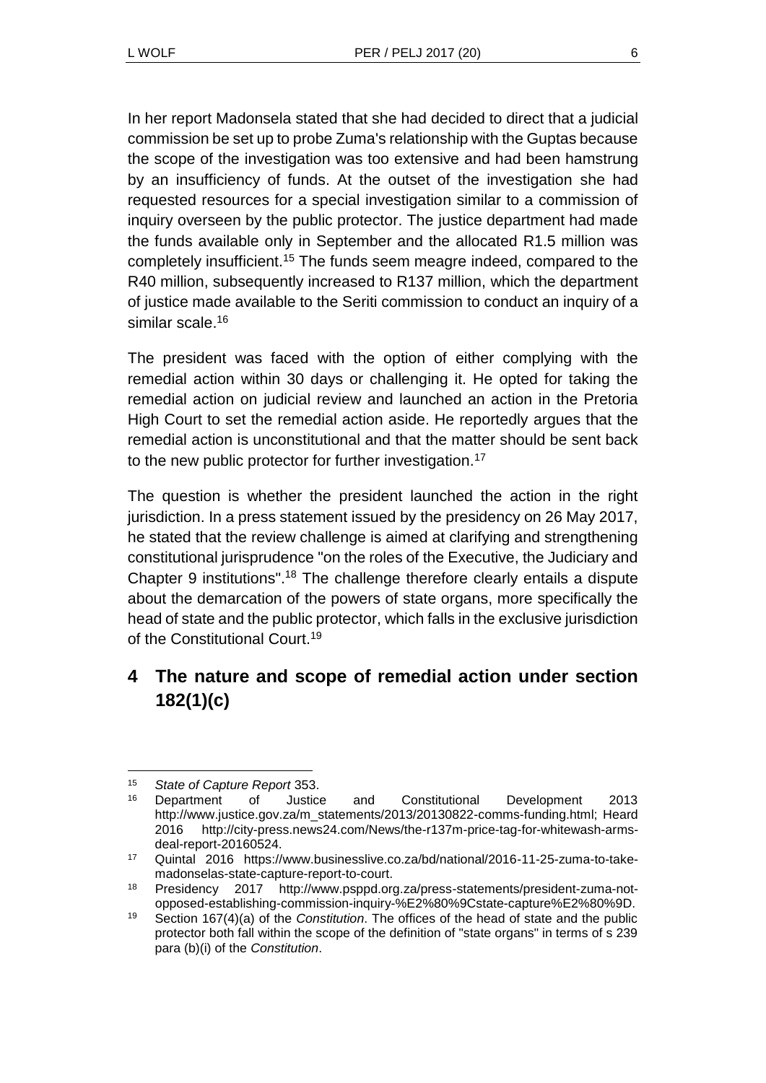In her report Madonsela stated that she had decided to direct that a judicial commission be set up to probe Zuma's relationship with the Guptas because the scope of the investigation was too extensive and had been hamstrung by an insufficiency of funds. At the outset of the investigation she had requested resources for a special investigation similar to a commission of inquiry overseen by the public protector. The justice department had made the funds available only in September and the allocated R1.5 million was completely insufficient.<sup>15</sup> The funds seem meagre indeed, compared to the R40 million, subsequently increased to R137 million, which the department of justice made available to the Seriti commission to conduct an inquiry of a similar scale. 16

The president was faced with the option of either complying with the remedial action within 30 days or challenging it. He opted for taking the remedial action on judicial review and launched an action in the Pretoria High Court to set the remedial action aside. He reportedly argues that the remedial action is unconstitutional and that the matter should be sent back to the new public protector for further investigation.<sup>17</sup>

The question is whether the president launched the action in the right jurisdiction. In a press statement issued by the presidency on 26 May 2017, he stated that the review challenge is aimed at clarifying and strengthening constitutional jurisprudence "on the roles of the Executive, the Judiciary and Chapter 9 institutions".<sup>18</sup> The challenge therefore clearly entails a dispute about the demarcation of the powers of state organs, more specifically the head of state and the public protector, which falls in the exclusive jurisdiction of the Constitutional Court.<sup>19</sup>

# **4 The nature and scope of remedial action under section 182(1)(c)**

 $\overline{a}$ <sup>15</sup> *State of Capture Report* 353.

<sup>16</sup> Department of Justice and Constitutional Development 2013 http://www.justice.gov.za/m\_statements/2013/20130822-comms-funding.html; Heard 2016 http://city-press.news24.com/News/the-r137m-price-tag-for-whitewash-armsdeal-report-20160524.

<sup>17</sup> Quintal 2016 https://www.businesslive.co.za/bd/national/2016-11-25-zuma-to-takemadonselas-state-capture-report-to-court.

<sup>18</sup> Presidency 2017 http://www.psppd.org.za/press-statements/president-zuma-notopposed-establishing-commission-inquiry-%E2%80%9Cstate-capture%E2%80%9D.

<sup>19</sup> Section 167(4)(a) of the *Constitution*. The offices of the head of state and the public protector both fall within the scope of the definition of "state organs" in terms of s 239 para (b)(i) of the *Constitution*.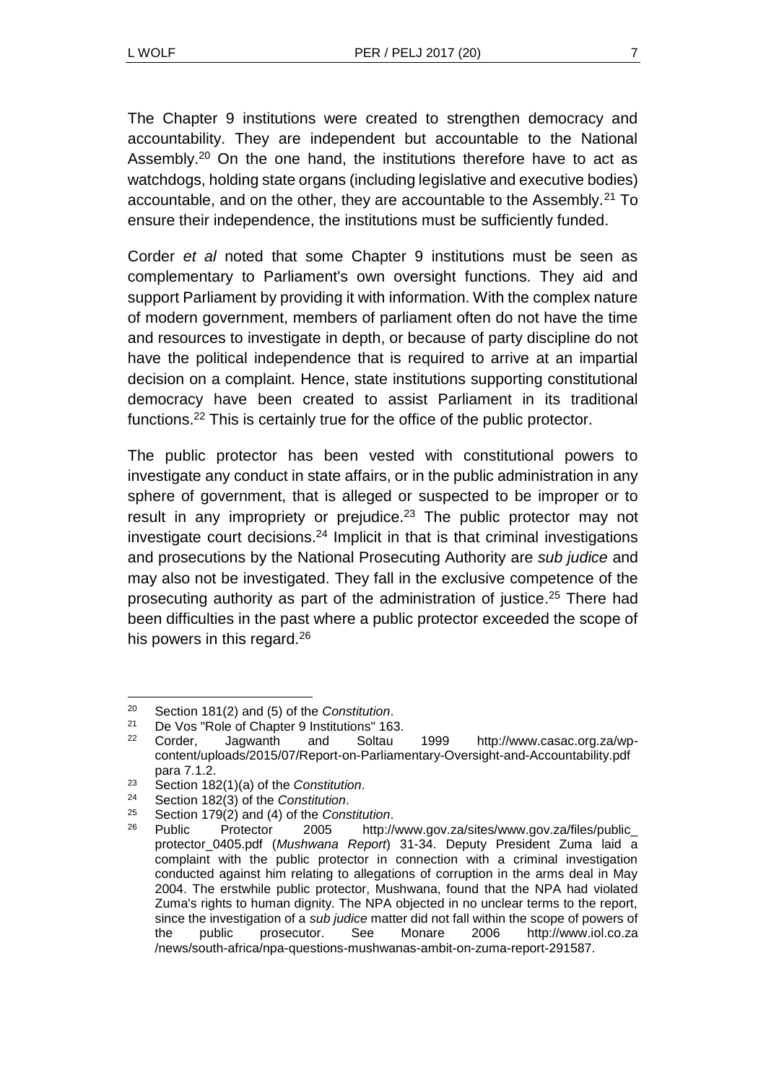The Chapter 9 institutions were created to strengthen democracy and accountability. They are independent but accountable to the National Assembly.<sup>20</sup> On the one hand, the institutions therefore have to act as watchdogs, holding state organs (including legislative and executive bodies) accountable, and on the other, they are accountable to the Assembly.<sup>21</sup> To ensure their independence, the institutions must be sufficiently funded.

Corder *et al* noted that some Chapter 9 institutions must be seen as complementary to Parliament's own oversight functions. They aid and support Parliament by providing it with information. With the complex nature of modern government, members of parliament often do not have the time and resources to investigate in depth, or because of party discipline do not have the political independence that is required to arrive at an impartial decision on a complaint. Hence, state institutions supporting constitutional democracy have been created to assist Parliament in its traditional functions.<sup>22</sup> This is certainly true for the office of the public protector.

The public protector has been vested with constitutional powers to investigate any conduct in state affairs, or in the public administration in any sphere of government, that is alleged or suspected to be improper or to result in any impropriety or prejudice. $2<sup>3</sup>$  The public protector may not investigate court decisions. <sup>24</sup> Implicit in that is that criminal investigations and prosecutions by the National Prosecuting Authority are *sub judice* and may also not be investigated. They fall in the exclusive competence of the prosecuting authority as part of the administration of justice. <sup>25</sup> There had been difficulties in the past where a public protector exceeded the scope of his powers in this regard.<sup>26</sup>

l <sup>20</sup> Section 181(2) and (5) of the *Constitution*.

<sup>&</sup>lt;sup>21</sup> De Vos "Role of Chapter 9 Institutions" 163.<br><sup>22</sup> Corder Lagwarth and Soltau

<sup>22</sup> Corder, Jagwanth and Soltau 1999 http://www.casac.org.za/wpcontent/uploads/2015/07/Report-on-Parliamentary-Oversight-and-Accountability.pdf para 7.1.2.

<sup>23</sup> Section 182(1)(a) of the *Constitution*.

<sup>24</sup> Section 182(3) of the *Constitution*.

<sup>25</sup> Section 179(2) and (4) of the *Constitution*.

<sup>26</sup> Public Protector 2005 http://www.gov.za/sites/www.gov.za/files/public\_ protector\_0405.pdf (*Mushwana Report*) 31-34. Deputy President Zuma laid a complaint with the public protector in connection with a criminal investigation conducted against him relating to allegations of corruption in the arms deal in May 2004. The erstwhile public protector, Mushwana, found that the NPA had violated Zuma's rights to human dignity. The NPA objected in no unclear terms to the report, since the investigation of a *sub judice* matter did not fall within the scope of powers of the public prosecutor. See Monare 2006 http://www.iol.co.za /news/south-africa/npa-questions-mushwanas-ambit-on-zuma-report-291587.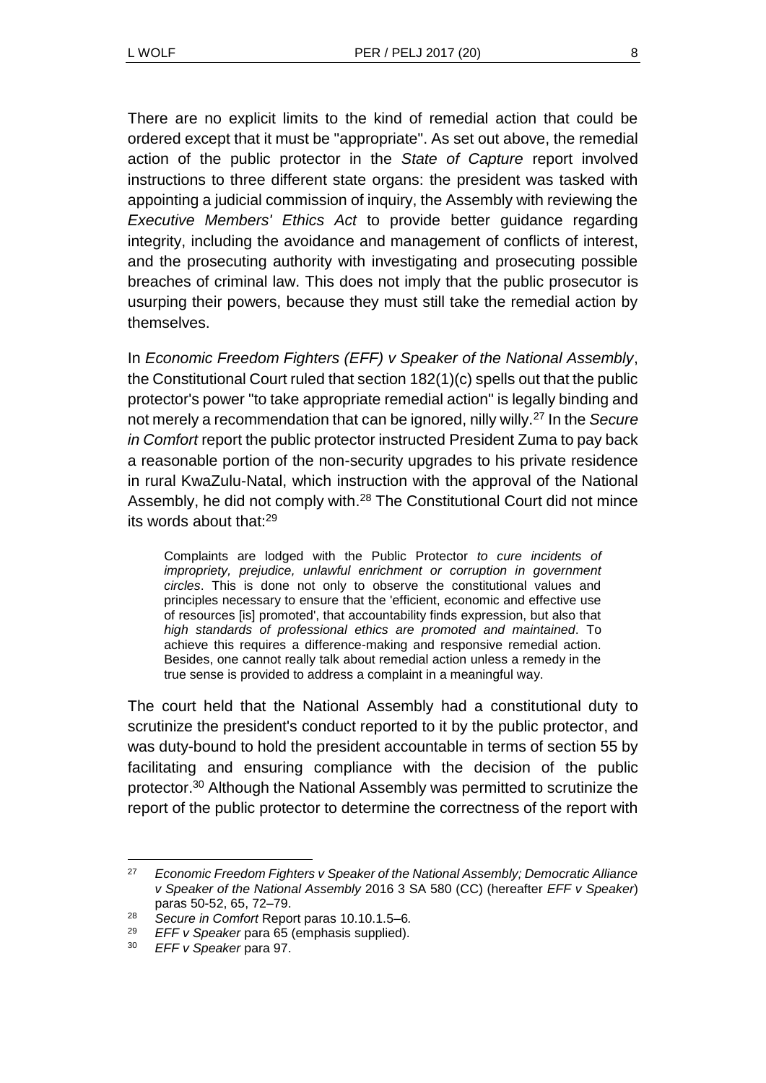There are no explicit limits to the kind of remedial action that could be ordered except that it must be "appropriate". As set out above, the remedial action of the public protector in the *State of Capture* report involved instructions to three different state organs: the president was tasked with appointing a judicial commission of inquiry, the Assembly with reviewing the *Executive Members' Ethics Act* to provide better guidance regarding integrity, including the avoidance and management of conflicts of interest, and the prosecuting authority with investigating and prosecuting possible breaches of criminal law. This does not imply that the public prosecutor is usurping their powers, because they must still take the remedial action by themselves.

In *Economic Freedom Fighters (EFF) v Speaker of the National Assembly*, the Constitutional Court ruled that section 182(1)(c) spells out that the public protector's power "to take appropriate remedial action" is legally binding and not merely a recommendation that can be ignored, nilly willy.<sup>27</sup> In the *Secure in Comfort* report the public protector instructed President Zuma to pay back a reasonable portion of the non-security upgrades to his private residence in rural KwaZulu-Natal, which instruction with the approval of the National Assembly, he did not comply with.<sup>28</sup> The Constitutional Court did not mince its words about that:<sup>29</sup>

Complaints are lodged with the Public Protector *to cure incidents of impropriety, prejudice, unlawful enrichment or corruption in government circles*. This is done not only to observe the constitutional values and principles necessary to ensure that the 'efficient, economic and effective use of resources [is] promoted', that accountability finds expression, but also that *high standards of professional ethics are promoted and maintained*. To achieve this requires a difference-making and responsive remedial action. Besides, one cannot really talk about remedial action unless a remedy in the true sense is provided to address a complaint in a meaningful way.

The court held that the National Assembly had a constitutional duty to scrutinize the president's conduct reported to it by the public protector, and was duty-bound to hold the president accountable in terms of section 55 by facilitating and ensuring compliance with the decision of the public protector.<sup>30</sup> Although the National Assembly was permitted to scrutinize the report of the public protector to determine the correctness of the report with

l

<sup>27</sup> *Economic Freedom Fighters v Speaker of the National Assembly; Democratic Alliance v Speaker of the National Assembly* 2016 3 SA 580 (CC) (hereafter *EFF v Speaker*) paras 50-52, 65, 72–79.

<sup>28</sup> *Secure in Comfort* Report paras 10.10.1.5–6*.*

<sup>29</sup> *EFF v Speaker* para 65 (emphasis supplied).

<sup>30</sup> *EFF v Speaker* para 97.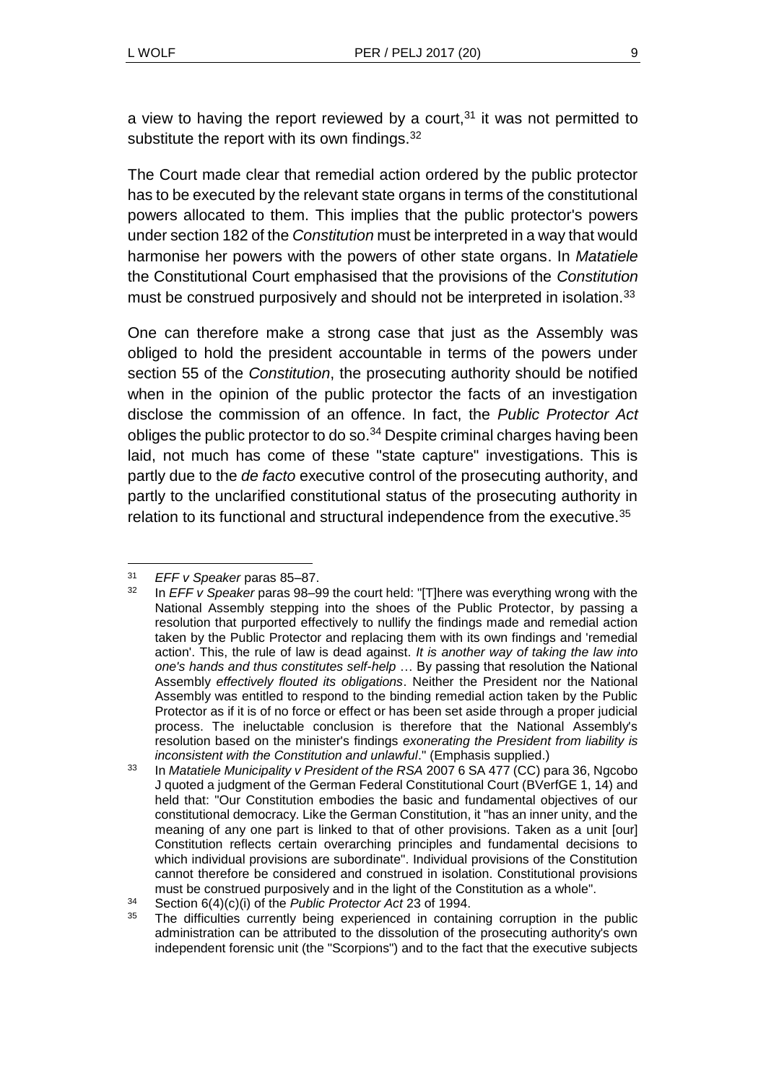<span id="page-8-0"></span>

a view to having the report reviewed by a court,  $31$  it was not permitted to substitute the report with its own findings.<sup>32</sup>

The Court made clear that remedial action ordered by the public protector has to be executed by the relevant state organs in terms of the constitutional powers allocated to them. This implies that the public protector's powers under section 182 of the *Constitution* must be interpreted in a way that would harmonise her powers with the powers of other state organs. In *Matatiele* the Constitutional Court emphasised that the provisions of the *Constitution* must be construed purposively and should not be interpreted in isolation.<sup>33</sup>

One can therefore make a strong case that just as the Assembly was obliged to hold the president accountable in terms of the powers under section 55 of the *Constitution*, the prosecuting authority should be notified when in the opinion of the public protector the facts of an investigation disclose the commission of an offence. In fact, the *Public Protector Act* obliges the public protector to do so.<sup>34</sup> Despite criminal charges having been laid, not much has come of these "state capture" investigations. This is partly due to the *de facto* executive control of the prosecuting authority, and partly to the unclarified constitutional status of the prosecuting authority in relation to its functional and structural independence from the executive.<sup>35</sup>

l <sup>31</sup> *EFF v Speaker* paras 85–87.

<sup>32</sup> In *EFF v Speaker* paras 98–99 the court held: "[T]here was everything wrong with the National Assembly stepping into the shoes of the Public Protector, by passing a resolution that purported effectively to nullify the findings made and remedial action taken by the Public Protector and replacing them with its own findings and 'remedial action'. This, the rule of law is dead against. *It is another way of taking the law into one's hands and thus constitutes self-help* … By passing that resolution the National Assembly *effectively flouted its obligations*. Neither the President nor the National Assembly was entitled to respond to the binding remedial action taken by the Public Protector as if it is of no force or effect or has been set aside through a proper judicial process. The ineluctable conclusion is therefore that the National Assembly's resolution based on the minister's findings *exonerating the President from liability is inconsistent with the Constitution and unlawful*." (Emphasis supplied.)

<sup>33</sup> In *Matatiele Municipality v President of the RSA* 2007 6 SA 477 (CC) para 36, Ngcobo J quoted a judgment of the German Federal Constitutional Court (BVerfGE 1, 14) and held that: "Our Constitution embodies the basic and fundamental objectives of our constitutional democracy. Like the German Constitution, it "has an inner unity, and the meaning of any one part is linked to that of other provisions. Taken as a unit [our] Constitution reflects certain overarching principles and fundamental decisions to which individual provisions are subordinate". Individual provisions of the Constitution cannot therefore be considered and construed in isolation. Constitutional provisions must be construed purposively and in the light of the Constitution as a whole".

<sup>34</sup> Section 6(4)(c)(i) of the *Public Protector Act* 23 of 1994.

<sup>&</sup>lt;sup>35</sup> The difficulties currently being experienced in containing corruption in the public administration can be attributed to the dissolution of the prosecuting authority's own independent forensic unit (the "Scorpions") and to the fact that the executive subjects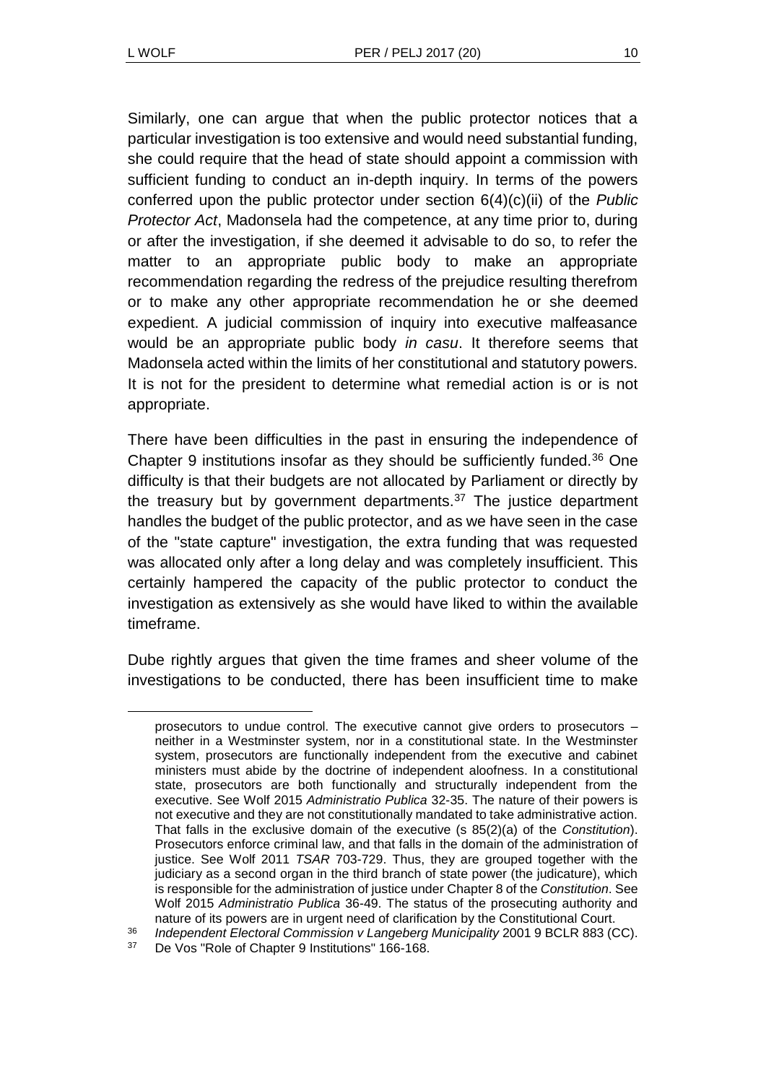Similarly, one can argue that when the public protector notices that a particular investigation is too extensive and would need substantial funding, she could require that the head of state should appoint a commission with sufficient funding to conduct an in-depth inquiry. In terms of the powers conferred upon the public protector under section 6(4)(c)(ii) of the *Public Protector Act*, Madonsela had the competence, at any time prior to, during or after the investigation, if she deemed it advisable to do so, to refer the matter to an appropriate public body to make an appropriate recommendation regarding the redress of the prejudice resulting therefrom or to make any other appropriate recommendation he or she deemed expedient. A judicial commission of inquiry into executive malfeasance would be an appropriate public body *in casu*. It therefore seems that Madonsela acted within the limits of her constitutional and statutory powers. It is not for the president to determine what remedial action is or is not appropriate.

There have been difficulties in the past in ensuring the independence of Chapter 9 institutions insofar as they should be sufficiently funded.<sup>36</sup> One difficulty is that their budgets are not allocated by Parliament or directly by the treasury but by government departments.<sup>37</sup> The justice department handles the budget of the public protector, and as we have seen in the case of the "state capture" investigation, the extra funding that was requested was allocated only after a long delay and was completely insufficient. This certainly hampered the capacity of the public protector to conduct the investigation as extensively as she would have liked to within the available timeframe.

Dube rightly argues that given the time frames and sheer volume of the investigations to be conducted, there has been insufficient time to make

<sup>36</sup> *Independent Electoral Commission v Langeberg Municipality* 2001 9 BCLR 883 (CC).

prosecutors to undue control. The executive cannot give orders to prosecutors – neither in a Westminster system, nor in a constitutional state. In the Westminster system, prosecutors are functionally independent from the executive and cabinet ministers must abide by the doctrine of independent aloofness. In a constitutional state, prosecutors are both functionally and structurally independent from the executive. See Wolf 2015 *Administratio Publica* 32-35. The nature of their powers is not executive and they are not constitutionally mandated to take administrative action. That falls in the exclusive domain of the executive (s 85(2)(a) of the *Constitution*). Prosecutors enforce criminal law, and that falls in the domain of the administration of justice. See Wolf 2011 *TSAR* 703-729. Thus, they are grouped together with the judiciary as a second organ in the third branch of state power (the judicature), which is responsible for the administration of justice under Chapter 8 of the *Constitution*. See Wolf 2015 *Administratio Publica* 36-49. The status of the prosecuting authority and nature of its powers are in urgent need of clarification by the Constitutional Court.

<sup>37</sup> De Vos "Role of Chapter 9 Institutions" 166-168.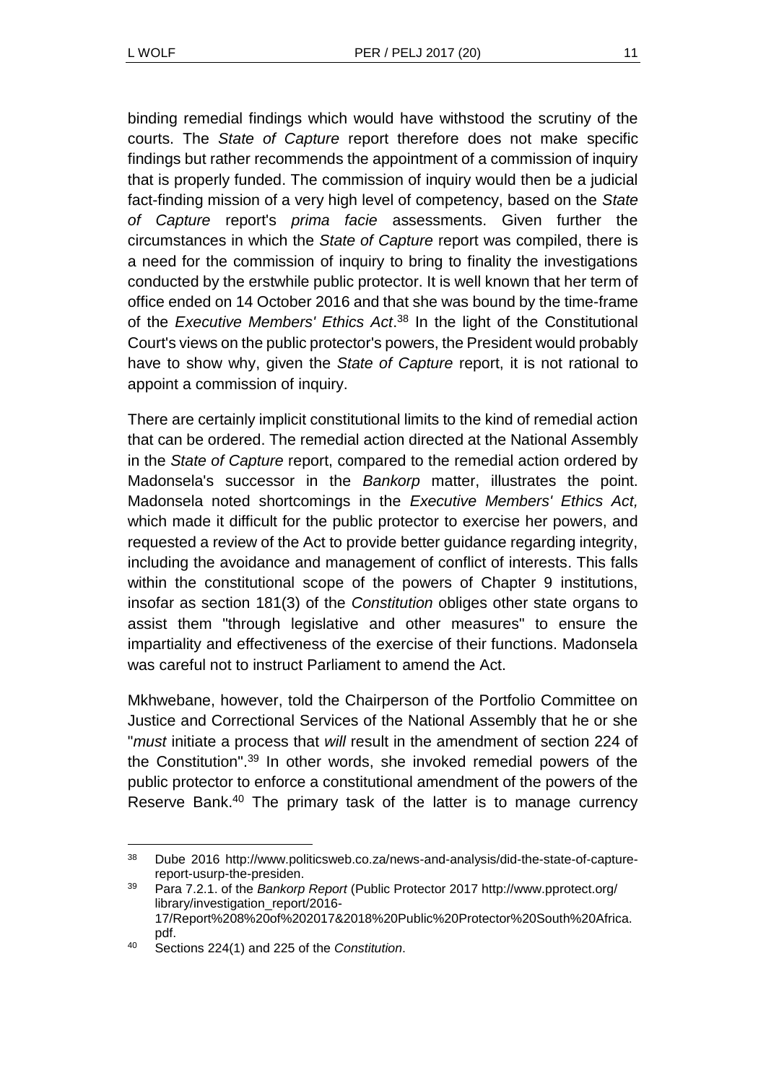binding remedial findings which would have withstood the scrutiny of the courts. The *State of Capture* report therefore does not make specific findings but rather recommends the appointment of a commission of inquiry that is properly funded. The commission of inquiry would then be a judicial fact-finding mission of a very high level of competency, based on the *State of Capture* report's *prima facie* assessments. Given further the circumstances in which the *State of Capture* report was compiled, there is a need for the commission of inquiry to bring to finality the investigations conducted by the erstwhile public protector. It is well known that her term of office ended on 14 October 2016 and that she was bound by the time-frame of the *Executive Members' Ethics Act*. <sup>38</sup> In the light of the Constitutional Court's views on the public protector's powers, the President would probably have to show why, given the *State of Capture* report, it is not rational to appoint a commission of inquiry.

There are certainly implicit constitutional limits to the kind of remedial action that can be ordered. The remedial action directed at the National Assembly in the *State of Capture* report, compared to the remedial action ordered by Madonsela's successor in the *Bankorp* matter, illustrates the point. Madonsela noted shortcomings in the *Executive Members' Ethics Act,* which made it difficult for the public protector to exercise her powers, and requested a review of the Act to provide better guidance regarding integrity, including the avoidance and management of conflict of interests. This falls within the constitutional scope of the powers of Chapter 9 institutions, insofar as section 181(3) of the *Constitution* obliges other state organs to assist them "through legislative and other measures" to ensure the impartiality and effectiveness of the exercise of their functions. Madonsela was careful not to instruct Parliament to amend the Act.

Mkhwebane, however, told the Chairperson of the Portfolio Committee on Justice and Correctional Services of the National Assembly that he or she "*must* initiate a process that *will* result in the amendment of section 224 of the Constitution". <sup>39</sup> In other words, she invoked remedial powers of the public protector to enforce a constitutional amendment of the powers of the Reserve Bank.<sup>40</sup> The primary task of the latter is to manage currency

l

<sup>38</sup> Dube 2016 http://www.politicsweb.co.za/news-and-analysis/did-the-state-of-capturereport-usurp-the-presiden.

<sup>39</sup> Para 7.2.1. of the *Bankorp Report* (Public Protector 2017 http://www.pprotect.org/ library/investigation\_report/2016- 17/Report%208%20of%202017&2018%20Public%20Protector%20South%20Africa. pdf.

<sup>40</sup> Sections 224(1) and 225 of the *Constitution*.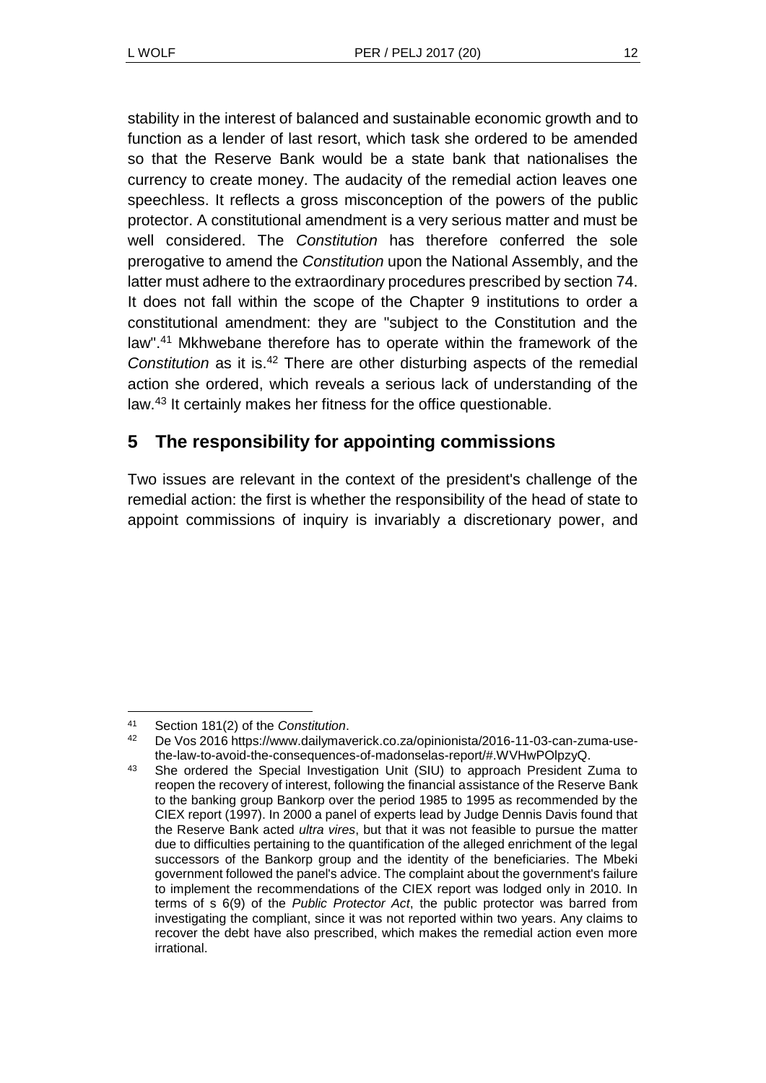stability in the interest of balanced and sustainable economic growth and to function as a lender of last resort, which task she ordered to be amended so that the Reserve Bank would be a state bank that nationalises the currency to create money. The audacity of the remedial action leaves one speechless. It reflects a gross misconception of the powers of the public protector. A constitutional amendment is a very serious matter and must be well considered. The *Constitution* has therefore conferred the sole prerogative to amend the *Constitution* upon the National Assembly, and the latter must adhere to the extraordinary procedures prescribed by section 74. It does not fall within the scope of the Chapter 9 institutions to order a constitutional amendment: they are "subject to the Constitution and the law".<sup>41</sup> Mkhwebane therefore has to operate within the framework of the *Constitution* as it is.<sup>42</sup> There are other disturbing aspects of the remedial action she ordered, which reveals a serious lack of understanding of the law.<sup>43</sup> It certainly makes her fitness for the office questionable.

# **5 The responsibility for appointing commissions**

Two issues are relevant in the context of the president's challenge of the remedial action: the first is whether the responsibility of the head of state to appoint commissions of inquiry is invariably a discretionary power, and

l

<sup>41</sup> Section 181(2) of the *Constitution*.

<sup>42</sup> De Vos 2016 https://www.dailymaverick.co.za/opinionista/2016-11-03-can-zuma-usethe-law-to-avoid-the-consequences-of-madonselas-report/#.WVHwPOlpzyQ.

<sup>43</sup> She ordered the Special Investigation Unit (SIU) to approach President Zuma to reopen the recovery of interest, following the financial assistance of the Reserve Bank to the banking group Bankorp over the period 1985 to 1995 as recommended by the CIEX report (1997). In 2000 a panel of experts lead by Judge Dennis Davis found that the Reserve Bank acted *ultra vires*, but that it was not feasible to pursue the matter due to difficulties pertaining to the quantification of the alleged enrichment of the legal successors of the Bankorp group and the identity of the beneficiaries. The Mbeki government followed the panel's advice. The complaint about the government's failure to implement the recommendations of the CIEX report was lodged only in 2010. In terms of s 6(9) of the *Public Protector Act*, the public protector was barred from investigating the compliant, since it was not reported within two years. Any claims to recover the debt have also prescribed, which makes the remedial action even more irrational.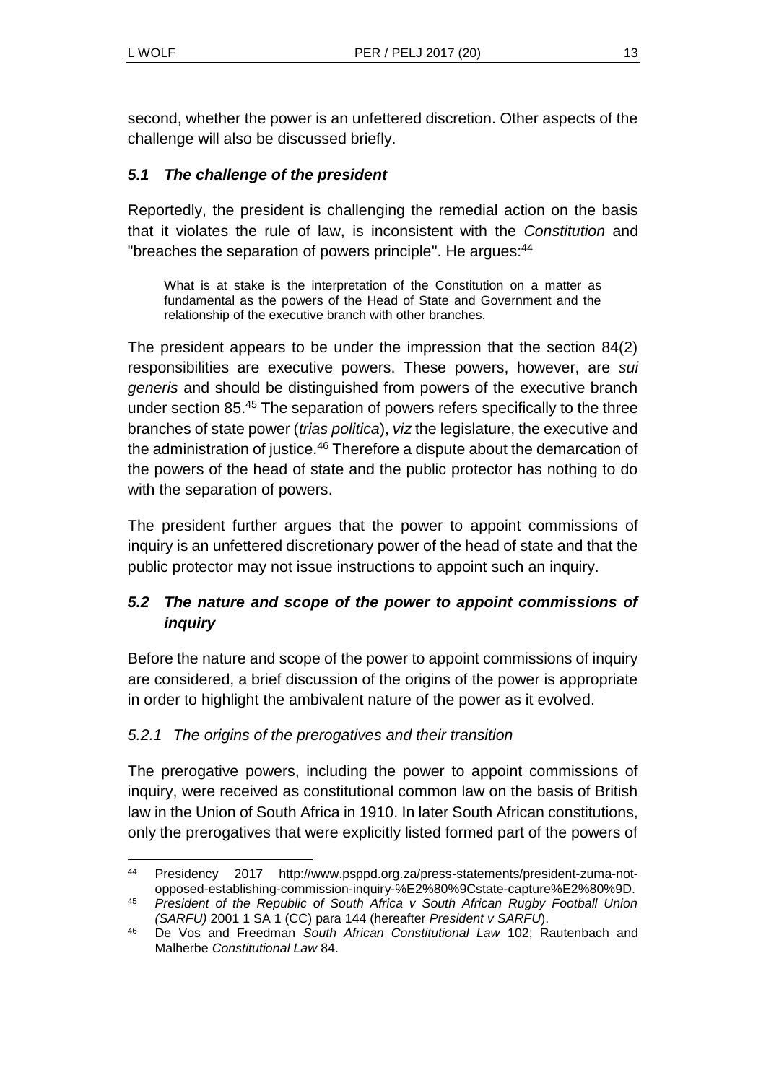second, whether the power is an unfettered discretion. Other aspects of the challenge will also be discussed briefly.

## *5.1 The challenge of the president*

Reportedly, the president is challenging the remedial action on the basis that it violates the rule of law, is inconsistent with the *Constitution* and "breaches the separation of powers principle". He argues:<sup>44</sup>

What is at stake is the interpretation of the Constitution on a matter as fundamental as the powers of the Head of State and Government and the relationship of the executive branch with other branches.

The president appears to be under the impression that the section 84(2) responsibilities are executive powers. These powers, however, are *sui generis* and should be distinguished from powers of the executive branch under section 85.<sup>45</sup> The separation of powers refers specifically to the three branches of state power (*trias politica*), *viz* the legislature, the executive and the administration of justice.<sup>46</sup> Therefore a dispute about the demarcation of the powers of the head of state and the public protector has nothing to do with the separation of powers.

The president further argues that the power to appoint commissions of inquiry is an unfettered discretionary power of the head of state and that the public protector may not issue instructions to appoint such an inquiry.

## *5.2 The nature and scope of the power to appoint commissions of inquiry*

Before the nature and scope of the power to appoint commissions of inquiry are considered, a brief discussion of the origins of the power is appropriate in order to highlight the ambivalent nature of the power as it evolved.

### *5.2.1 The origins of the prerogatives and their transition*

The prerogative powers, including the power to appoint commissions of inquiry, were received as constitutional common law on the basis of British law in the Union of South Africa in 1910. In later South African constitutions, only the prerogatives that were explicitly listed formed part of the powers of

<sup>44</sup> Presidency 2017 http://www.psppd.org.za/press-statements/president-zuma-notopposed-establishing-commission-inquiry-%E2%80%9Cstate-capture%E2%80%9D.

<sup>45</sup> *President of the Republic of South Africa v South African Rugby Football Union (SARFU)* 2001 1 SA 1 (CC) para 144 (hereafter *President v SARFU*).

<sup>46</sup> De Vos and Freedman *South African Constitutional Law* 102; Rautenbach and Malherbe *Constitutional Law* 84.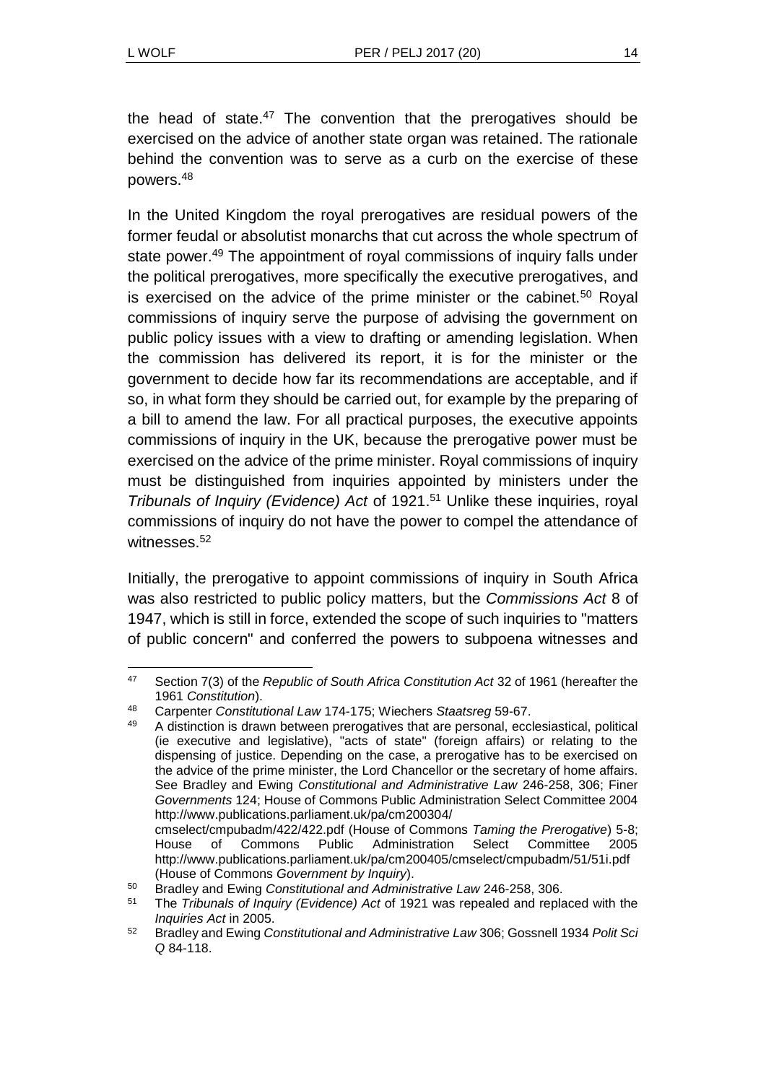the head of state. $47$  The convention that the prerogatives should be exercised on the advice of another state organ was retained. The rationale behind the convention was to serve as a curb on the exercise of these powers.<sup>48</sup>

In the United Kingdom the royal prerogatives are residual powers of the former feudal or absolutist monarchs that cut across the whole spectrum of state power.<sup>49</sup> The appointment of royal commissions of inquiry falls under the political prerogatives, more specifically the executive prerogatives, and is exercised on the advice of the prime minister or the cabinet.<sup>50</sup> Royal commissions of inquiry serve the purpose of advising the government on public policy issues with a view to drafting or amending legislation. When the commission has delivered its report, it is for the minister or the government to decide how far its recommendations are acceptable, and if so, in what form they should be carried out, for example by the preparing of a bill to amend the law. For all practical purposes, the executive appoints commissions of inquiry in the UK, because the prerogative power must be exercised on the advice of the prime minister. Royal commissions of inquiry must be distinguished from inquiries appointed by ministers under the *Tribunals of Inquiry (Evidence) Act* of 1921. <sup>51</sup> Unlike these inquiries, royal commissions of inquiry do not have the power to compel the attendance of witnesses.<sup>52</sup>

Initially, the prerogative to appoint commissions of inquiry in South Africa was also restricted to public policy matters, but the *Commissions Act* 8 of 1947, which is still in force, extended the scope of such inquiries to "matters of public concern" and conferred the powers to subpoena witnesses and

l <sup>47</sup> Section 7(3) of the *Republic of South Africa Constitution Act* 32 of 1961 (hereafter the 1961 *Constitution*).

<sup>48</sup> Carpenter *Constitutional Law* 174-175; Wiechers *Staatsreg* 59-67.

<sup>49</sup> A distinction is drawn between prerogatives that are personal, ecclesiastical, political (ie executive and legislative), "acts of state" (foreign affairs) or relating to the dispensing of justice. Depending on the case, a prerogative has to be exercised on the advice of the prime minister, the Lord Chancellor or the secretary of home affairs. See Bradley and Ewing *Constitutional and Administrative Law* 246-258, 306; Finer *Governments* 124; House of Commons Public Administration Select Committee 2004 http://www.publications.parliament.uk/pa/cm200304/ cmselect/cmpubadm/422/422.pdf (House of Commons *Taming the Prerogative*) 5-8;

House of Commons Public Administration Select Committee 2005 http://www.publications.parliament.uk/pa/cm200405/cmselect/cmpubadm/51/51i.pdf (House of Commons *Government by Inquiry*).

<sup>50</sup> Bradley and Ewing *Constitutional and Administrative Law* 246-258, 306.

<sup>51</sup> The *Tribunals of Inquiry (Evidence) Act* of 1921 was repealed and replaced with the *Inquiries Act* in 2005.

<sup>52</sup> Bradley and Ewing *Constitutional and Administrative Law* 306; Gossnell 1934 *Polit Sci Q* 84-118.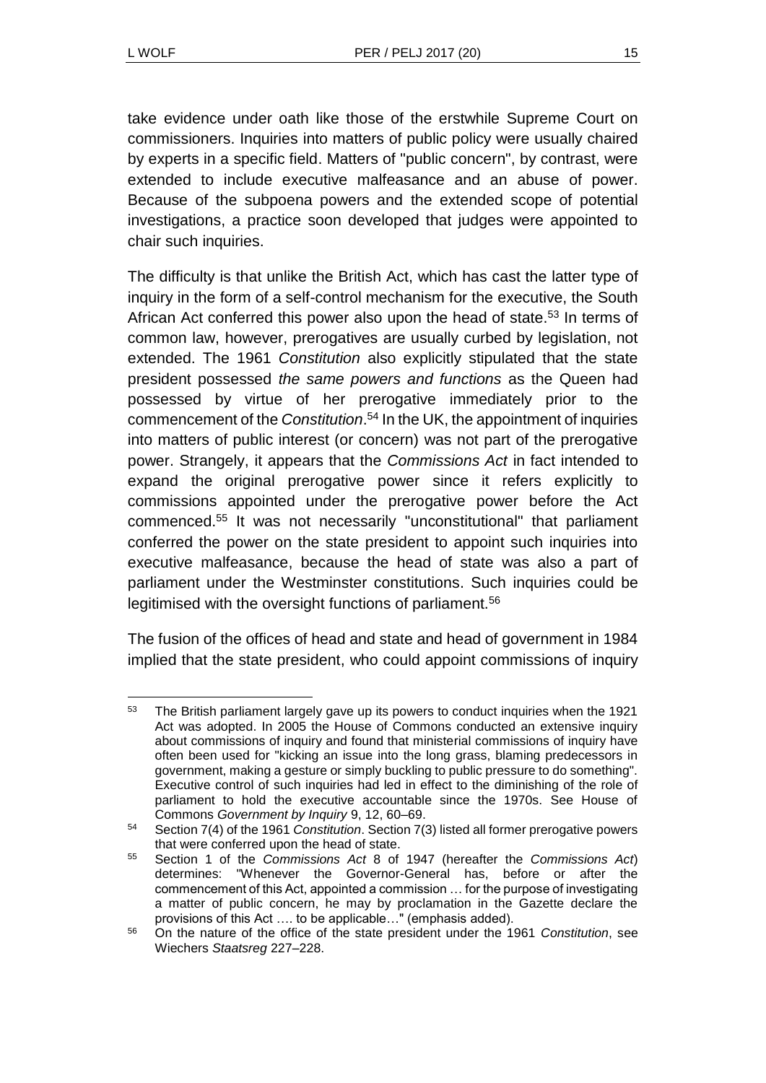take evidence under oath like those of the erstwhile Supreme Court on commissioners. Inquiries into matters of public policy were usually chaired by experts in a specific field. Matters of "public concern", by contrast, were extended to include executive malfeasance and an abuse of power. Because of the subpoena powers and the extended scope of potential investigations, a practice soon developed that judges were appointed to chair such inquiries.

The difficulty is that unlike the British Act, which has cast the latter type of inquiry in the form of a self-control mechanism for the executive, the South African Act conferred this power also upon the head of state.<sup>53</sup> In terms of common law, however, prerogatives are usually curbed by legislation, not extended. The 1961 *Constitution* also explicitly stipulated that the state president possessed *the same powers and functions* as the Queen had possessed by virtue of her prerogative immediately prior to the commencement of the *Constitution*. <sup>54</sup> In the UK, the appointment of inquiries into matters of public interest (or concern) was not part of the prerogative power. Strangely, it appears that the *Commissions Act* in fact intended to expand the original prerogative power since it refers explicitly to commissions appointed under the prerogative power before the Act commenced.<sup>55</sup> It was not necessarily "unconstitutional" that parliament conferred the power on the state president to appoint such inquiries into executive malfeasance, because the head of state was also a part of parliament under the Westminster constitutions. Such inquiries could be legitimised with the oversight functions of parliament.<sup>56</sup>

The fusion of the offices of head and state and head of government in 1984 implied that the state president, who could appoint commissions of inquiry

l <sup>53</sup> The British parliament largely gave up its powers to conduct inquiries when the 1921 Act was adopted. In 2005 the House of Commons conducted an extensive inquiry about commissions of inquiry and found that ministerial commissions of inquiry have often been used for "kicking an issue into the long grass, blaming predecessors in government, making a gesture or simply buckling to public pressure to do something". Executive control of such inquiries had led in effect to the diminishing of the role of parliament to hold the executive accountable since the 1970s. See House of Commons *Government by Inquiry* 9, 12, 60–69.

<sup>54</sup> Section 7(4) of the 1961 *Constitution*. Section 7(3) listed all former prerogative powers that were conferred upon the head of state.

<sup>55</sup> Section 1 of the *Commissions Act* 8 of 1947 (hereafter the *Commissions Act*) determines: "Whenever the Governor-General has, before or after the commencement of this Act, appointed a commission … for the purpose of investigating a matter of public concern, he may by proclamation in the Gazette declare the provisions of this Act …. to be applicable…" (emphasis added).

<sup>56</sup> On the nature of the office of the state president under the 1961 *Constitution*, see Wiechers *Staatsreg* 227–228.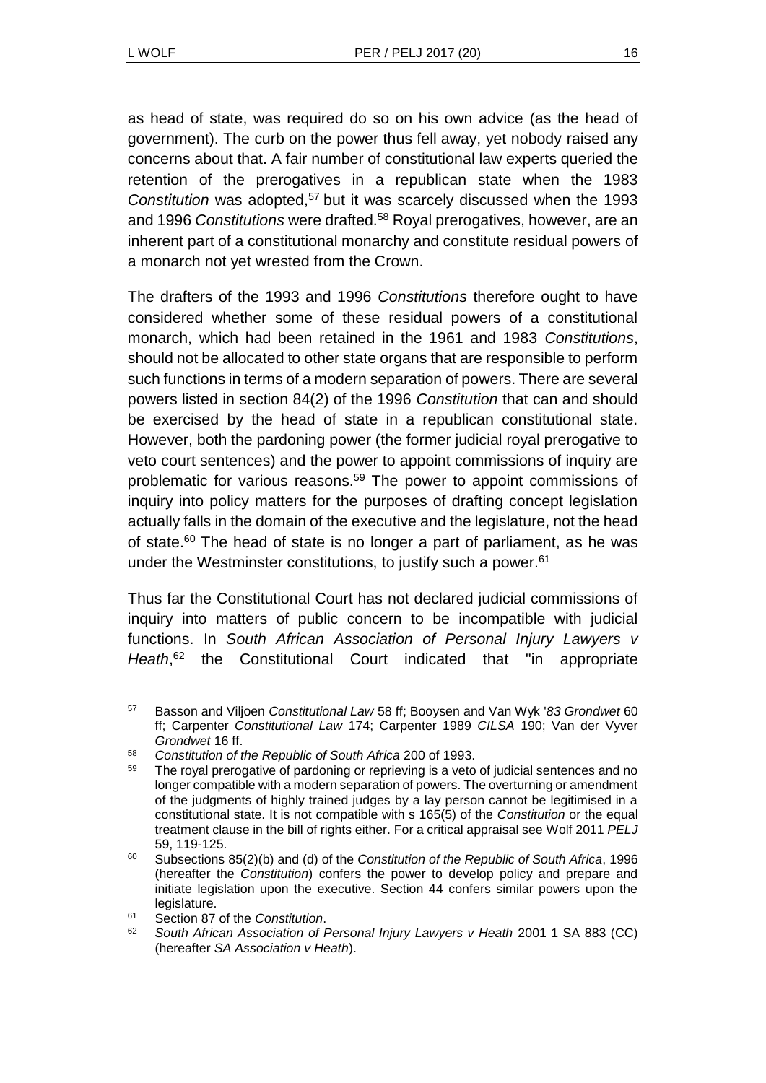as head of state, was required do so on his own advice (as the head of government). The curb on the power thus fell away, yet nobody raised any concerns about that. A fair number of constitutional law experts queried the retention of the prerogatives in a republican state when the 1983 *Constitution* was adopted,<sup>57</sup> but it was scarcely discussed when the 1993 and 1996 *Constitutions* were drafted.<sup>58</sup> Royal prerogatives, however, are an inherent part of a constitutional monarchy and constitute residual powers of a monarch not yet wrested from the Crown.

The drafters of the 1993 and 1996 *Constitutions* therefore ought to have considered whether some of these residual powers of a constitutional monarch, which had been retained in the 1961 and 1983 *Constitutions*, should not be allocated to other state organs that are responsible to perform such functions in terms of a modern separation of powers. There are several powers listed in section 84(2) of the 1996 *Constitution* that can and should be exercised by the head of state in a republican constitutional state. However, both the pardoning power (the former judicial royal prerogative to veto court sentences) and the power to appoint commissions of inquiry are problematic for various reasons.<sup>59</sup> The power to appoint commissions of inquiry into policy matters for the purposes of drafting concept legislation actually falls in the domain of the executive and the legislature, not the head of state.<sup>60</sup> The head of state is no longer a part of parliament, as he was under the Westminster constitutions, to justify such a power. 61

<span id="page-15-0"></span>Thus far the Constitutional Court has not declared judicial commissions of inquiry into matters of public concern to be incompatible with judicial functions. In *South African Association of Personal Injury Lawyers v Heath*, <sup>62</sup> the Constitutional Court indicated that "in appropriate

l <sup>57</sup> Basson and Viljoen *Constitutional Law* 58 ff; Booysen and Van Wyk '*83 Grondwet* 60 ff; Carpenter *Constitutional Law* 174; Carpenter 1989 *CILSA* 190; Van der Vyver *Grondwet* 16 ff.

<sup>58</sup> *Constitution of the Republic of South Africa* 200 of 1993.

<sup>&</sup>lt;sup>59</sup> The royal prerogative of pardoning or reprieving is a veto of judicial sentences and no longer compatible with a modern separation of powers. The overturning or amendment of the judgments of highly trained judges by a lay person cannot be legitimised in a constitutional state. It is not compatible with s 165(5) of the *Constitution* or the equal treatment clause in the bill of rights either. For a critical appraisal see Wolf 2011 *PELJ* 59, 119-125.

<sup>60</sup> Subsections 85(2)(b) and (d) of the *Constitution of the Republic of South Africa*, 1996 (hereafter the *Constitution*) confers the power to develop policy and prepare and initiate legislation upon the executive. Section 44 confers similar powers upon the legislature.

<sup>61</sup> Section 87 of the *Constitution*.

<sup>62</sup> *South African Association of Personal Injury Lawyers v Heath* 2001 1 SA 883 (CC) (hereafter *SA Association v Heath*).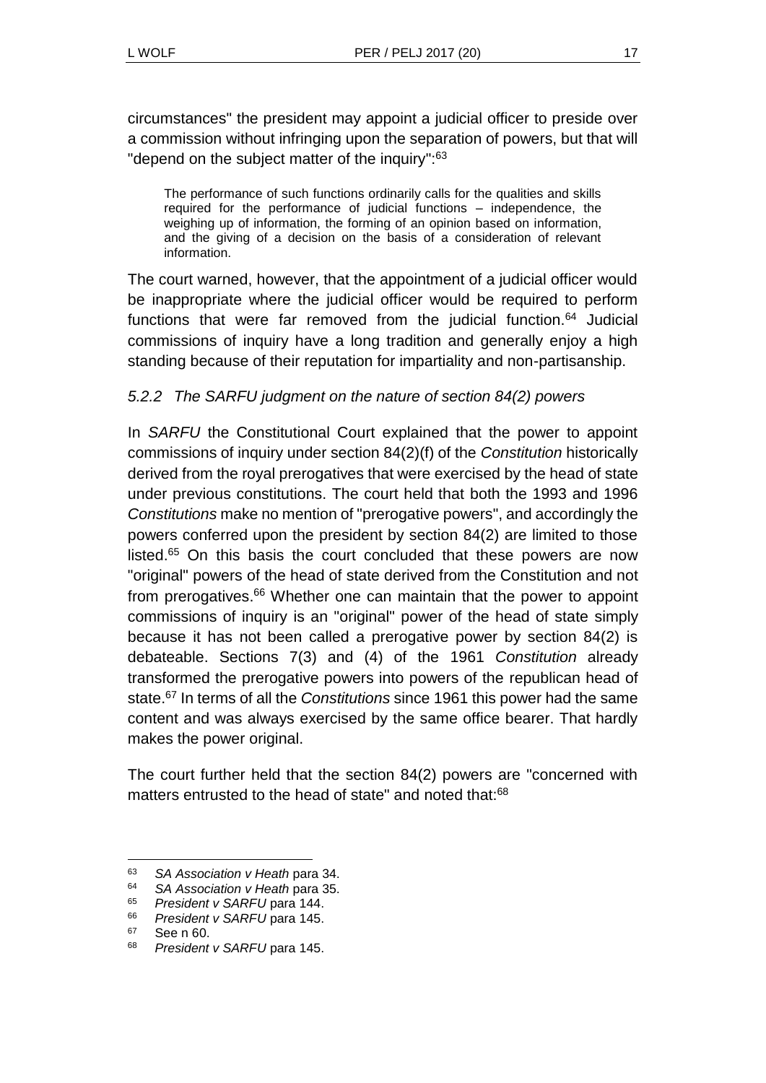circumstances" the president may appoint a judicial officer to preside over a commission without infringing upon the separation of powers, but that will "depend on the subject matter of the inquiry":<sup>63</sup>

The performance of such functions ordinarily calls for the qualities and skills required for the performance of judicial functions – independence, the weighing up of information, the forming of an opinion based on information, and the giving of a decision on the basis of a consideration of relevant information.

The court warned, however, that the appointment of a judicial officer would be inappropriate where the judicial officer would be required to perform functions that were far removed from the judicial function.<sup>64</sup> Judicial commissions of inquiry have a long tradition and generally enjoy a high standing because of their reputation for impartiality and non-partisanship.

## *5.2.2 The SARFU judgment on the nature of section 84(2) powers*

In *SARFU* the Constitutional Court explained that the power to appoint commissions of inquiry under section 84(2)(f) of the *Constitution* historically derived from the royal prerogatives that were exercised by the head of state under previous constitutions. The court held that both the 1993 and 1996 *Constitutions* make no mention of "prerogative powers", and accordingly the powers conferred upon the president by section 84(2) are limited to those listed.<sup>65</sup> On this basis the court concluded that these powers are now "original" powers of the head of state derived from the Constitution and not from prerogatives.<sup>66</sup> Whether one can maintain that the power to appoint commissions of inquiry is an "original" power of the head of state simply because it has not been called a prerogative power by section 84(2) is debateable. Sections 7(3) and (4) of the 1961 *Constitution* already transformed the prerogative powers into powers of the republican head of state. <sup>67</sup> In terms of all the *Constitutions* since 1961 this power had the same content and was always exercised by the same office bearer. That hardly makes the power original.

The court further held that the section 84(2) powers are "concerned with matters entrusted to the head of state" and noted that:<sup>68</sup>

l

<sup>63</sup> *SA Association v Heath* para 34.

<sup>64</sup> *SA Association v Heath* para 35.

<sup>65</sup> *President v SARFU* para 144.

<sup>66</sup> *President v SARFU* para 145.

<sup>67</sup> See n [60.](#page-15-0)

<sup>68</sup> *President v SARFU* para 145.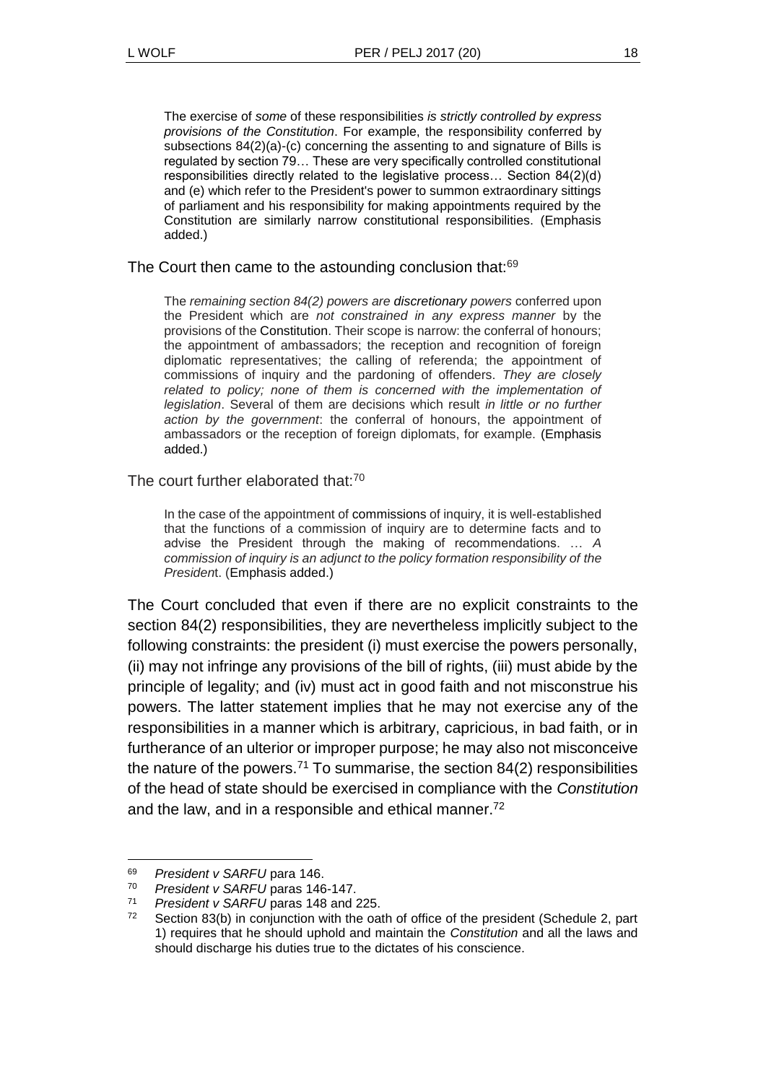The exercise of *some* of these responsibilities *is strictly controlled by express provisions of the Constitution*. For example, the responsibility conferred by subsections 84(2)(a)-(c) concerning the assenting to and signature of Bills is regulated by section 79… These are very specifically controlled constitutional responsibilities directly related to the legislative process… Section 84(2)(d) and (e) which refer to the President's power to summon extraordinary sittings of parliament and his responsibility for making appointments required by the Constitution are similarly narrow constitutional responsibilities. (Emphasis added.)

The Court then came to the astounding conclusion that:<sup>69</sup>

The *remaining section 84(2) powers are discretionary powers* conferred upon the President which are *not constrained in any express manner* by the provisions of the Constitution. Their scope is narrow: the conferral of honours; the appointment of ambassadors; the reception and recognition of foreign diplomatic representatives; the calling of referenda; the appointment of commissions of inquiry and the pardoning of offenders. *They are closely*  related to policy; none of them is concerned with the implementation of *legislation*. Several of them are decisions which result *in little or no further action by the government*: the conferral of honours, the appointment of ambassadors or the reception of foreign diplomats, for example. (Emphasis added.)

The court further elaborated that:<sup>70</sup>

In the case of the appointment of commissions of inquiry, it is well-established that the functions of a commission of inquiry are to determine facts and to advise the President through the making of recommendations. … *A commission of inquiry is an adjunct to the policy formation responsibility of the Presiden*t. (Emphasis added.)

The Court concluded that even if there are no explicit constraints to the section 84(2) responsibilities, they are nevertheless implicitly subject to the following constraints: the president (i) must exercise the powers personally, (ii) may not infringe any provisions of the bill of rights, (iii) must abide by the principle of legality; and (iv) must act in good faith and not misconstrue his powers. The latter statement implies that he may not exercise any of the responsibilities in a manner which is arbitrary, capricious, in bad faith, or in furtherance of an ulterior or improper purpose; he may also not misconceive the nature of the powers.<sup>71</sup> To summarise, the section  $84(2)$  responsibilities of the head of state should be exercised in compliance with the *Constitution*  and the law, and in a responsible and ethical manner.<sup>72</sup>

<span id="page-17-0"></span>l

<sup>69</sup> *President v SARFU* para 146.

President v SARFU paras 146-147.

<sup>71</sup> *President v SARFU* paras 148 and 225.

 $72$  Section 83(b) in conjunction with the oath of office of the president (Schedule 2, part 1) requires that he should uphold and maintain the *Constitution* and all the laws and should discharge his duties true to the dictates of his conscience.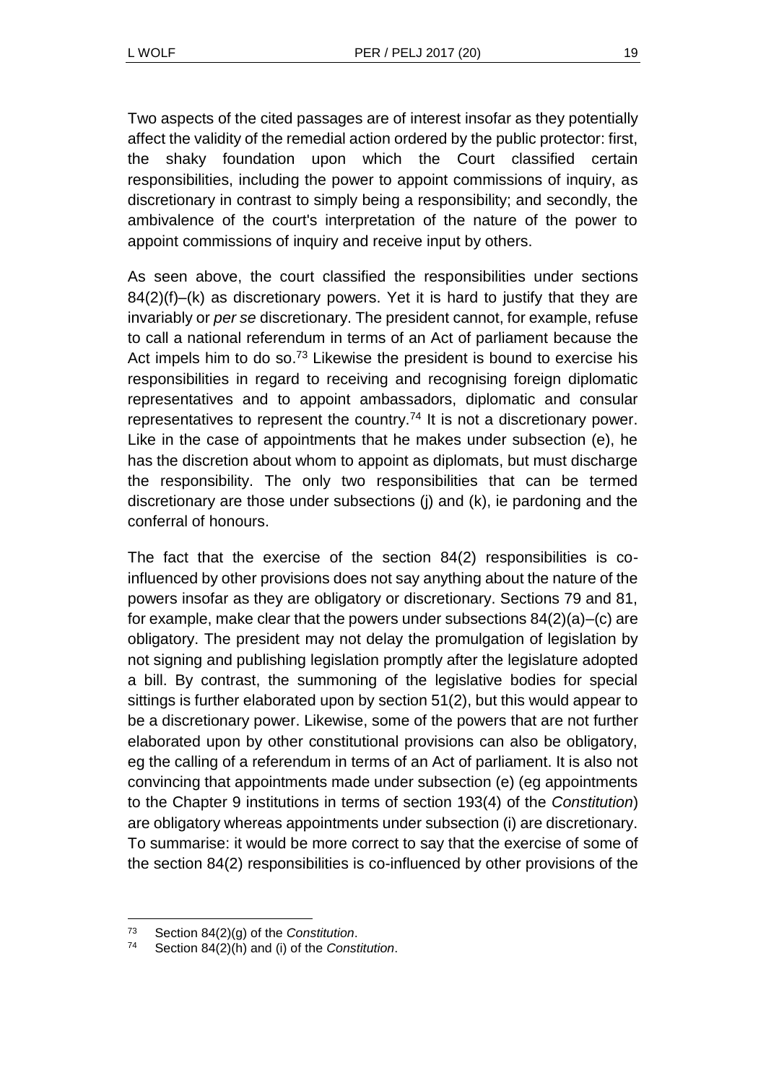Two aspects of the cited passages are of interest insofar as they potentially affect the validity of the remedial action ordered by the public protector: first, the shaky foundation upon which the Court classified certain responsibilities, including the power to appoint commissions of inquiry, as discretionary in contrast to simply being a responsibility; and secondly, the ambivalence of the court's interpretation of the nature of the power to appoint commissions of inquiry and receive input by others.

As seen above, the court classified the responsibilities under sections 84(2)(f)–(k) as discretionary powers. Yet it is hard to justify that they are invariably or *per se* discretionary. The president cannot, for example, refuse to call a national referendum in terms of an Act of parliament because the Act impels him to do so.<sup>73</sup> Likewise the president is bound to exercise his responsibilities in regard to receiving and recognising foreign diplomatic representatives and to appoint ambassadors, diplomatic and consular representatives to represent the country.<sup>74</sup> It is not a discretionary power. Like in the case of appointments that he makes under subsection (e), he has the discretion about whom to appoint as diplomats, but must discharge the responsibility. The only two responsibilities that can be termed discretionary are those under subsections (j) and (k), ie pardoning and the conferral of honours.

The fact that the exercise of the section 84(2) responsibilities is coinfluenced by other provisions does not say anything about the nature of the powers insofar as they are obligatory or discretionary. Sections 79 and 81, for example, make clear that the powers under subsections 84(2)(a)–(c) are obligatory. The president may not delay the promulgation of legislation by not signing and publishing legislation promptly after the legislature adopted a bill. By contrast, the summoning of the legislative bodies for special sittings is further elaborated upon by section 51(2), but this would appear to be a discretionary power. Likewise, some of the powers that are not further elaborated upon by other constitutional provisions can also be obligatory, eg the calling of a referendum in terms of an Act of parliament. It is also not convincing that appointments made under subsection (e) (eg appointments to the Chapter 9 institutions in terms of section 193(4) of the *Constitution*) are obligatory whereas appointments under subsection (i) are discretionary. To summarise: it would be more correct to say that the exercise of some of the section 84(2) responsibilities is co-influenced by other provisions of the

l <sup>73</sup> Section 84(2)(g) of the *Constitution*.

<sup>74</sup> Section 84(2)(h) and (i) of the *Constitution*.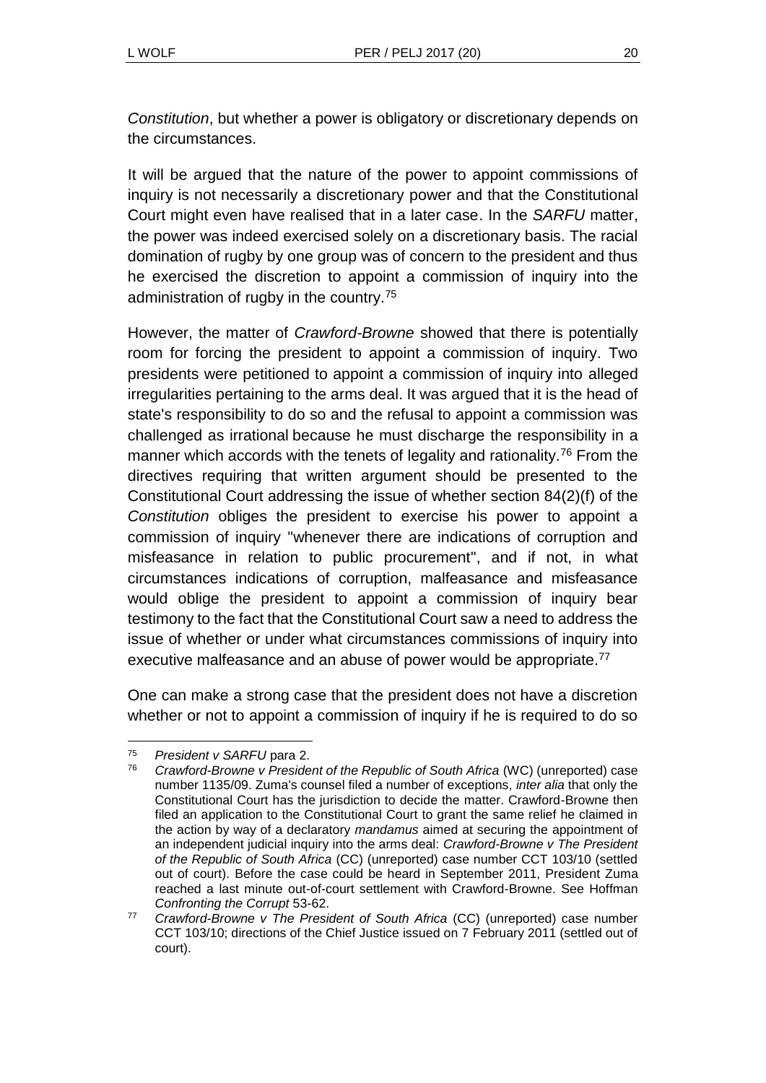*Constitution*, but whether a power is obligatory or discretionary depends on the circumstances.

It will be argued that the nature of the power to appoint commissions of inquiry is not necessarily a discretionary power and that the Constitutional Court might even have realised that in a later case. In the *SARFU* matter, the power was indeed exercised solely on a discretionary basis. The racial domination of rugby by one group was of concern to the president and thus he exercised the discretion to appoint a commission of inquiry into the administration of rugby in the country.<sup>75</sup>

However, the matter of *Crawford-Browne* showed that there is potentially room for forcing the president to appoint a commission of inquiry. Two presidents were petitioned to appoint a commission of inquiry into alleged irregularities pertaining to the arms deal. It was argued that it is the head of state's responsibility to do so and the refusal to appoint a commission was challenged as irrational because he must discharge the responsibility in a manner which accords with the tenets of legality and rationality.<sup>76</sup> From the directives requiring that written argument should be presented to the Constitutional Court addressing the issue of whether section 84(2)(f) of the *Constitution* obliges the president to exercise his power to appoint a commission of inquiry "whenever there are indications of corruption and misfeasance in relation to public procurement", and if not, in what circumstances indications of corruption, malfeasance and misfeasance would oblige the president to appoint a commission of inquiry bear testimony to the fact that the Constitutional Court saw a need to address the issue of whether or under what circumstances commissions of inquiry into executive malfeasance and an abuse of power would be appropriate.<sup>77</sup>

One can make a strong case that the president does not have a discretion whether or not to appoint a commission of inquiry if he is required to do so

l <sup>75</sup> *President v SARFU* para 2.

<sup>76</sup> *Crawford-Browne v President of the Republic of South Africa* (WC) (unreported) case number 1135/09. Zuma's counsel filed a number of exceptions, *inter alia* that only the Constitutional Court has the jurisdiction to decide the matter. Crawford-Browne then filed an application to the Constitutional Court to grant the same relief he claimed in the action by way of a declaratory *mandamus* aimed at securing the appointment of an independent judicial inquiry into the arms deal: *Crawford-Browne v The President of the Republic of South Africa* (CC) (unreported) case number CCT 103/10 (settled out of court). Before the case could be heard in September 2011, President Zuma reached a last minute out-of-court settlement with Crawford-Browne. See Hoffman *Confronting the Corrupt* 53-62.

<sup>77</sup> *Crawford-Browne v The President of South Africa* (CC) (unreported) case number CCT 103/10; directions of the Chief Justice issued on 7 February 2011 (settled out of court).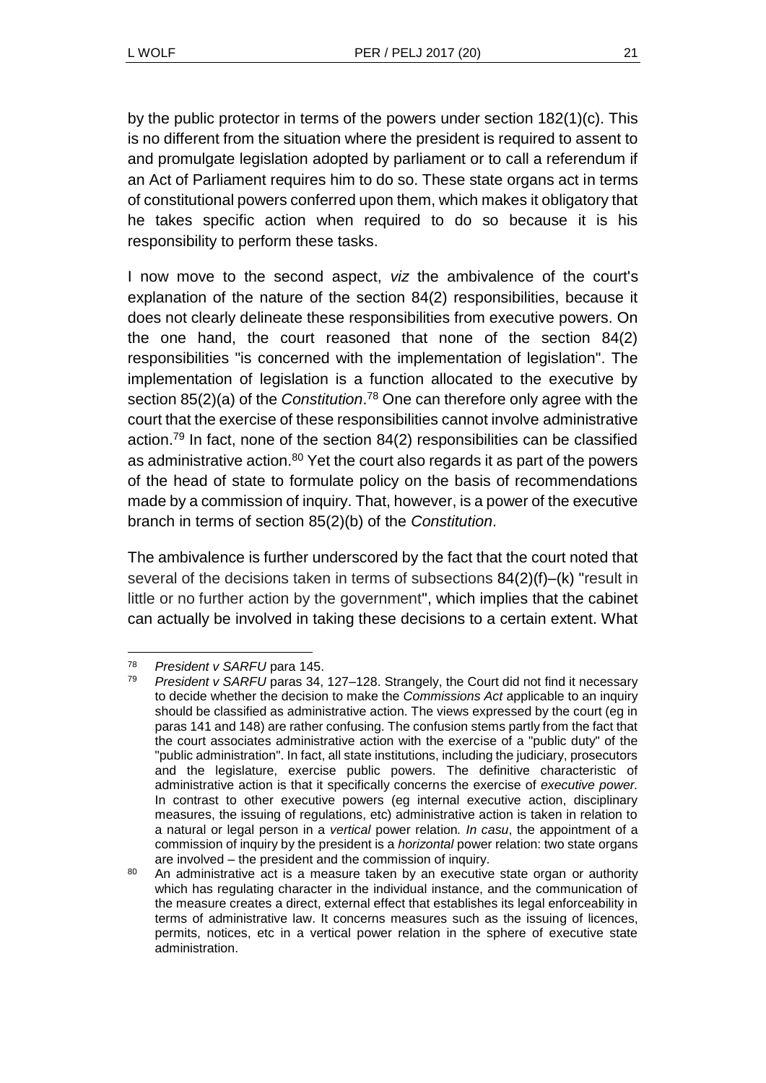by the public protector in terms of the powers under section 182(1)(c). This is no different from the situation where the president is required to assent to and promulgate legislation adopted by parliament or to call a referendum if an Act of Parliament requires him to do so. These state organs act in terms of constitutional powers conferred upon them, which makes it obligatory that he takes specific action when required to do so because it is his responsibility to perform these tasks.

I now move to the second aspect, *viz* the ambivalence of the court's explanation of the nature of the section 84(2) responsibilities, because it does not clearly delineate these responsibilities from executive powers. On the one hand, the court reasoned that none of the section 84(2) responsibilities "is concerned with the implementation of legislation". The implementation of legislation is a function allocated to the executive by section 85(2)(a) of the *Constitution*. <sup>78</sup> One can therefore only agree with the court that the exercise of these responsibilities cannot involve administrative action.<sup>79</sup> In fact, none of the section 84(2) responsibilities can be classified as administrative action.<sup>80</sup> Yet the court also regards it as part of the powers of the head of state to formulate policy on the basis of recommendations made by a commission of inquiry. That, however, is a power of the executive branch in terms of section 85(2)(b) of the *Constitution*.

The ambivalence is further underscored by the fact that the court noted that several of the decisions taken in terms of subsections 84(2)(f)–(k) "result in little or no further action by the government", which implies that the cabinet can actually be involved in taking these decisions to a certain extent. What

l <sup>78</sup> *President v SARFU* para 145.

President v SARFU paras 34, 127–128. Strangely, the Court did not find it necessary to decide whether the decision to make the *Commissions Act* applicable to an inquiry should be classified as administrative action. The views expressed by the court (eg in paras 141 and 148) are rather confusing. The confusion stems partly from the fact that the court associates administrative action with the exercise of a "public duty" of the "public administration". In fact, all state institutions, including the judiciary, prosecutors and the legislature, exercise public powers. The definitive characteristic of administrative action is that it specifically concerns the exercise of *executive power.* In contrast to other executive powers (eg internal executive action, disciplinary measures, the issuing of regulations, etc) administrative action is taken in relation to a natural or legal person in a *vertical* power relation*. In casu*, the appointment of a commission of inquiry by the president is a *horizontal* power relation: two state organs are involved – the president and the commission of inquiry.

<sup>&</sup>lt;sup>80</sup> An administrative act is a measure taken by an executive state organ or authority which has regulating character in the individual instance, and the communication of the measure creates a direct, external effect that establishes its legal enforceability in terms of administrative law. It concerns measures such as the issuing of licences, permits, notices, etc in a vertical power relation in the sphere of executive state administration.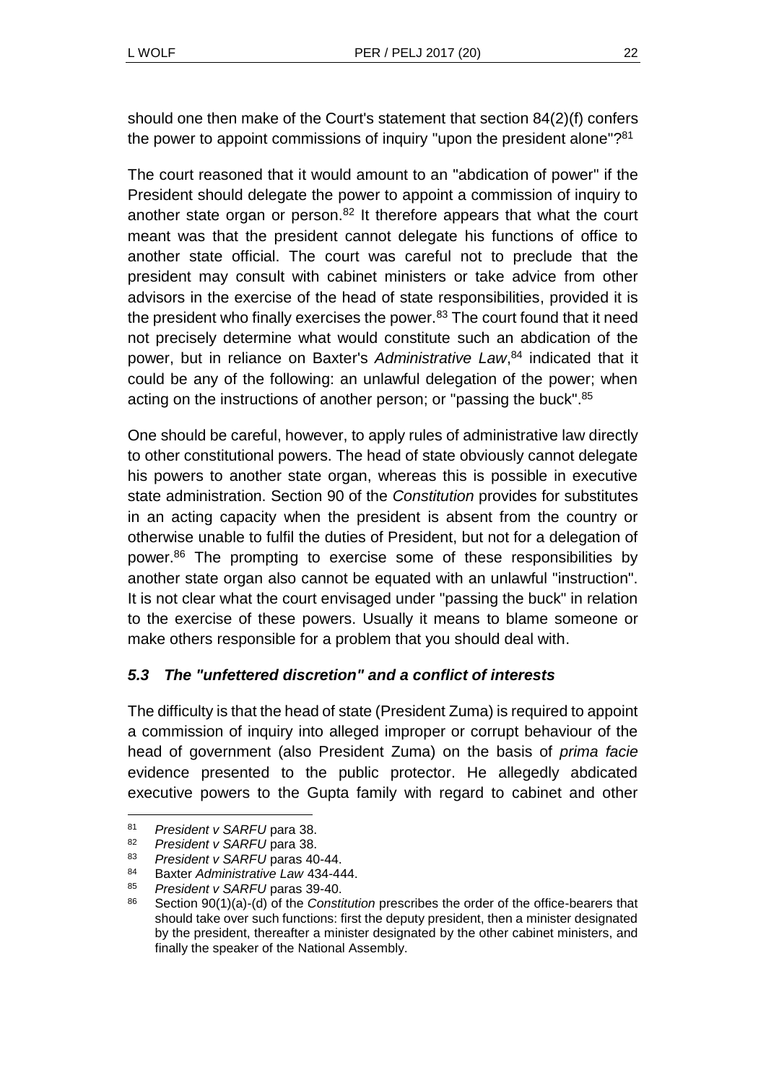should one then make of the Court's statement that section 84(2)(f) confers the power to appoint commissions of inquiry "upon the president alone"?<sup>81</sup>

The court reasoned that it would amount to an "abdication of power" if the President should delegate the power to appoint a commission of inquiry to another state organ or person.<sup>82</sup> It therefore appears that what the court meant was that the president cannot delegate his functions of office to another state official. The court was careful not to preclude that the president may consult with cabinet ministers or take advice from other advisors in the exercise of the head of state responsibilities, provided it is the president who finally exercises the power. $83$  The court found that it need not precisely determine what would constitute such an abdication of the power, but in reliance on Baxter's *Administrative Law*, <sup>84</sup> indicated that it could be any of the following: an unlawful delegation of the power; when acting on the instructions of another person; or "passing the buck".<sup>85</sup>

One should be careful, however, to apply rules of administrative law directly to other constitutional powers. The head of state obviously cannot delegate his powers to another state organ, whereas this is possible in executive state administration. Section 90 of the *Constitution* provides for substitutes in an acting capacity when the president is absent from the country or otherwise unable to fulfil the duties of President, but not for a delegation of power.<sup>86</sup> The prompting to exercise some of these responsibilities by another state organ also cannot be equated with an unlawful "instruction". It is not clear what the court envisaged under "passing the buck" in relation to the exercise of these powers. Usually it means to blame someone or make others responsible for a problem that you should deal with.

## *5.3 The "unfettered discretion" and a conflict of interests*

The difficulty is that the head of state (President Zuma) is required to appoint a commission of inquiry into alleged improper or corrupt behaviour of the head of government (also President Zuma) on the basis of *prima facie* evidence presented to the public protector. He allegedly abdicated executive powers to the Gupta family with regard to cabinet and other

l

<sup>81</sup> *President v SARFU* para 38.

**President v SARFU** para 38.

<sup>83</sup> *President v SARFU* paras 40-44.

<sup>84</sup> Baxter *Administrative Law* 434-444.

<sup>85</sup> *President v SARFU* paras 39-40.

<sup>86</sup> Section 90(1)(a)-(d) of the *Constitution* prescribes the order of the office-bearers that should take over such functions: first the deputy president, then a minister designated by the president, thereafter a minister designated by the other cabinet ministers, and finally the speaker of the National Assembly.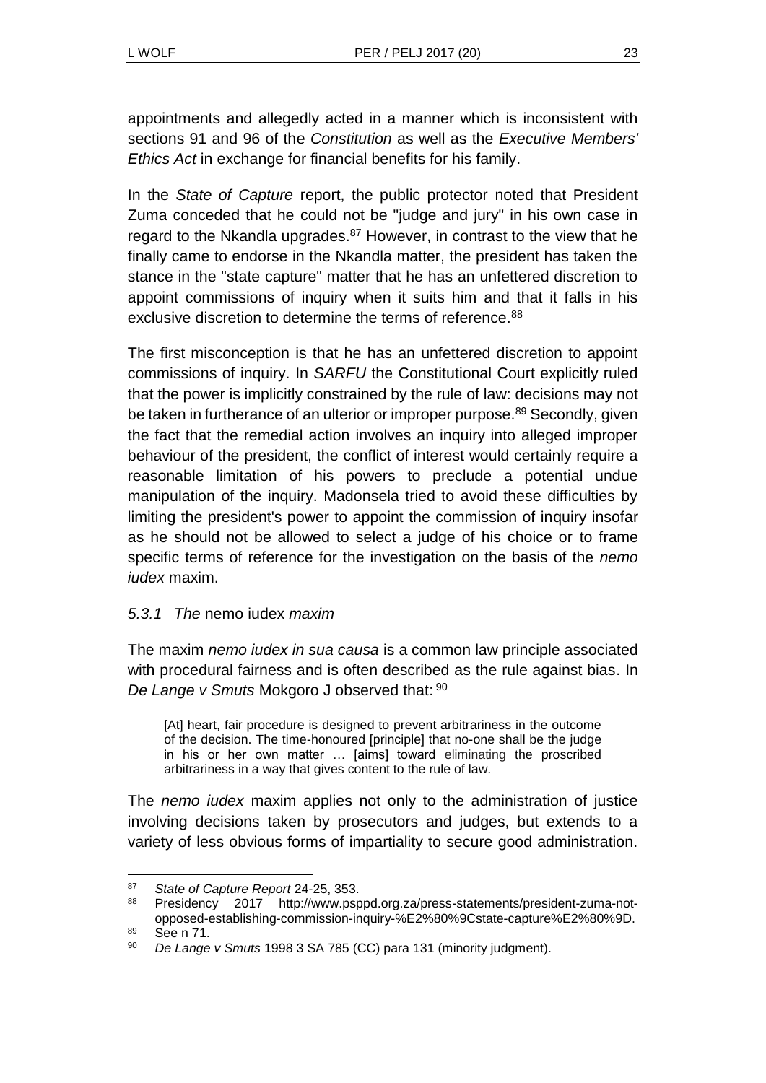appointments and allegedly acted in a manner which is inconsistent with sections 91 and 96 of the *Constitution* as well as the *Executive Members' Ethics Act* in exchange for financial benefits for his family.

In the *State of Capture* report, the public protector noted that President Zuma conceded that he could not be "judge and jury" in his own case in regard to the Nkandla upgrades.<sup>87</sup> However, in contrast to the view that he finally came to endorse in the Nkandla matter, the president has taken the stance in the "state capture" matter that he has an unfettered discretion to appoint commissions of inquiry when it suits him and that it falls in his exclusive discretion to determine the terms of reference.<sup>88</sup>

The first misconception is that he has an unfettered discretion to appoint commissions of inquiry. In *SARFU* the Constitutional Court explicitly ruled that the power is implicitly constrained by the rule of law: decisions may not be taken in furtherance of an ulterior or improper purpose.<sup>89</sup> Secondly, given the fact that the remedial action involves an inquiry into alleged improper behaviour of the president, the conflict of interest would certainly require a reasonable limitation of his powers to preclude a potential undue manipulation of the inquiry. Madonsela tried to avoid these difficulties by limiting the president's power to appoint the commission of inquiry insofar as he should not be allowed to select a judge of his choice or to frame specific terms of reference for the investigation on the basis of the *nemo iudex* maxim.

### *5.3.1 The* nemo iudex *maxim*

The maxim *nemo iudex in sua causa* is a common law principle associated with procedural fairness and is often described as the rule against bias. In *De Lange v Smuts* Mokgoro J observed that: 90

[At] heart, fair procedure is designed to prevent arbitrariness in the outcome of the decision. The time-honoured [principle] that no-one shall be the judge in his or her own matter … [aims] toward eliminating the proscribed arbitrariness in a way that gives content to the rule of law.

The *nemo iudex* maxim applies not only to the administration of justice involving decisions taken by prosecutors and judges, but extends to a variety of less obvious forms of impartiality to secure good administration.

l <sup>87</sup> *State of Capture Report* 24-25, 353.

<sup>88</sup> Presidency 2017 http://www.psppd.org.za/press-statements/president-zuma-notopposed-establishing-commission-inquiry-%E2%80%9Cstate-capture%E2%80%9D. <sup>89</sup> See n [71.](#page-17-0)

<sup>90</sup> *De Lange v Smuts* 1998 3 SA 785 (CC) para 131 (minority judgment).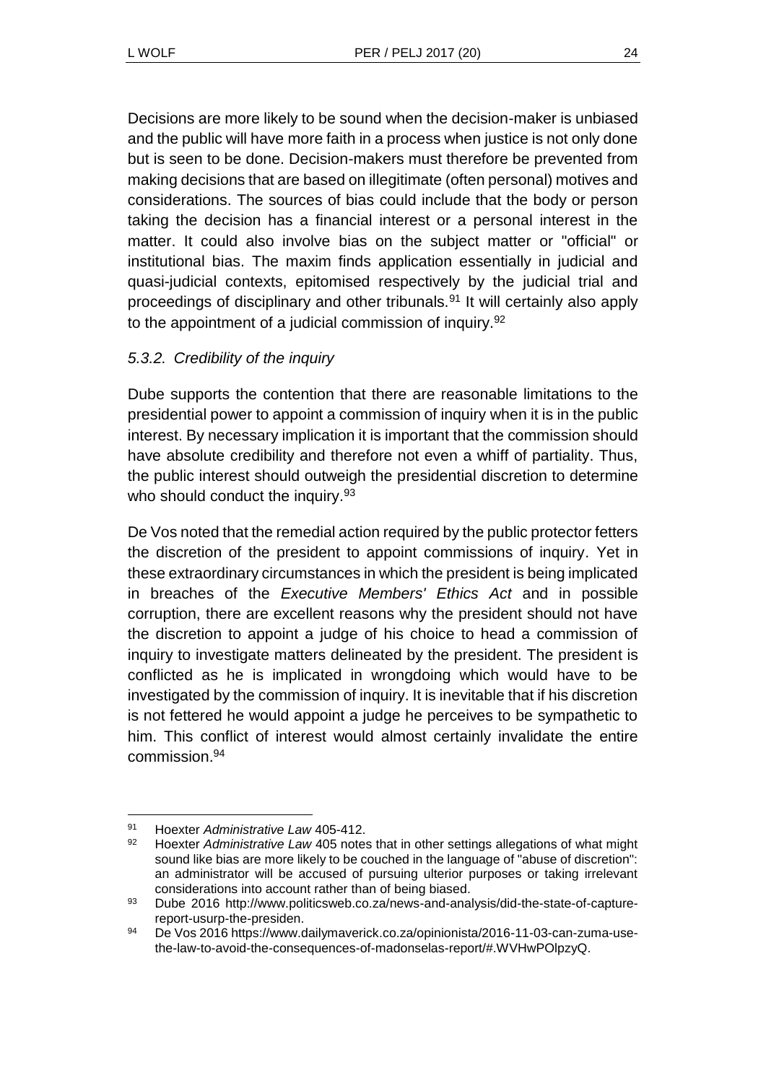Decisions are more likely to be sound when the decision-maker is unbiased and the public will have more faith in a process when justice is not only done but is seen to be done. Decision-makers must therefore be prevented from making decisions that are based on illegitimate (often personal) motives and considerations. The sources of bias could include that the body or person taking the decision has a financial interest or a personal interest in the matter. It could also involve bias on the subject matter or "official" or institutional bias. The maxim finds application essentially in judicial and quasi-judicial contexts, epitomised respectively by the judicial trial and proceedings of disciplinary and other tribunals.<sup>91</sup> It will certainly also apply to the appointment of a judicial commission of inquiry.<sup>92</sup>

## *5.3.2. Credibility of the inquiry*

Dube supports the contention that there are reasonable limitations to the presidential power to appoint a commission of inquiry when it is in the public interest. By necessary implication it is important that the commission should have absolute credibility and therefore not even a whiff of partiality. Thus, the public interest should outweigh the presidential discretion to determine who should conduct the inquiry.<sup>93</sup>

De Vos noted that the remedial action required by the public protector fetters the discretion of the president to appoint commissions of inquiry. Yet in these extraordinary circumstances in which the president is being implicated in breaches of the *Executive Members' Ethics Act* and in possible corruption, there are excellent reasons why the president should not have the discretion to appoint a judge of his choice to head a commission of inquiry to investigate matters delineated by the president. The president is conflicted as he is implicated in wrongdoing which would have to be investigated by the commission of inquiry. It is inevitable that if his discretion is not fettered he would appoint a judge he perceives to be sympathetic to him. This conflict of interest would almost certainly invalidate the entire commission<sup>94</sup>

l

<sup>91</sup> Hoexter *Administrative Law* 405-412.

<sup>92</sup> Hoexter *Administrative Law* 405 notes that in other settings allegations of what might sound like bias are more likely to be couched in the language of "abuse of discretion": an administrator will be accused of pursuing ulterior purposes or taking irrelevant considerations into account rather than of being biased.

<sup>93</sup> Dube 2016 http://www.politicsweb.co.za/news-and-analysis/did-the-state-of-capturereport-usurp-the-presiden.

<sup>94</sup> De Vos 2016 https://www.dailymaverick.co.za/opinionista/2016-11-03-can-zuma-usethe-law-to-avoid-the-consequences-of-madonselas-report/#.WVHwPOlpzyQ.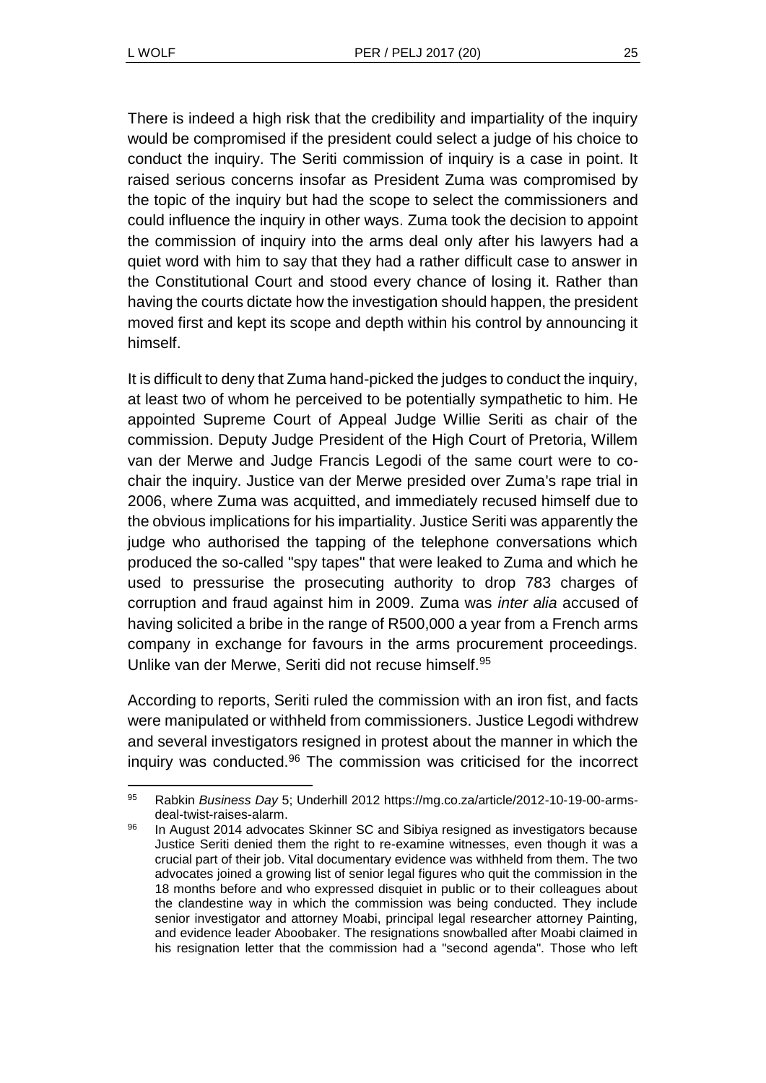There is indeed a high risk that the credibility and impartiality of the inquiry would be compromised if the president could select a judge of his choice to conduct the inquiry. The Seriti commission of inquiry is a case in point. It raised serious concerns insofar as President Zuma was compromised by the topic of the inquiry but had the scope to select the commissioners and could influence the inquiry in other ways. Zuma took the decision to appoint the commission of inquiry into the arms deal only after his lawyers had a quiet word with him to say that they had a rather difficult case to answer in the Constitutional Court and stood every chance of losing it. Rather than having the courts dictate how the investigation should happen, the president moved first and kept its scope and depth within his control by announcing it himself.

It is difficult to deny that Zuma hand-picked the judges to conduct the inquiry, at least two of whom he perceived to be potentially sympathetic to him. He appointed Supreme Court of Appeal Judge Willie Seriti as chair of the commission. Deputy Judge President of the High Court of Pretoria, Willem van der Merwe and Judge Francis Legodi of the same court were to cochair the inquiry. Justice van der Merwe presided over Zuma's rape trial in 2006, where Zuma was acquitted, and immediately recused himself due to the obvious implications for his impartiality. Justice Seriti was apparently the judge who authorised the tapping of the telephone conversations which produced the so-called "spy tapes" that were leaked to Zuma and which he used to pressurise the prosecuting authority to drop 783 charges of corruption and fraud against him in 2009. Zuma was *inter alia* accused of having solicited a bribe in the range of R500,000 a year from a French arms company in exchange for favours in the arms procurement proceedings. Unlike van der Merwe, Seriti did not recuse himself.<sup>95</sup>

According to reports, Seriti ruled the commission with an iron fist, and facts were manipulated or withheld from commissioners. Justice Legodi withdrew and several investigators resigned in protest about the manner in which the inquiry was conducted.<sup>96</sup> The commission was criticised for the incorrect

l <sup>95</sup> Rabkin *Business Day* 5; Underhill 2012 https://mg.co.za/article/2012-10-19-00-armsdeal-twist-raises-alarm.

<sup>96</sup> In August 2014 advocates Skinner SC and Sibiya resigned as investigators because Justice Seriti denied them the right to re-examine witnesses, even though it was a crucial part of their job. Vital documentary evidence was withheld from them. The two advocates joined a growing list of senior legal figures who quit the commission in the 18 months before and who expressed disquiet in public or to their colleagues about the clandestine way in which the commission was being conducted. They include senior investigator and attorney Moabi, principal legal researcher attorney Painting, and evidence leader Aboobaker. The resignations snowballed after Moabi claimed in his resignation letter that the commission had a "second agenda". Those who left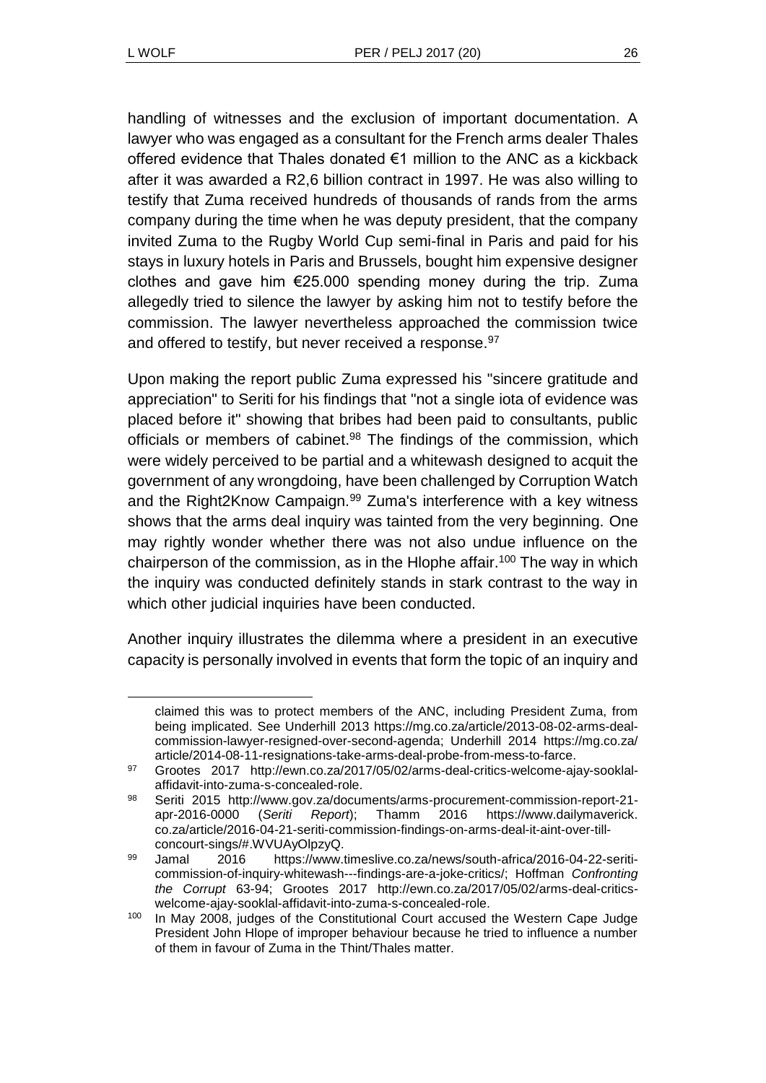handling of witnesses and the exclusion of important documentation. A lawyer who was engaged as a consultant for the French arms dealer Thales offered evidence that Thales donated €1 million to the ANC as a kickback after it was awarded a R2,6 billion contract in 1997. He was also willing to testify that Zuma received hundreds of thousands of rands from the arms company during the time when he was deputy president, that the company invited Zuma to the Rugby World Cup semi-final in Paris and paid for his stays in luxury hotels in Paris and Brussels, bought him expensive designer clothes and gave him €25.000 spending money during the trip. Zuma allegedly tried to silence the lawyer by asking him not to testify before the commission. The lawyer nevertheless approached the commission twice and offered to testify, but never received a response.<sup>97</sup>

Upon making the report public Zuma expressed his "sincere gratitude and appreciation" to Seriti for his findings that "not a single iota of evidence was placed before it" showing that bribes had been paid to consultants, public officials or members of cabinet.<sup>98</sup> The findings of the commission, which were widely perceived to be partial and a whitewash designed to acquit the government of any wrongdoing, have been challenged by Corruption Watch and the Right2Know Campaign.<sup>99</sup> Zuma's interference with a key witness shows that the arms deal inquiry was tainted from the very beginning. One may rightly wonder whether there was not also undue influence on the chairperson of the commission, as in the Hlophe affair.<sup>100</sup> The way in which the inquiry was conducted definitely stands in stark contrast to the way in which other judicial inquiries have been conducted.

Another inquiry illustrates the dilemma where a president in an executive capacity is personally involved in events that form the topic of an inquiry and

claimed this was to protect members of the ANC, including President Zuma, from being implicated. See Underhill 2013 https://mg.co.za/article/2013-08-02-arms-dealcommission-lawyer-resigned-over-second-agenda; Underhill 2014 https://mg.co.za/ article/2014-08-11-resignations-take-arms-deal-probe-from-mess-to-farce.

<sup>97</sup> Grootes 2017 http://ewn.co.za/2017/05/02/arms-deal-critics-welcome-ajay-sooklalaffidavit-into-zuma-s-concealed-role.

<sup>98</sup> Seriti 2015 http://www.gov.za/documents/arms-procurement-commission-report-21 apr-2016-0000 (*Seriti Report*); Thamm 2016 https://www.dailymaverick. co.za/article/2016-04-21-seriti-commission-findings-on-arms-deal-it-aint-over-tillconcourt-sings/#.WVUAyOlpzyQ.

<sup>99</sup> Jamal 2016 https://www.timeslive.co.za/news/south-africa/2016-04-22-seriticommission-of-inquiry-whitewash---findings-are-a-joke-critics/; Hoffman *Confronting the Corrupt* 63-94; Grootes 2017 http://ewn.co.za/2017/05/02/arms-deal-criticswelcome-ajay-sooklal-affidavit-into-zuma-s-concealed-role.

<sup>&</sup>lt;sup>100</sup> In May 2008, judges of the Constitutional Court accused the Western Cape Judge President John Hlope of improper behaviour because he tried to influence a number of them in favour of Zuma in the Thint/Thales matter.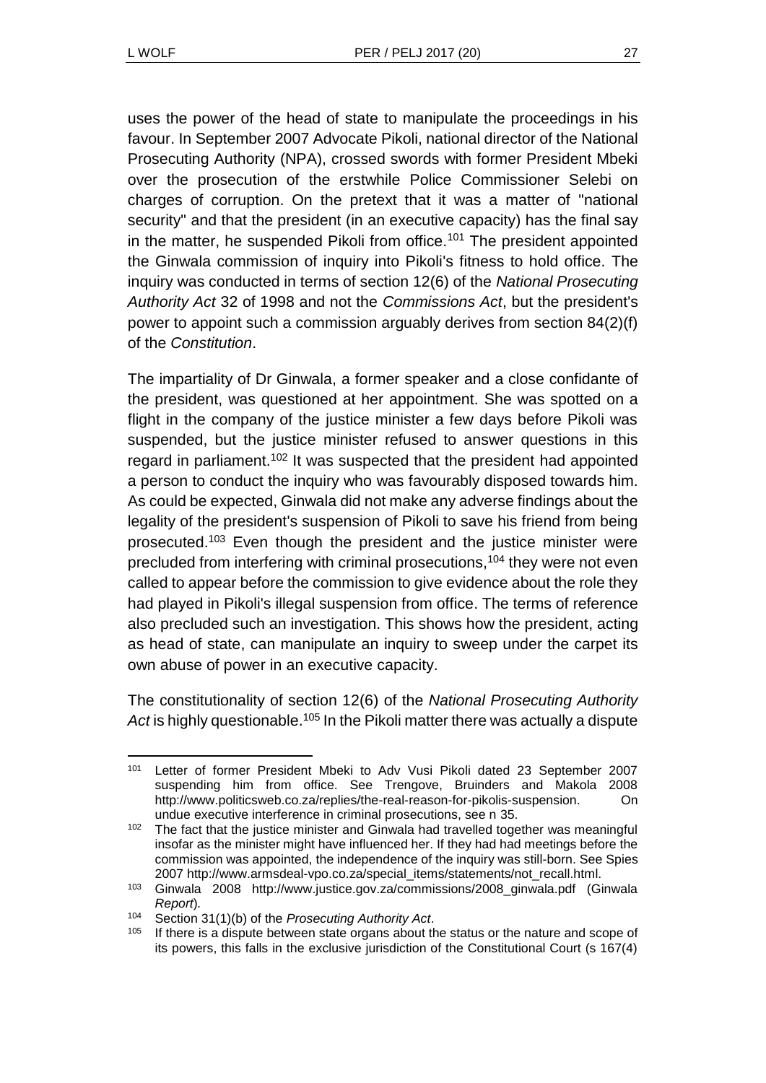uses the power of the head of state to manipulate the proceedings in his favour. In September 2007 Advocate Pikoli, national director of the National Prosecuting Authority (NPA), crossed swords with former President Mbeki over the prosecution of the erstwhile Police Commissioner Selebi on charges of corruption. On the pretext that it was a matter of "national security" and that the president (in an executive capacity) has the final say in the matter, he suspended Pikoli from office.<sup>101</sup> The president appointed the Ginwala commission of inquiry into Pikoli's fitness to hold office. The inquiry was conducted in terms of section 12(6) of the *National Prosecuting Authority Act* 32 of 1998 and not the *Commissions Act*, but the president's power to appoint such a commission arguably derives from section 84(2)(f) of the *Constitution*.

The impartiality of Dr Ginwala, a former speaker and a close confidante of the president, was questioned at her appointment. She was spotted on a flight in the company of the justice minister a few days before Pikoli was suspended, but the justice minister refused to answer questions in this regard in parliament.<sup>102</sup> It was suspected that the president had appointed a person to conduct the inquiry who was favourably disposed towards him. As could be expected, Ginwala did not make any adverse findings about the legality of the president's suspension of Pikoli to save his friend from being prosecuted.<sup>103</sup> Even though the president and the justice minister were precluded from interfering with criminal prosecutions,<sup>104</sup> they were not even called to appear before the commission to give evidence about the role they had played in Pikoli's illegal suspension from office. The terms of reference also precluded such an investigation. This shows how the president, acting as head of state, can manipulate an inquiry to sweep under the carpet its own abuse of power in an executive capacity.

The constitutionality of section 12(6) of the *National Prosecuting Authority*  Act is highly questionable.<sup>105</sup> In the Pikoli matter there was actually a dispute

<sup>101</sup> Letter of former President Mbeki to Adv Vusi Pikoli dated 23 September 2007 suspending him from office. See Trengove, Bruinders and Makola 2008 http://www.politicsweb.co.za/replies/the-real-reason-for-pikolis-suspension. On undue executive interference in criminal prosecutions, see n [35.](#page-8-0)

 $102$  The fact that the justice minister and Ginwala had travelled together was meaningful insofar as the minister might have influenced her. If they had had meetings before the commission was appointed, the independence of the inquiry was still-born. See Spies 2007 http://www.armsdeal-vpo.co.za/special\_items/statements/not\_recall.html.

<sup>103</sup> Ginwala 2008 http://www.justice.gov.za/commissions/2008\_ginwala.pdf (Ginwala *Report*)*.*

<sup>104</sup> Section 31(1)(b) of the *Prosecuting Authority Act*.

<sup>&</sup>lt;sup>105</sup> If there is a dispute between state organs about the status or the nature and scope of its powers, this falls in the exclusive jurisdiction of the Constitutional Court (s 167(4)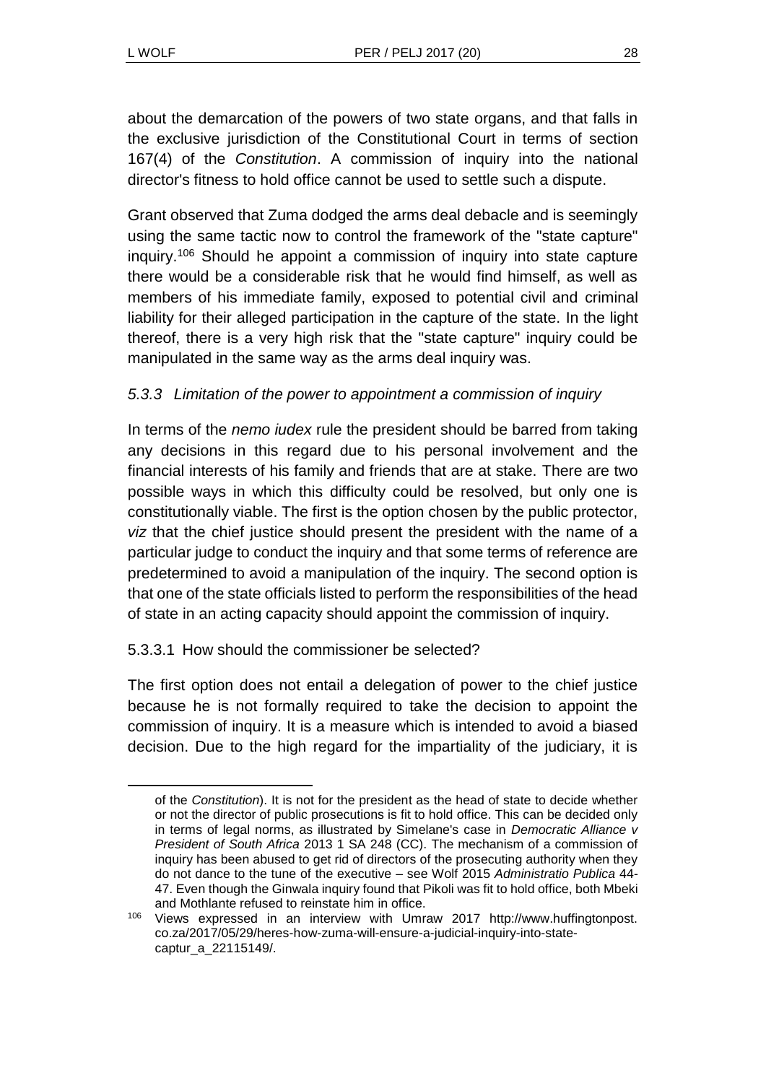about the demarcation of the powers of two state organs, and that falls in the exclusive jurisdiction of the Constitutional Court in terms of section 167(4) of the *Constitution*. A commission of inquiry into the national director's fitness to hold office cannot be used to settle such a dispute.

Grant observed that Zuma dodged the arms deal debacle and is seemingly using the same tactic now to control the framework of the "state capture" inquiry.<sup>106</sup> Should he appoint a commission of inquiry into state capture there would be a considerable risk that he would find himself, as well as members of his immediate family, exposed to potential civil and criminal liability for their alleged participation in the capture of the state. In the light thereof, there is a very high risk that the "state capture" inquiry could be manipulated in the same way as the arms deal inquiry was.

## *5.3.3 Limitation of the power to appointment a commission of inquiry*

In terms of the *nemo iudex* rule the president should be barred from taking any decisions in this regard due to his personal involvement and the financial interests of his family and friends that are at stake. There are two possible ways in which this difficulty could be resolved, but only one is constitutionally viable. The first is the option chosen by the public protector, *viz* that the chief justice should present the president with the name of a particular judge to conduct the inquiry and that some terms of reference are predetermined to avoid a manipulation of the inquiry. The second option is that one of the state officials listed to perform the responsibilities of the head of state in an acting capacity should appoint the commission of inquiry.

### 5.3.3.1 How should the commissioner be selected?

The first option does not entail a delegation of power to the chief justice because he is not formally required to take the decision to appoint the commission of inquiry. It is a measure which is intended to avoid a biased decision. Due to the high regard for the impartiality of the judiciary, it is

of the *Constitution*). It is not for the president as the head of state to decide whether or not the director of public prosecutions is fit to hold office. This can be decided only in terms of legal norms, as illustrated by Simelane's case in *Democratic Alliance v President of South Africa* 2013 1 SA 248 (CC). The mechanism of a commission of inquiry has been abused to get rid of directors of the prosecuting authority when they do not dance to the tune of the executive – see Wolf 2015 *Administratio Publica* 44- 47. Even though the Ginwala inquiry found that Pikoli was fit to hold office, both Mbeki and Mothlante refused to reinstate him in office.

<sup>106</sup> Views expressed in an interview with Umraw 2017 http://www.huffingtonpost. co.za/2017/05/29/heres-how-zuma-will-ensure-a-judicial-inquiry-into-statecaptur\_a\_22115149/.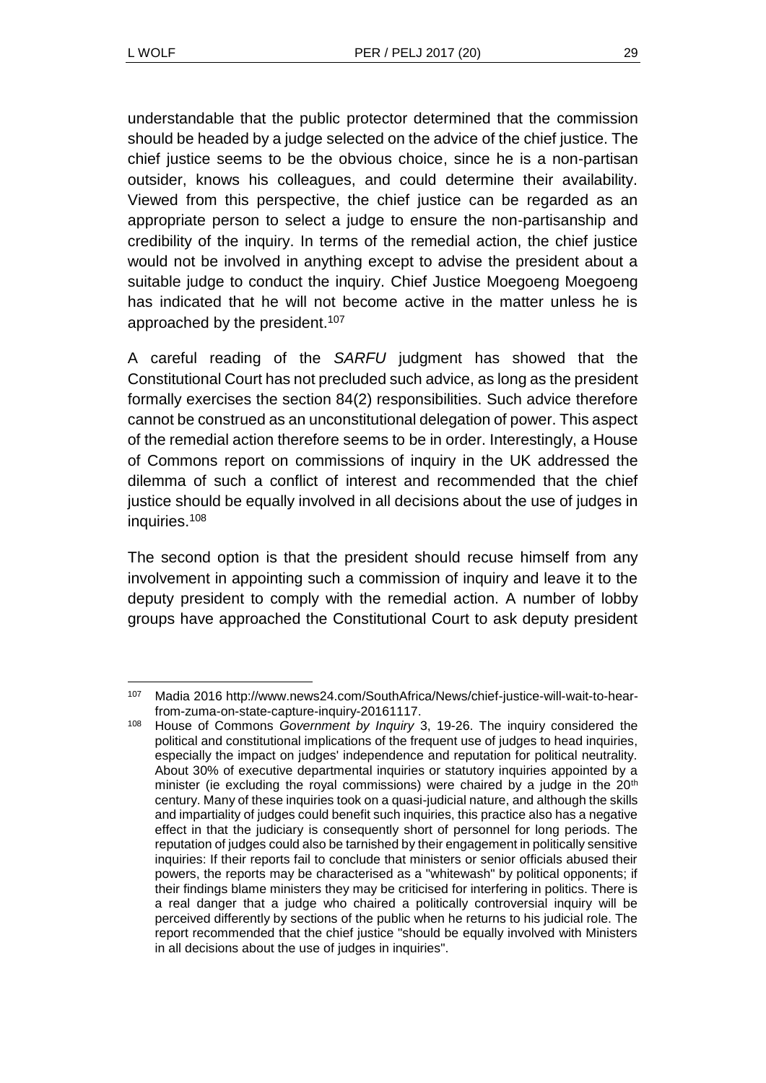understandable that the public protector determined that the commission should be headed by a judge selected on the advice of the chief justice. The chief justice seems to be the obvious choice, since he is a non-partisan outsider, knows his colleagues, and could determine their availability. Viewed from this perspective, the chief justice can be regarded as an appropriate person to select a judge to ensure the non-partisanship and credibility of the inquiry. In terms of the remedial action, the chief justice would not be involved in anything except to advise the president about a suitable judge to conduct the inquiry. Chief Justice Moegoeng Moegoeng has indicated that he will not become active in the matter unless he is approached by the president.<sup>107</sup>

A careful reading of the *SARFU* judgment has showed that the Constitutional Court has not precluded such advice, as long as the president formally exercises the section 84(2) responsibilities. Such advice therefore cannot be construed as an unconstitutional delegation of power. This aspect of the remedial action therefore seems to be in order. Interestingly, a House of Commons report on commissions of inquiry in the UK addressed the dilemma of such a conflict of interest and recommended that the chief justice should be equally involved in all decisions about the use of judges in inquiries. 108

The second option is that the president should recuse himself from any involvement in appointing such a commission of inquiry and leave it to the deputy president to comply with the remedial action. A number of lobby groups have approached the Constitutional Court to ask deputy president

l <sup>107</sup> Madia 2016 http://www.news24.com/SouthAfrica/News/chief-justice-will-wait-to-hearfrom-zuma-on-state-capture-inquiry-20161117.

<sup>108</sup> House of Commons *Government by Inquiry* 3, 19-26. The inquiry considered the political and constitutional implications of the frequent use of judges to head inquiries, especially the impact on judges' independence and reputation for political neutrality. About 30% of executive departmental inquiries or statutory inquiries appointed by a minister (ie excluding the royal commissions) were chaired by a judge in the  $20<sup>th</sup>$ century. Many of these inquiries took on a quasi-judicial nature, and although the skills and impartiality of judges could benefit such inquiries, this practice also has a negative effect in that the judiciary is consequently short of personnel for long periods. The reputation of judges could also be tarnished by their engagement in politically sensitive inquiries: If their reports fail to conclude that ministers or senior officials abused their powers, the reports may be characterised as a "whitewash" by political opponents; if their findings blame ministers they may be criticised for interfering in politics. There is a real danger that a judge who chaired a politically controversial inquiry will be perceived differently by sections of the public when he returns to his judicial role. The report recommended that the chief justice "should be equally involved with Ministers in all decisions about the use of judges in inquiries".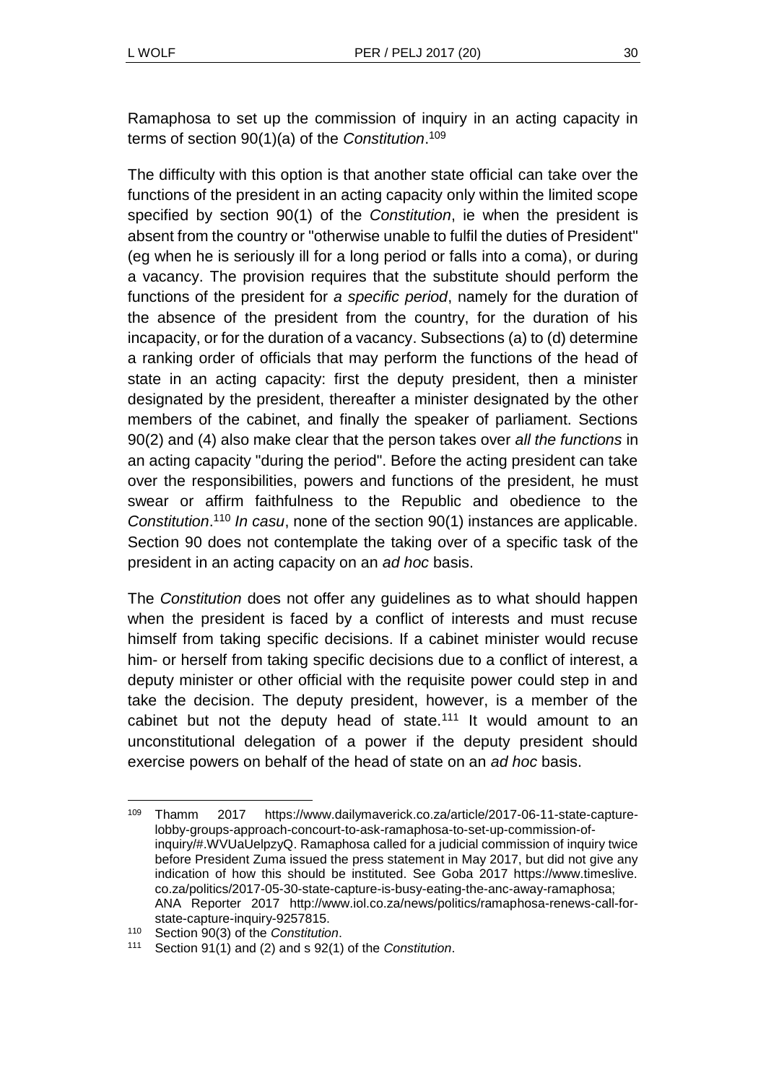Ramaphosa to set up the commission of inquiry in an acting capacity in terms of section 90(1)(a) of the *Constitution*. 109

The difficulty with this option is that another state official can take over the functions of the president in an acting capacity only within the limited scope specified by section 90(1) of the *Constitution*, ie when the president is absent from the country or "otherwise unable to fulfil the duties of President" (eg when he is seriously ill for a long period or falls into a coma), or during a vacancy. The provision requires that the substitute should perform the functions of the president for *a specific period*, namely for the duration of the absence of the president from the country, for the duration of his incapacity, or for the duration of a vacancy. Subsections (a) to (d) determine a ranking order of officials that may perform the functions of the head of state in an acting capacity: first the deputy president, then a minister designated by the president, thereafter a minister designated by the other members of the cabinet, and finally the speaker of parliament. Sections 90(2) and (4) also make clear that the person takes over *all the functions* in an acting capacity "during the period". Before the acting president can take over the responsibilities, powers and functions of the president, he must swear or affirm faithfulness to the Republic and obedience to the *Constitution*. <sup>110</sup> *In casu*, none of the section 90(1) instances are applicable. Section 90 does not contemplate the taking over of a specific task of the president in an acting capacity on an *ad hoc* basis.

The *Constitution* does not offer any guidelines as to what should happen when the president is faced by a conflict of interests and must recuse himself from taking specific decisions. If a cabinet minister would recuse him- or herself from taking specific decisions due to a conflict of interest, a deputy minister or other official with the requisite power could step in and take the decision. The deputy president, however, is a member of the cabinet but not the deputy head of state.<sup>111</sup> It would amount to an unconstitutional delegation of a power if the deputy president should exercise powers on behalf of the head of state on an *ad hoc* basis.

l

<sup>109</sup> Thamm 2017 https://www.dailymaverick.co.za/article/2017-06-11-state-capturelobby-groups-approach-concourt-to-ask-ramaphosa-to-set-up-commission-ofinquiry/#.WVUaUelpzyQ. Ramaphosa called for a judicial commission of inquiry twice before President Zuma issued the press statement in May 2017, but did not give any indication of how this should be instituted. See Goba 2017 https://www.timeslive. co.za/politics/2017-05-30-state-capture-is-busy-eating-the-anc-away-ramaphosa; ANA Reporter 2017 http://www.iol.co.za/news/politics/ramaphosa-renews-call-forstate-capture-inquiry-9257815.

<sup>110</sup> Section 90(3) of the *Constitution*.

<sup>111</sup> Section 91(1) and (2) and s 92(1) of the *Constitution*.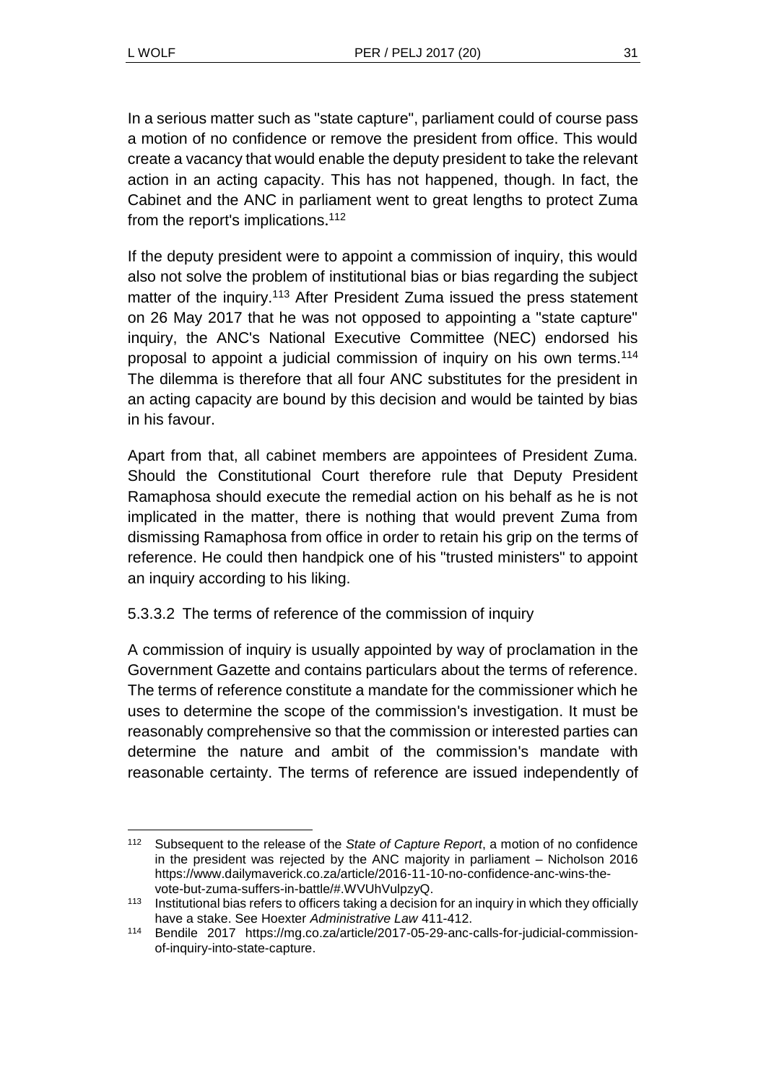In a serious matter such as "state capture", parliament could of course pass a motion of no confidence or remove the president from office. This would create a vacancy that would enable the deputy president to take the relevant action in an acting capacity. This has not happened, though. In fact, the Cabinet and the ANC in parliament went to great lengths to protect Zuma from the report's implications.<sup>112</sup>

If the deputy president were to appoint a commission of inquiry, this would also not solve the problem of institutional bias or bias regarding the subject matter of the inquiry.<sup>113</sup> After President Zuma issued the press statement on 26 May 2017 that he was not opposed to appointing a "state capture" inquiry, the ANC's National Executive Committee (NEC) endorsed his proposal to appoint a judicial commission of inquiry on his own terms.<sup>114</sup> The dilemma is therefore that all four ANC substitutes for the president in an acting capacity are bound by this decision and would be tainted by bias in his favour.

Apart from that, all cabinet members are appointees of President Zuma. Should the Constitutional Court therefore rule that Deputy President Ramaphosa should execute the remedial action on his behalf as he is not implicated in the matter, there is nothing that would prevent Zuma from dismissing Ramaphosa from office in order to retain his grip on the terms of reference. He could then handpick one of his "trusted ministers" to appoint an inquiry according to his liking.

5.3.3.2 The terms of reference of the commission of inquiry

A commission of inquiry is usually appointed by way of proclamation in the Government Gazette and contains particulars about the terms of reference. The terms of reference constitute a mandate for the commissioner which he uses to determine the scope of the commission's investigation. It must be reasonably comprehensive so that the commission or interested parties can determine the nature and ambit of the commission's mandate with reasonable certainty. The terms of reference are issued independently of

l <sup>112</sup> Subsequent to the release of the *State of Capture Report*, a motion of no confidence in the president was rejected by the ANC majority in parliament – Nicholson 2016 https://www.dailymaverick.co.za/article/2016-11-10-no-confidence-anc-wins-thevote-but-zuma-suffers-in-battle/#.WVUhVulpzyQ.

<sup>&</sup>lt;sup>113</sup> Institutional bias refers to officers taking a decision for an inquiry in which they officially have a stake. See Hoexter *Administrative Law* 411-412.

<sup>114</sup> Bendile 2017 https://mg.co.za/article/2017-05-29-anc-calls-for-judicial-commissionof-inquiry-into-state-capture.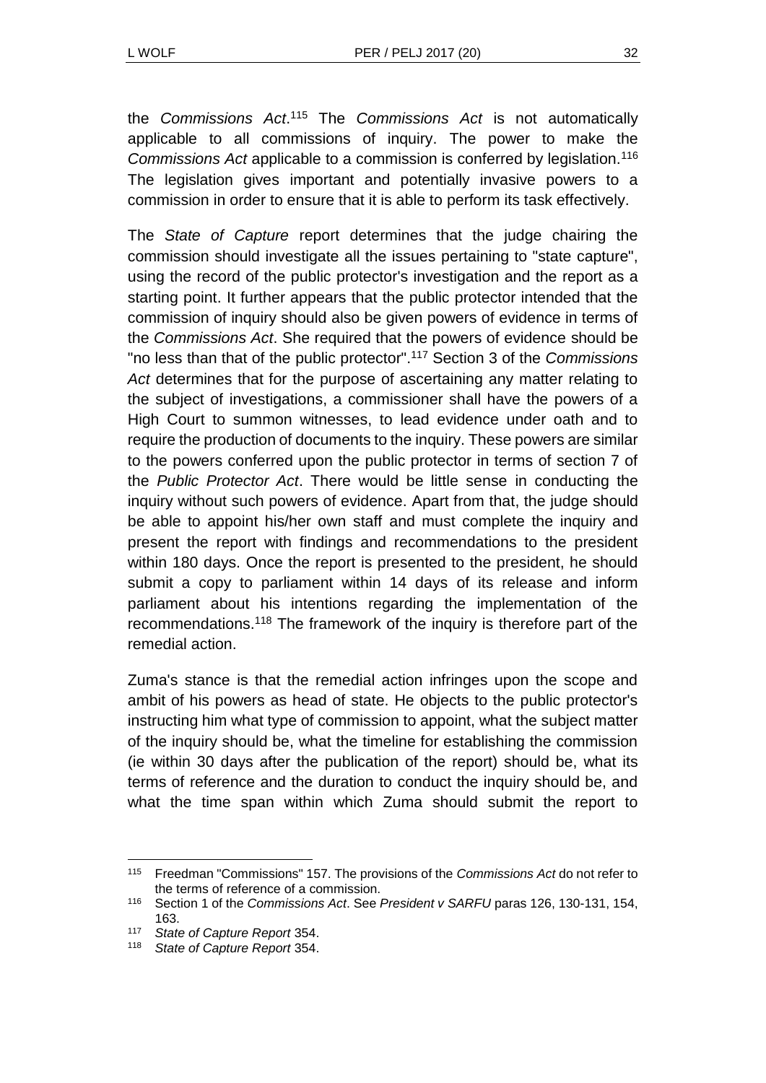the *Commissions Act*. <sup>115</sup> The *Commissions Act* is not automatically applicable to all commissions of inquiry. The power to make the *Commissions Act* applicable to a commission is conferred by legislation.<sup>116</sup> The legislation gives important and potentially invasive powers to a commission in order to ensure that it is able to perform its task effectively.

The *State of Capture* report determines that the judge chairing the commission should investigate all the issues pertaining to "state capture", using the record of the public protector's investigation and the report as a starting point. It further appears that the public protector intended that the commission of inquiry should also be given powers of evidence in terms of the *Commissions Act*. She required that the powers of evidence should be "no less than that of the public protector". <sup>117</sup> Section 3 of the *Commissions*  Act determines that for the purpose of ascertaining any matter relating to the subject of investigations, a commissioner shall have the powers of a High Court to summon witnesses, to lead evidence under oath and to require the production of documents to the inquiry. These powers are similar to the powers conferred upon the public protector in terms of section 7 of the *Public Protector Act*. There would be little sense in conducting the inquiry without such powers of evidence. Apart from that, the judge should be able to appoint his/her own staff and must complete the inquiry and present the report with findings and recommendations to the president within 180 days. Once the report is presented to the president, he should submit a copy to parliament within 14 days of its release and inform parliament about his intentions regarding the implementation of the recommendations.<sup>118</sup> The framework of the inquiry is therefore part of the remedial action.

Zuma's stance is that the remedial action infringes upon the scope and ambit of his powers as head of state. He objects to the public protector's instructing him what type of commission to appoint, what the subject matter of the inquiry should be, what the timeline for establishing the commission (ie within 30 days after the publication of the report) should be, what its terms of reference and the duration to conduct the inquiry should be, and what the time span within which Zuma should submit the report to

l

<sup>115</sup> Freedman "Commissions" 157. The provisions of the *Commissions Act* do not refer to the terms of reference of a commission.

<sup>116</sup> Section 1 of the *Commissions Act*. See *President v SARFU* paras 126, 130-131, 154, 163.

<sup>117</sup> *State of Capture Report* 354.

<sup>118</sup> *State of Capture Report* 354.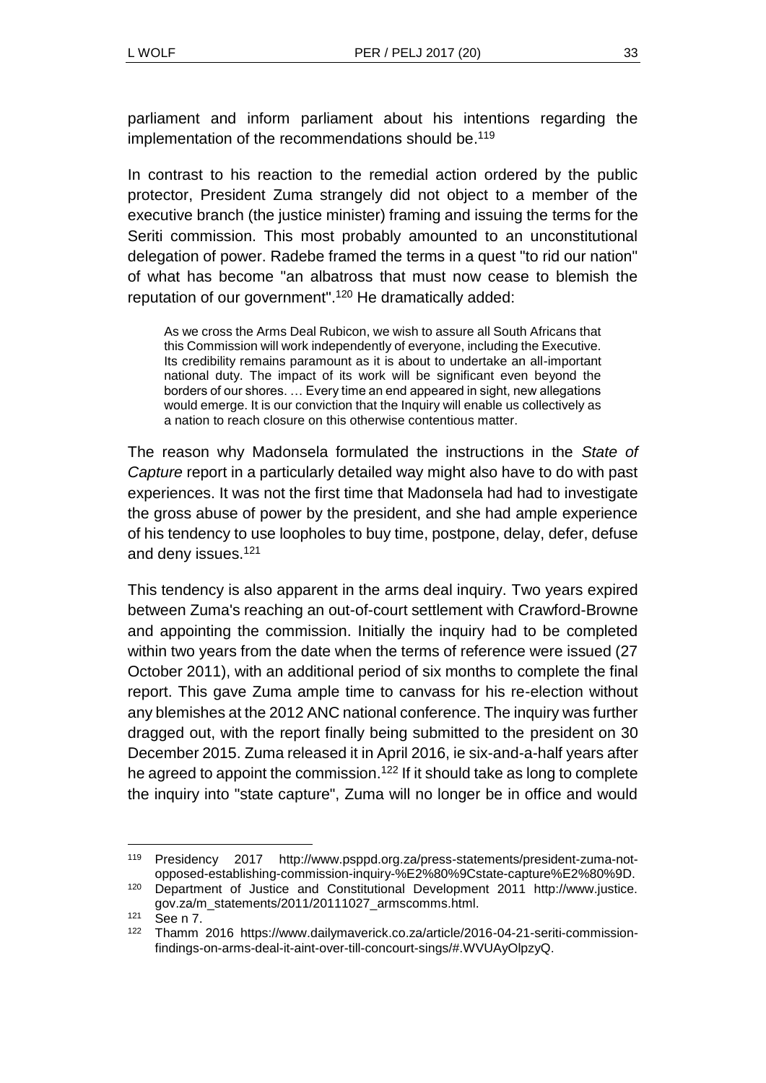parliament and inform parliament about his intentions regarding the implementation of the recommendations should be.<sup>119</sup>

In contrast to his reaction to the remedial action ordered by the public protector, President Zuma strangely did not object to a member of the executive branch (the justice minister) framing and issuing the terms for the Seriti commission. This most probably amounted to an unconstitutional delegation of power. Radebe framed the terms in a quest "to rid our nation" of what has become "an albatross that must now cease to blemish the reputation of our government".<sup>120</sup> He dramatically added:

As we cross the Arms Deal Rubicon, we wish to assure all South Africans that this Commission will work independently of everyone, including the Executive. Its credibility remains paramount as it is about to undertake an all-important national duty. The impact of its work will be significant even beyond the borders of our shores. … Every time an end appeared in sight, new allegations would emerge. It is our conviction that the Inquiry will enable us collectively as a nation to reach closure on this otherwise contentious matter.

The reason why Madonsela formulated the instructions in the *State of Capture* report in a particularly detailed way might also have to do with past experiences. It was not the first time that Madonsela had had to investigate the gross abuse of power by the president, and she had ample experience of his tendency to use loopholes to buy time, postpone, delay, defer, defuse and deny issues.<sup>121</sup>

This tendency is also apparent in the arms deal inquiry. Two years expired between Zuma's reaching an out-of-court settlement with Crawford-Browne and appointing the commission. Initially the inquiry had to be completed within two years from the date when the terms of reference were issued (27 October 2011), with an additional period of six months to complete the final report. This gave Zuma ample time to canvass for his re-election without any blemishes at the 2012 ANC national conference. The inquiry was further dragged out, with the report finally being submitted to the president on 30 December 2015. Zuma released it in April 2016, ie six-and-a-half years after he agreed to appoint the commission.<sup>122</sup> If it should take as long to complete the inquiry into "state capture", Zuma will no longer be in office and would

l <sup>119</sup> Presidency 2017 http://www.psppd.org.za/press-statements/president-zuma-notopposed-establishing-commission-inquiry-%E2%80%9Cstate-capture%E2%80%9D.

<sup>120</sup> Department of Justice and Constitutional Development 2011 http://www.justice. gov.za/m\_statements/2011/20111027\_armscomms.html.

<sup>121</sup> See n [7.](#page-2-0)

<sup>122</sup> Thamm 2016 https://www.dailymaverick.co.za/article/2016-04-21-seriti-commissionfindings-on-arms-deal-it-aint-over-till-concourt-sings/#.WVUAyOlpzyQ.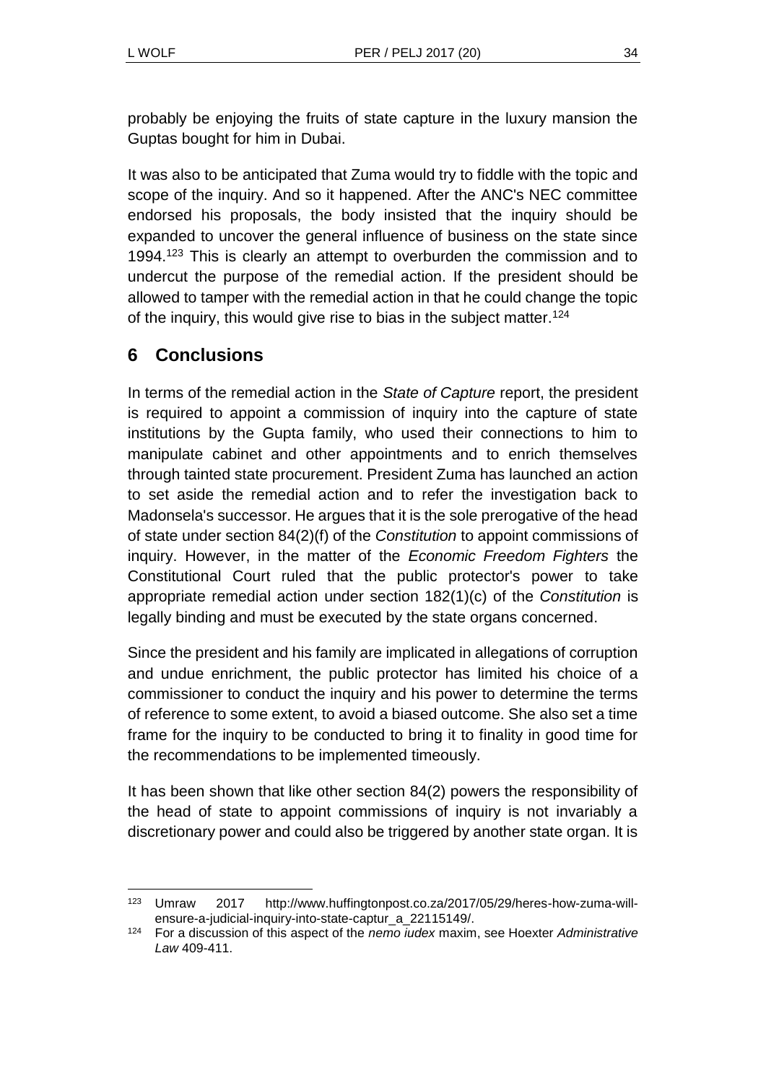probably be enjoying the fruits of state capture in the luxury mansion the Guptas bought for him in Dubai.

It was also to be anticipated that Zuma would try to fiddle with the topic and scope of the inquiry. And so it happened. After the ANC's NEC committee endorsed his proposals, the body insisted that the inquiry should be expanded to uncover the general influence of business on the state since 1994.<sup>123</sup> This is clearly an attempt to overburden the commission and to undercut the purpose of the remedial action. If the president should be allowed to tamper with the remedial action in that he could change the topic of the inquiry, this would give rise to bias in the subject matter.<sup>124</sup>

# **6 Conclusions**

In terms of the remedial action in the *State of Capture* report, the president is required to appoint a commission of inquiry into the capture of state institutions by the Gupta family, who used their connections to him to manipulate cabinet and other appointments and to enrich themselves through tainted state procurement. President Zuma has launched an action to set aside the remedial action and to refer the investigation back to Madonsela's successor. He argues that it is the sole prerogative of the head of state under section 84(2)(f) of the *Constitution* to appoint commissions of inquiry. However, in the matter of the *Economic Freedom Fighters* the Constitutional Court ruled that the public protector's power to take appropriate remedial action under section 182(1)(c) of the *Constitution* is legally binding and must be executed by the state organs concerned.

Since the president and his family are implicated in allegations of corruption and undue enrichment, the public protector has limited his choice of a commissioner to conduct the inquiry and his power to determine the terms of reference to some extent, to avoid a biased outcome. She also set a time frame for the inquiry to be conducted to bring it to finality in good time for the recommendations to be implemented timeously.

It has been shown that like other section 84(2) powers the responsibility of the head of state to appoint commissions of inquiry is not invariably a discretionary power and could also be triggered by another state organ. It is

l <sup>123</sup> Umraw 2017 http://www.huffingtonpost.co.za/2017/05/29/heres-how-zuma-willensure-a-judicial-inquiry-into-state-captur\_a\_22115149/.

<sup>124</sup> For a discussion of this aspect of the *nemo iudex* maxim, see Hoexter *Administrative Law* 409-411.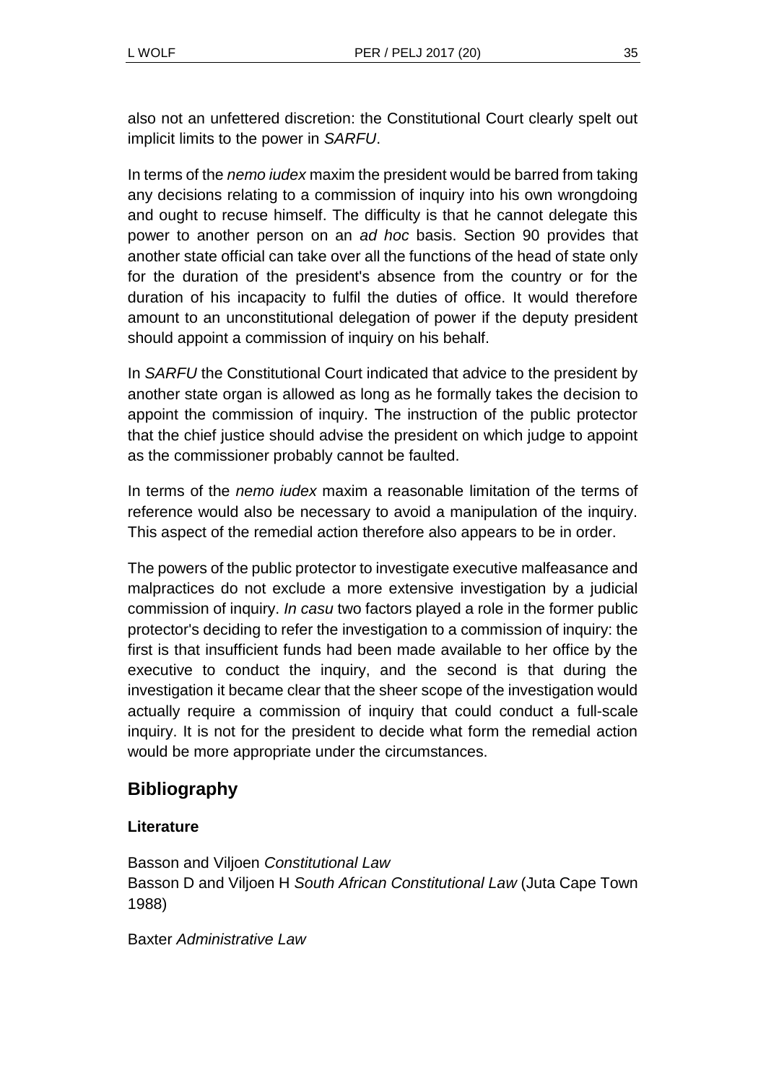also not an unfettered discretion: the Constitutional Court clearly spelt out implicit limits to the power in *SARFU*.

In terms of the *nemo iudex* maxim the president would be barred from taking any decisions relating to a commission of inquiry into his own wrongdoing and ought to recuse himself. The difficulty is that he cannot delegate this power to another person on an *ad hoc* basis. Section 90 provides that another state official can take over all the functions of the head of state only for the duration of the president's absence from the country or for the duration of his incapacity to fulfil the duties of office. It would therefore amount to an unconstitutional delegation of power if the deputy president should appoint a commission of inquiry on his behalf.

In *SARFU* the Constitutional Court indicated that advice to the president by another state organ is allowed as long as he formally takes the decision to appoint the commission of inquiry. The instruction of the public protector that the chief justice should advise the president on which judge to appoint as the commissioner probably cannot be faulted.

In terms of the *nemo iudex* maxim a reasonable limitation of the terms of reference would also be necessary to avoid a manipulation of the inquiry. This aspect of the remedial action therefore also appears to be in order.

The powers of the public protector to investigate executive malfeasance and malpractices do not exclude a more extensive investigation by a judicial commission of inquiry. *In casu* two factors played a role in the former public protector's deciding to refer the investigation to a commission of inquiry: the first is that insufficient funds had been made available to her office by the executive to conduct the inquiry, and the second is that during the investigation it became clear that the sheer scope of the investigation would actually require a commission of inquiry that could conduct a full-scale inquiry. It is not for the president to decide what form the remedial action would be more appropriate under the circumstances.

# **Bibliography**

### **Literature**

Basson and Viljoen *Constitutional Law* Basson D and Viljoen H *South African Constitutional Law* (Juta Cape Town 1988)

Baxter *Administrative Law*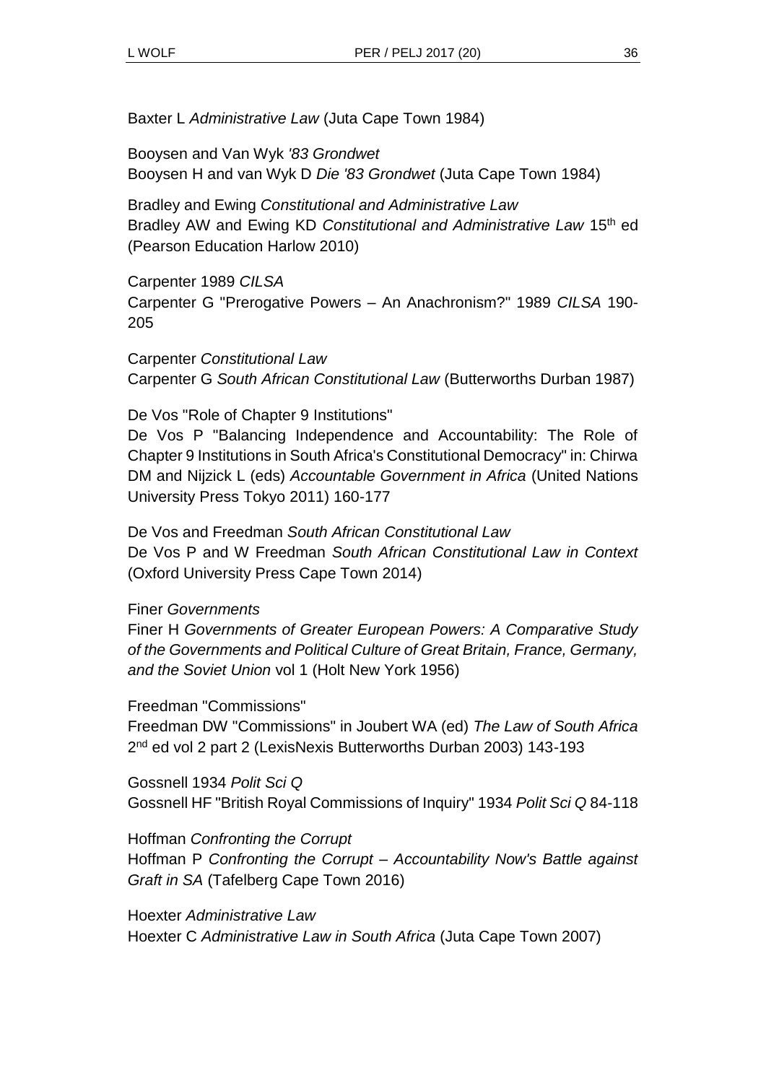Baxter L *Administrative Law* (Juta Cape Town 1984)

Booysen and Van Wyk *'83 Grondwet* Booysen H and van Wyk D *Die '83 Grondwet* (Juta Cape Town 1984)

Bradley and Ewing *Constitutional and Administrative Law* Bradley AW and Ewing KD *Constitutional and Administrative Law* 15th ed (Pearson Education Harlow 2010)

Carpenter 1989 *CILSA* Carpenter G "Prerogative Powers – An Anachronism?" 1989 *CILSA* 190- 205

Carpenter *Constitutional Law* Carpenter G *South African Constitutional Law* (Butterworths Durban 1987)

De Vos "Role of Chapter 9 Institutions"

De Vos P "Balancing Independence and Accountability: The Role of Chapter 9 Institutions in South Africa's Constitutional Democracy" in: Chirwa DM and Nijzick L (eds) *Accountable Government in Africa* (United Nations University Press Tokyo 2011) 160-177

De Vos and Freedman *South African Constitutional Law* De Vos P and W Freedman *South African Constitutional Law in Context* (Oxford University Press Cape Town 2014)

Finer *Governments*

Finer H *Governments of Greater European Powers: A Comparative Study of the Governments and Political Culture of Great Britain, France, Germany, and the Soviet Union* vol 1 (Holt New York 1956)

Freedman "Commissions"

Freedman DW "Commissions" in Joubert WA (ed) *The Law of South Africa* 2<sup>nd</sup> ed vol 2 part 2 (LexisNexis Butterworths Durban 2003) 143-193

Gossnell 1934 *Polit Sci Q* Gossnell HF "British Royal Commissions of Inquiry" 1934 *Polit Sci Q* 84-118

Hoffman *Confronting the Corrupt*

Hoffman P *Confronting the Corrupt – Accountability Now's Battle against Graft in SA* (Tafelberg Cape Town 2016)

Hoexter *Administrative Law* Hoexter C *Administrative Law in South Africa* (Juta Cape Town 2007)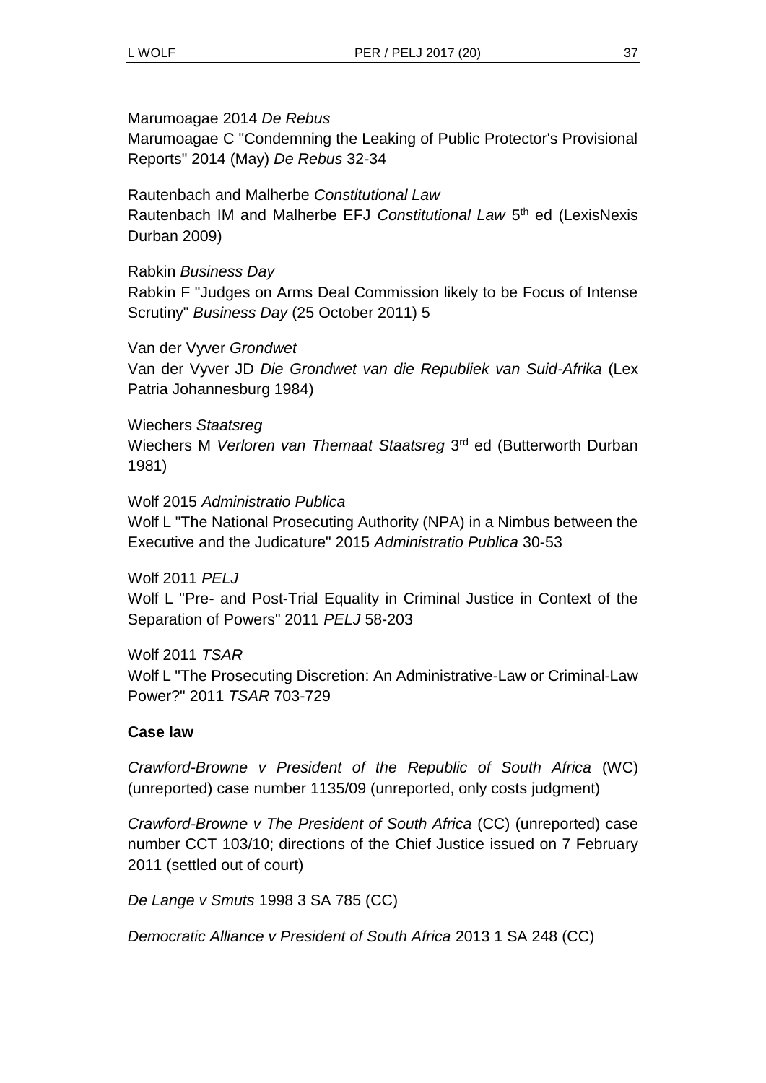#### Marumoagae 2014 *De Rebus*

Marumoagae C "Condemning the Leaking of Public Protector's Provisional Reports" 2014 (May) *De Rebus* 32-34

Rautenbach and Malherbe *Constitutional Law* Rautenbach IM and Malherbe EFJ Constitutional Law 5<sup>th</sup> ed (LexisNexis Durban 2009)

Rabkin *Business Day*

Rabkin F "Judges on Arms Deal Commission likely to be Focus of Intense Scrutiny" *Business Day* (25 October 2011) 5

Van der Vyver *Grondwet*

Van der Vyver JD *Die Grondwet van die Republiek van Suid-Afrika* (Lex Patria Johannesburg 1984)

Wiechers *Staatsreg*

Wiechers M Verloren van Themaat Staatsreg 3<sup>rd</sup> ed (Butterworth Durban 1981)

Wolf 2015 *Administratio Publica*

Wolf L "The National Prosecuting Authority (NPA) in a Nimbus between the Executive and the Judicature" 2015 *Administratio Publica* 30-53

Wolf 2011 *PELJ* Wolf L "Pre- and Post-Trial Equality in Criminal Justice in Context of the Separation of Powers" 2011 *PELJ* 58-203

Wolf 2011 *TSAR* Wolf L "The Prosecuting Discretion: An Administrative-Law or Criminal-Law Power?" 2011 *TSAR* 703-729

#### **Case law**

*Crawford-Browne v President of the Republic of South Africa* (WC) (unreported) case number 1135/09 (unreported, only costs judgment)

*Crawford-Browne v The President of South Africa* (CC) (unreported) case number CCT 103/10; directions of the Chief Justice issued on 7 February 2011 (settled out of court)

*De Lange v Smuts* 1998 3 SA 785 (CC)

*Democratic Alliance v President of South Africa* 2013 1 SA 248 (CC)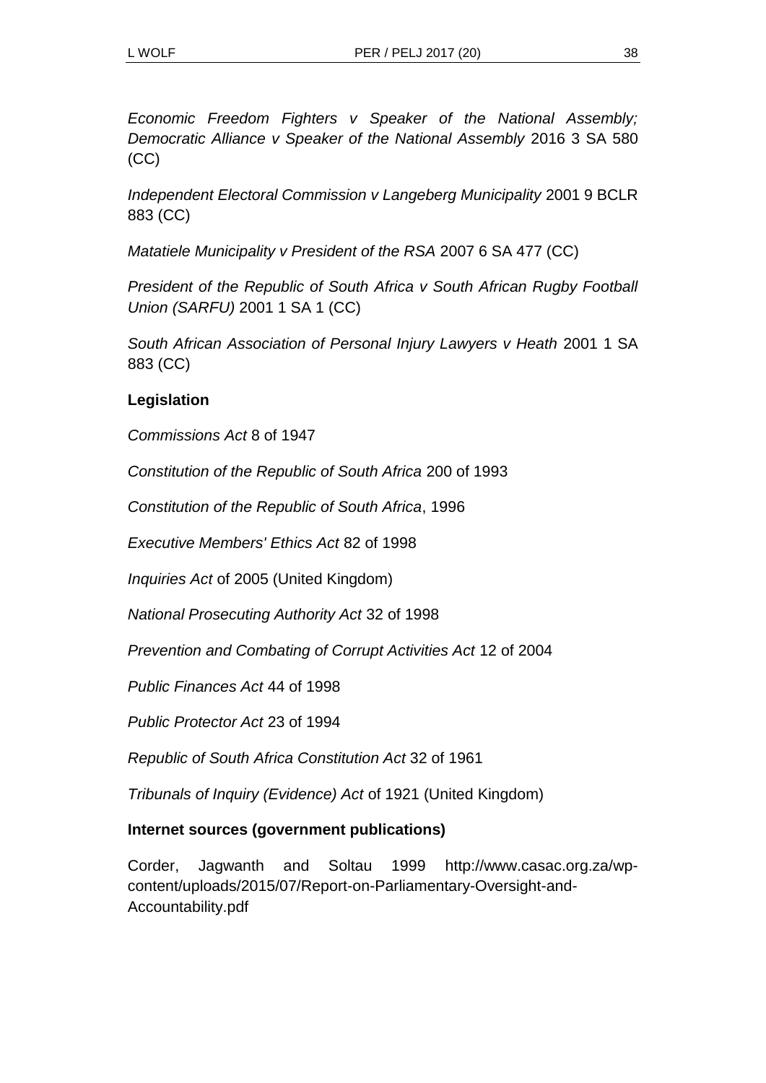*Economic Freedom Fighters v Speaker of the National Assembly; Democratic Alliance v Speaker of the National Assembly* 2016 3 SA 580 (CC)

*Independent Electoral Commission v Langeberg Municipality* 2001 9 BCLR 883 (CC)

*Matatiele Municipality v President of the RSA* 2007 6 SA 477 (CC)

*President of the Republic of South Africa v South African Rugby Football Union (SARFU)* 2001 1 SA 1 (CC)

*South African Association of Personal Injury Lawyers v Heath* 2001 1 SA 883 (CC)

### **Legislation**

*Commissions Act* 8 of 1947

*Constitution of the Republic of South Africa* 200 of 1993

*Constitution of the Republic of South Africa*, 1996

*Executive Members' Ethics Act* 82 of 1998

*Inquiries Act* of 2005 (United Kingdom)

*National Prosecuting Authority Act* 32 of 1998

*Prevention and Combating of Corrupt Activities Act* 12 of 2004

*Public Finances Act* 44 of 1998

*Public Protector Act* 23 of 1994

*Republic of South Africa Constitution Act* 32 of 1961

*Tribunals of Inquiry (Evidence) Act* of 1921 (United Kingdom)

### **Internet sources (government publications)**

Corder, Jagwanth and Soltau 1999 http://www.casac.org.za/wpcontent/uploads/2015/07/Report-on-Parliamentary-Oversight-and-Accountability.pdf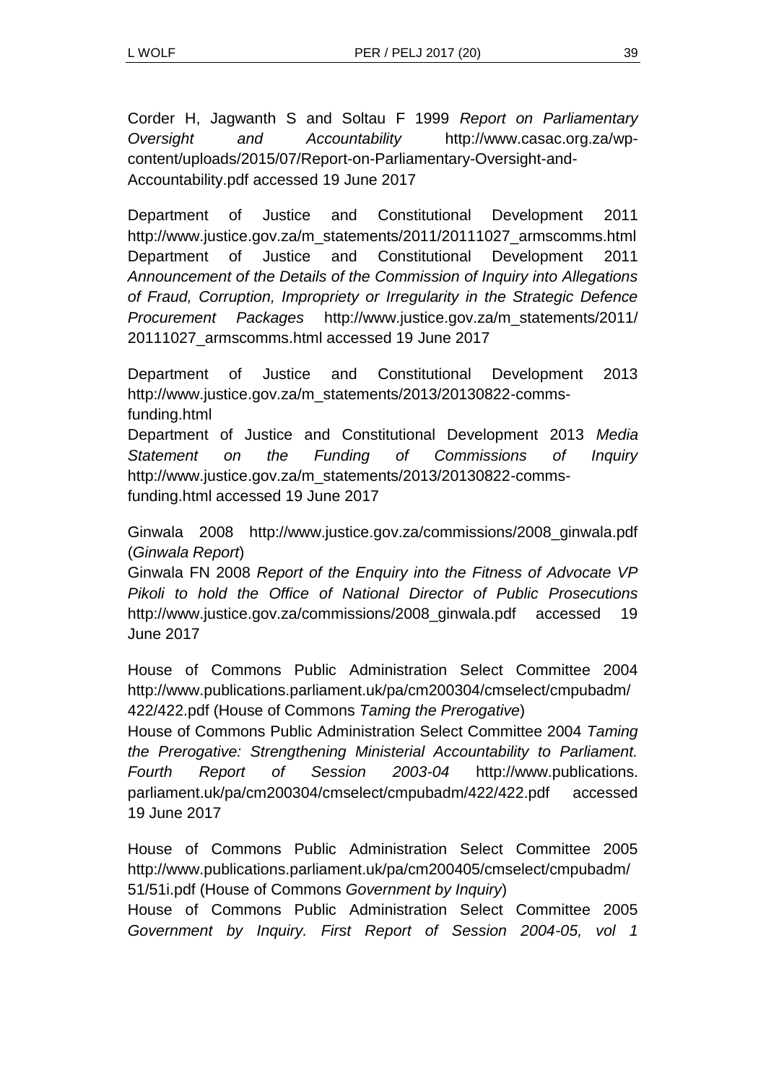Corder H, Jagwanth S and Soltau F 1999 *Report on Parliamentary Oversight and Accountability* http://www.casac.org.za/wpcontent/uploads/2015/07/Report-on-Parliamentary-Oversight-and-Accountability.pdf accessed 19 June 2017

Department of Justice and Constitutional Development 2011 http://www.justice.gov.za/m\_statements/2011/20111027\_armscomms.html Department of Justice and Constitutional Development 2011 *Announcement of the Details of the Commission of Inquiry into Allegations of Fraud, Corruption, Impropriety or Irregularity in the Strategic Defence Procurement Packages* http://www.justice.gov.za/m\_statements/2011/ 20111027\_armscomms.html accessed 19 June 2017

Department of Justice and Constitutional Development 2013 http://www.justice.gov.za/m\_statements/2013/20130822-commsfunding.html

Department of Justice and Constitutional Development 2013 *Media Statement on the Funding of Commissions of Inquiry* http://www.justice.gov.za/m\_statements/2013/20130822-commsfunding.html accessed 19 June 2017

Ginwala 2008 http://www.justice.gov.za/commissions/2008\_ginwala.pdf (*Ginwala Report*)

Ginwala FN 2008 *Report of the Enquiry into the Fitness of Advocate VP Pikoli to hold the Office of National Director of Public Prosecutions* http://www.justice.gov.za/commissions/2008\_ginwala.pdf accessed 19 June 2017

House of Commons Public Administration Select Committee 2004 http://www.publications.parliament.uk/pa/cm200304/cmselect/cmpubadm/ 422/422.pdf (House of Commons *Taming the Prerogative*)

House of Commons Public Administration Select Committee 2004 *Taming the Prerogative: Strengthening Ministerial Accountability to Parliament. Fourth Report of Session 2003-04* http://www.publications. parliament.uk/pa/cm200304/cmselect/cmpubadm/422/422.pdf accessed 19 June 2017

House of Commons Public Administration Select Committee 2005 http://www.publications.parliament.uk/pa/cm200405/cmselect/cmpubadm/ 51/51i.pdf (House of Commons *Government by Inquiry*)

House of Commons Public Administration Select Committee 2005 *Government by Inquiry. First Report of Session 2004-05, vol 1*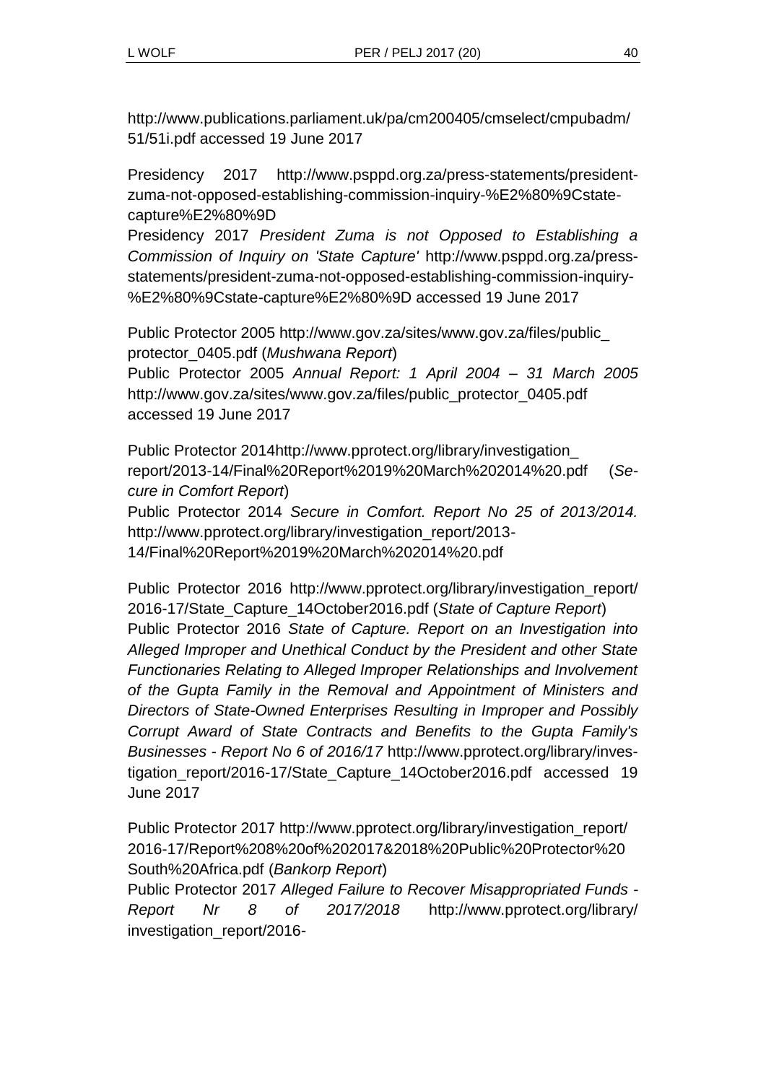http://www.publications.parliament.uk/pa/cm200405/cmselect/cmpubadm/ 51/51i.pdf accessed 19 June 2017

Presidency 2017 http://www.psppd.org.za/press-statements/presidentzuma-not-opposed-establishing-commission-inquiry-%E2%80%9Cstatecapture%E2%80%9D

Presidency 2017 *President Zuma is not Opposed to Establishing a Commission of Inquiry on 'State Capture'* http://www.psppd.org.za/pressstatements/president-zuma-not-opposed-establishing-commission-inquiry- %E2%80%9Cstate-capture%E2%80%9D accessed 19 June 2017

Public Protector 2005 http://www.gov.za/sites/www.gov.za/files/public\_ protector\_0405.pdf (*Mushwana Report*)

Public Protector 2005 *Annual Report: 1 April 2004 – 31 March 2005* http://www.gov.za/sites/www.gov.za/files/public\_protector\_0405.pdf accessed 19 June 2017

Public Protector 2014http://www.pprotect.org/library/investigation\_ report/2013-14/Final%20Report%2019%20March%202014%20.pdf (*Secure in Comfort Report*) Public Protector 2014 *Secure in Comfort. Report No 25 of 2013/2014.* http://www.pprotect.org/library/investigation\_report/2013- 14/Final%20Report%2019%20March%202014%20.pdf

Public Protector 2016 http://www.pprotect.org/library/investigation\_report/ 2016-17/State\_Capture\_14October2016.pdf (*State of Capture Report*) Public Protector 2016 *State of Capture. Report on an Investigation into Alleged Improper and Unethical Conduct by the President and other State Functionaries Relating to Alleged Improper Relationships and Involvement of the Gupta Family in the Removal and Appointment of Ministers and Directors of State-Owned Enterprises Resulting in Improper and Possibly Corrupt Award of State Contracts and Benefits to the Gupta Family's Businesses - Report No 6 of 2016/17* http://www.pprotect.org/library/investigation\_report/2016-17/State\_Capture\_14October2016.pdf accessed 19 June 2017

Public Protector 2017 http://www.pprotect.org/library/investigation\_report/ 2016-17/Report%208%20of%202017&2018%20Public%20Protector%20 South%20Africa.pdf (*Bankorp Report*)

Public Protector 2017 *Alleged Failure to Recover Misappropriated Funds - Report Nr 8 of 2017/2018* http://www.pprotect.org/library/ investigation\_report/2016-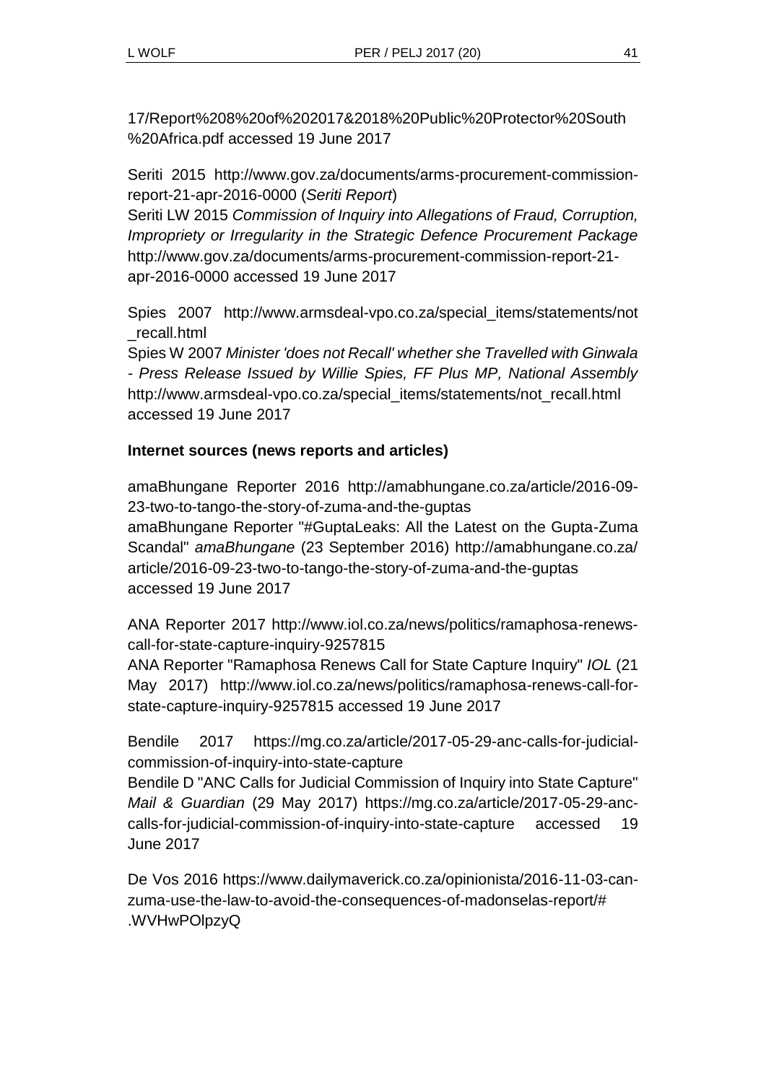17/Report%208%20of%202017&2018%20Public%20Protector%20South %20Africa.pdf accessed 19 June 2017

Seriti 2015 http://www.gov.za/documents/arms-procurement-commissionreport-21-apr-2016-0000 (*Seriti Report*)

Seriti LW 2015 *Commission of Inquiry into Allegations of Fraud, Corruption, Impropriety or Irregularity in the Strategic Defence Procurement Package* http://www.gov.za/documents/arms-procurement-commission-report-21 apr-2016-0000 accessed 19 June 2017

Spies 2007 http://www.armsdeal-vpo.co.za/special\_items/statements/not \_recall.html

Spies W 2007 *Minister 'does not Recall' whether she Travelled with Ginwala - Press Release Issued by Willie Spies, FF Plus MP, National Assembly* http://www.armsdeal-vpo.co.za/special\_items/statements/not\_recall.html accessed 19 June 2017

## **Internet sources (news reports and articles)**

amaBhungane Reporter 2016 http://amabhungane.co.za/article/2016-09- 23-two-to-tango-the-story-of-zuma-and-the-guptas amaBhungane Reporter "#GuptaLeaks: All the Latest on the Gupta-Zuma Scandal" *amaBhungane* (23 September 2016) http://amabhungane.co.za/ article/2016-09-23-two-to-tango-the-story-of-zuma-and-the-guptas accessed 19 June 2017

ANA Reporter 2017 http://www.iol.co.za/news/politics/ramaphosa-renewscall-for-state-capture-inquiry-9257815

ANA Reporter "Ramaphosa Renews Call for State Capture Inquiry" *IOL* (21 May 2017) http://www.iol.co.za/news/politics/ramaphosa-renews-call-forstate-capture-inquiry-9257815 accessed 19 June 2017

Bendile 2017 https://mg.co.za/article/2017-05-29-anc-calls-for-judicialcommission-of-inquiry-into-state-capture

Bendile D "ANC Calls for Judicial Commission of Inquiry into State Capture" *Mail & Guardian* (29 May 2017) https://mg.co.za/article/2017-05-29-anccalls-for-judicial-commission-of-inquiry-into-state-capture accessed 19 June 2017

De Vos 2016 https://www.dailymaverick.co.za/opinionista/2016-11-03-canzuma-use-the-law-to-avoid-the-consequences-of-madonselas-report/# .WVHwPOlpzyQ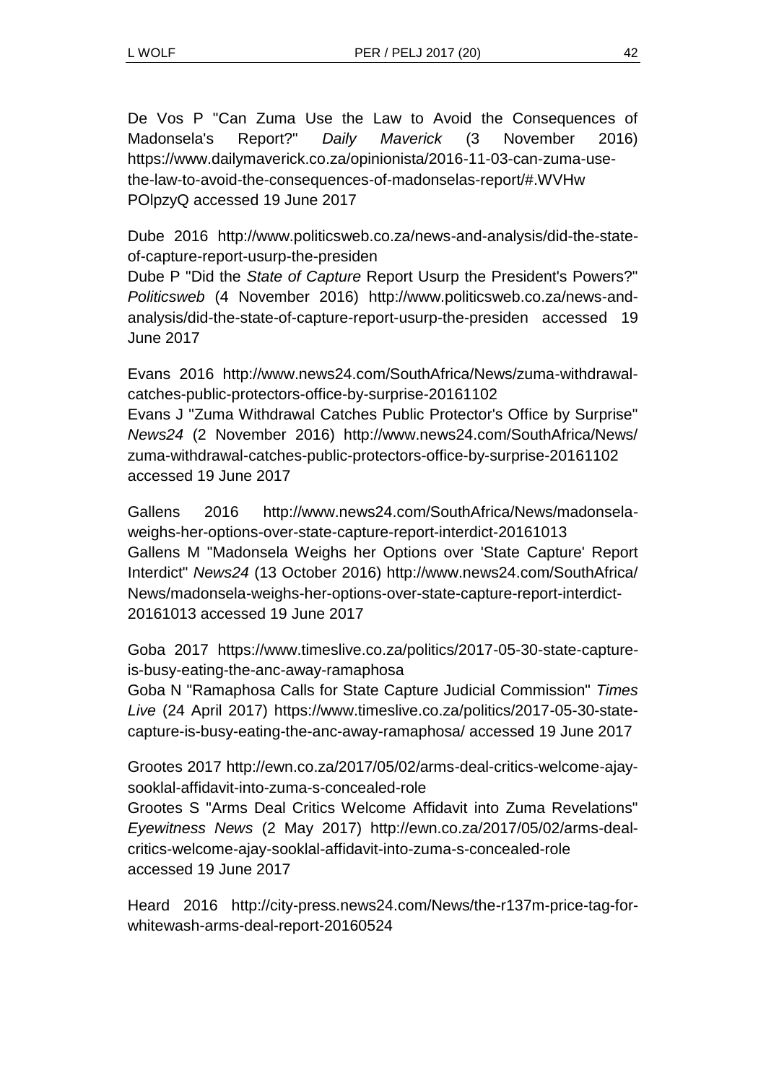De Vos P "Can Zuma Use the Law to Avoid the Consequences of Madonsela's Report?" *Daily Maverick* (3 November 2016) https://www.dailymaverick.co.za/opinionista/2016-11-03-can-zuma-usethe-law-to-avoid-the-consequences-of-madonselas-report/#.WVHw POlpzyQ accessed 19 June 2017

Dube 2016 http://www.politicsweb.co.za/news-and-analysis/did-the-stateof-capture-report-usurp-the-presiden

Dube P "Did the *State of Capture* Report Usurp the President's Powers?" *Politicsweb* (4 November 2016) http://www.politicsweb.co.za/news-andanalysis/did-the-state-of-capture-report-usurp-the-presiden accessed 19 June 2017

Evans 2016 http://www.news24.com/SouthAfrica/News/zuma-withdrawalcatches-public-protectors-office-by-surprise-20161102

Evans J "Zuma Withdrawal Catches Public Protector's Office by Surprise" *News24* (2 November 2016) http://www.news24.com/SouthAfrica/News/ zuma-withdrawal-catches-public-protectors-office-by-surprise-20161102 accessed 19 June 2017

Gallens 2016 http://www.news24.com/SouthAfrica/News/madonselaweighs-her-options-over-state-capture-report-interdict-20161013 Gallens M "Madonsela Weighs her Options over 'State Capture' Report Interdict" *News24* (13 October 2016) http://www.news24.com/SouthAfrica/ News/madonsela-weighs-her-options-over-state-capture-report-interdict-20161013 accessed 19 June 2017

Goba 2017 https://www.timeslive.co.za/politics/2017-05-30-state-captureis-busy-eating-the-anc-away-ramaphosa

Goba N "Ramaphosa Calls for State Capture Judicial Commission" *Times Live* (24 April 2017) https://www.timeslive.co.za/politics/2017-05-30-statecapture-is-busy-eating-the-anc-away-ramaphosa/ accessed 19 June 2017

Grootes 2017 http://ewn.co.za/2017/05/02/arms-deal-critics-welcome-ajaysooklal-affidavit-into-zuma-s-concealed-role

Grootes S "Arms Deal Critics Welcome Affidavit into Zuma Revelations" *Eyewitness News* (2 May 2017) http://ewn.co.za/2017/05/02/arms-dealcritics-welcome-ajay-sooklal-affidavit-into-zuma-s-concealed-role accessed 19 June 2017

Heard 2016 http://city-press.news24.com/News/the-r137m-price-tag-forwhitewash-arms-deal-report-20160524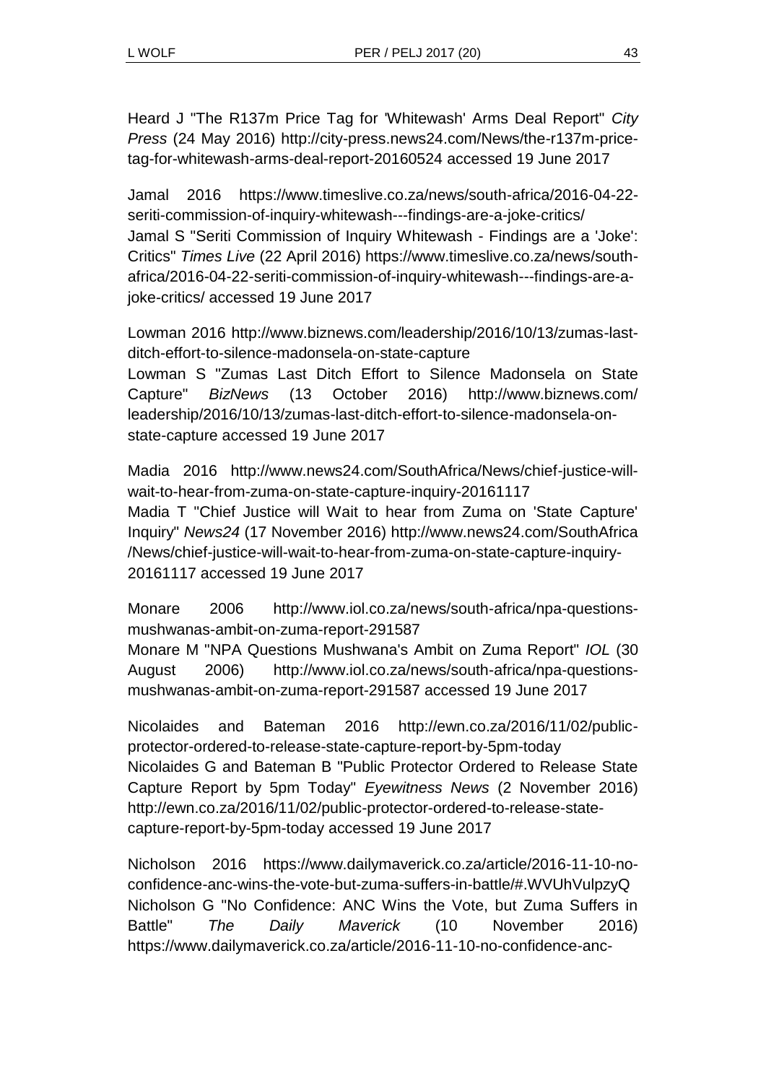Heard J "The R137m Price Tag for 'Whitewash' Arms Deal Report" *City Press* (24 May 2016) http://city-press.news24.com/News/the-r137m-pricetag-for-whitewash-arms-deal-report-20160524 accessed 19 June 2017

Jamal 2016 https://www.timeslive.co.za/news/south-africa/2016-04-22 seriti-commission-of-inquiry-whitewash---findings-are-a-joke-critics/ Jamal S "Seriti Commission of Inquiry Whitewash - Findings are a 'Joke': Critics" *Times Live* (22 April 2016) https://www.timeslive.co.za/news/southafrica/2016-04-22-seriti-commission-of-inquiry-whitewash---findings-are-ajoke-critics/ accessed 19 June 2017

Lowman 2016 http://www.biznews.com/leadership/2016/10/13/zumas-lastditch-effort-to-silence-madonsela-on-state-capture Lowman S "Zumas Last Ditch Effort to Silence Madonsela on State Capture" *BizNews* (13 October 2016) http://www.biznews.com/ leadership/2016/10/13/zumas-last-ditch-effort-to-silence-madonsela-onstate-capture accessed 19 June 2017

Madia 2016 http://www.news24.com/SouthAfrica/News/chief-justice-willwait-to-hear-from-zuma-on-state-capture-inquiry-20161117 Madia T "Chief Justice will Wait to hear from Zuma on 'State Capture' Inquiry" *News24* (17 November 2016) http://www.news24.com/SouthAfrica /News/chief-justice-will-wait-to-hear-from-zuma-on-state-capture-inquiry-20161117 accessed 19 June 2017

Monare 2006 http://www.iol.co.za/news/south-africa/npa-questionsmushwanas-ambit-on-zuma-report-291587

Monare M "NPA Questions Mushwana's Ambit on Zuma Report" *IOL* (30 August 2006) http://www.iol.co.za/news/south-africa/npa-questionsmushwanas-ambit-on-zuma-report-291587 accessed 19 June 2017

Nicolaides and Bateman 2016 http://ewn.co.za/2016/11/02/publicprotector-ordered-to-release-state-capture-report-by-5pm-today Nicolaides G and Bateman B "Public Protector Ordered to Release State Capture Report by 5pm Today" *Eyewitness News* (2 November 2016) http://ewn.co.za/2016/11/02/public-protector-ordered-to-release-statecapture-report-by-5pm-today accessed 19 June 2017

Nicholson 2016 https://www.dailymaverick.co.za/article/2016-11-10-noconfidence-anc-wins-the-vote-but-zuma-suffers-in-battle/#.WVUhVulpzyQ Nicholson G "No Confidence: ANC Wins the Vote, but Zuma Suffers in Battle" *The Daily Maverick* (10 November 2016) https://www.dailymaverick.co.za/article/2016-11-10-no-confidence-anc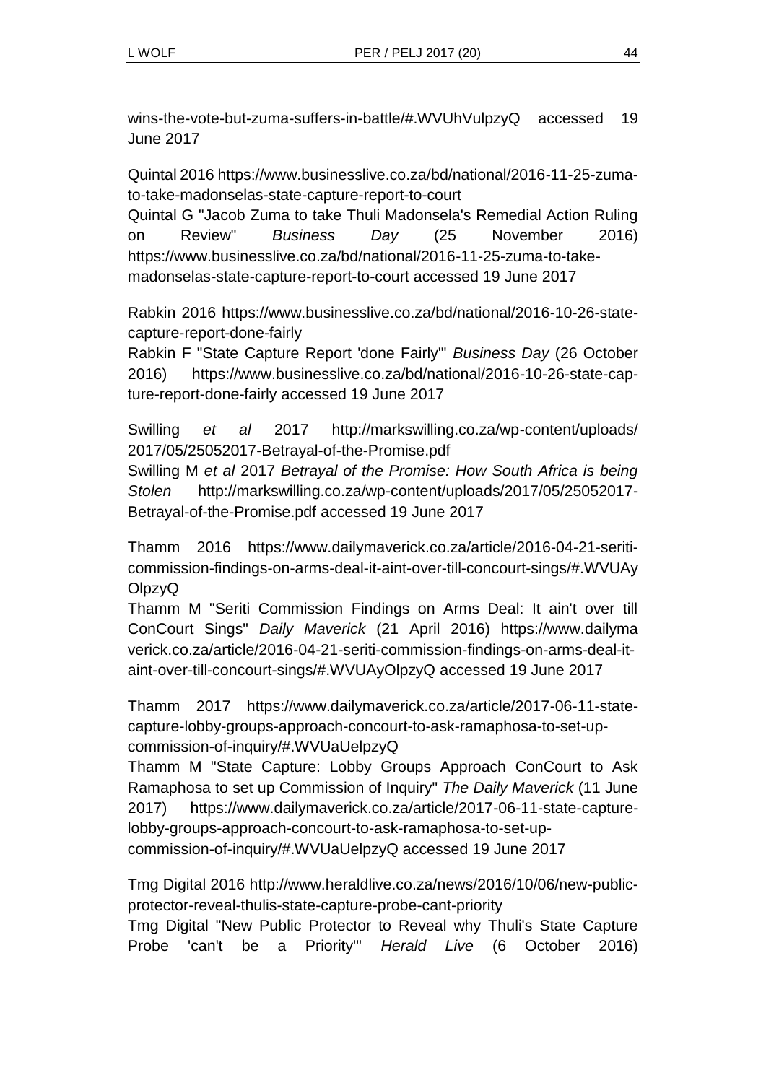wins-the-vote-but-zuma-suffers-in-battle/#.WVUhVulpzyQ accessed 19 June 2017

Quintal 2016 https://www.businesslive.co.za/bd/national/2016-11-25-zumato-take-madonselas-state-capture-report-to-court

Quintal G "Jacob Zuma to take Thuli Madonsela's Remedial Action Ruling on Review" *Business Day* (25 November 2016) https://www.businesslive.co.za/bd/national/2016-11-25-zuma-to-takemadonselas-state-capture-report-to-court accessed 19 June 2017

Rabkin 2016 https://www.businesslive.co.za/bd/national/2016-10-26-statecapture-report-done-fairly

Rabkin F "State Capture Report 'done Fairly'" *Business Day* (26 October 2016) https://www.businesslive.co.za/bd/national/2016-10-26-state-capture-report-done-fairly accessed 19 June 2017

Swilling *et al* 2017 http://markswilling.co.za/wp-content/uploads/ 2017/05/25052017-Betrayal-of-the-Promise.pdf

Swilling M *et al* 2017 *Betrayal of the Promise: How South Africa is being Stolen* http://markswilling.co.za/wp-content/uploads/2017/05/25052017- Betrayal-of-the-Promise.pdf accessed 19 June 2017

Thamm 2016 https://www.dailymaverick.co.za/article/2016-04-21-seriticommission-findings-on-arms-deal-it-aint-over-till-concourt-sings/#.WVUAy OlpzyQ

Thamm M "Seriti Commission Findings on Arms Deal: It ain't over till ConCourt Sings" *Daily Maverick* (21 April 2016) https://www.dailyma verick.co.za/article/2016-04-21-seriti-commission-findings-on-arms-deal-itaint-over-till-concourt-sings/#.WVUAyOlpzyQ accessed 19 June 2017

Thamm 2017 https://www.dailymaverick.co.za/article/2017-06-11-statecapture-lobby-groups-approach-concourt-to-ask-ramaphosa-to-set-upcommission-of-inquiry/#.WVUaUelpzyQ

Thamm M "State Capture: Lobby Groups Approach ConCourt to Ask Ramaphosa to set up Commission of Inquiry" *The Daily Maverick* (11 June 2017) https://www.dailymaverick.co.za/article/2017-06-11-state-capturelobby-groups-approach-concourt-to-ask-ramaphosa-to-set-upcommission-of-inquiry/#.WVUaUelpzyQ accessed 19 June 2017

Tmg Digital 2016 http://www.heraldlive.co.za/news/2016/10/06/new-publicprotector-reveal-thulis-state-capture-probe-cant-priority

Tmg Digital "New Public Protector to Reveal why Thuli's State Capture Probe 'can't be a Priority'" *Herald Live* (6 October 2016)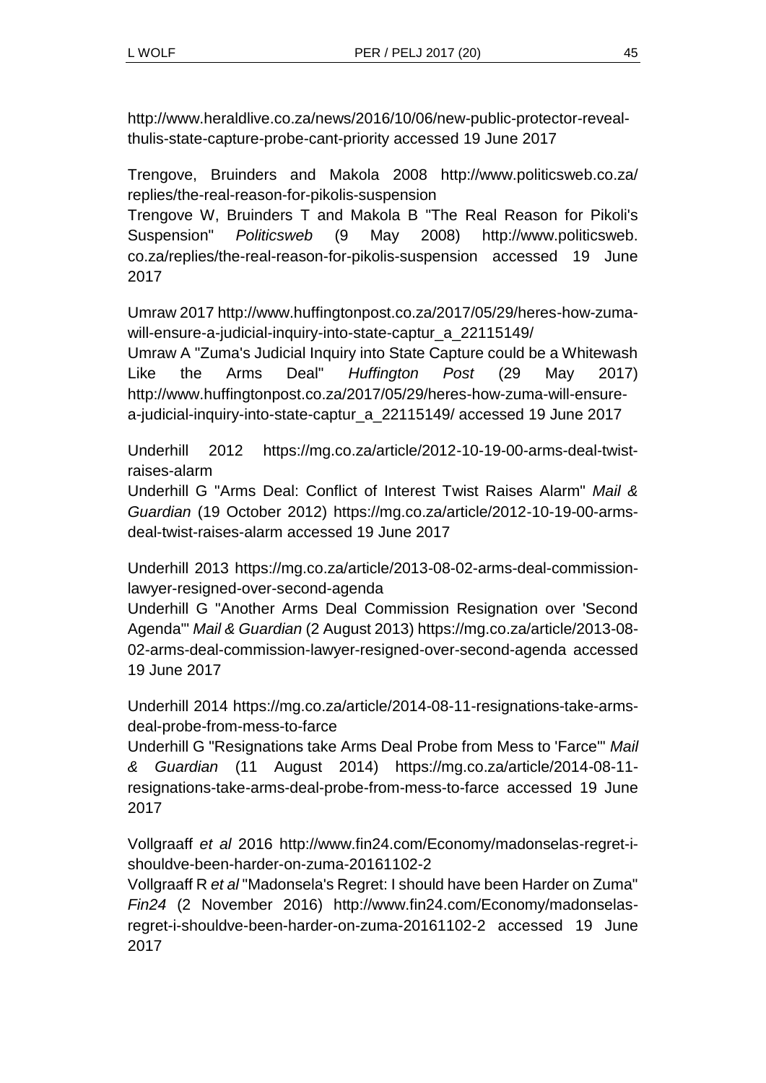http://www.heraldlive.co.za/news/2016/10/06/new-public-protector-revealthulis-state-capture-probe-cant-priority accessed 19 June 2017

Trengove, Bruinders and Makola 2008 http://www.politicsweb.co.za/ replies/the-real-reason-for-pikolis-suspension

Trengove W, Bruinders T and Makola B "The Real Reason for Pikoli's Suspension" *Politicsweb* (9 May 2008) http://www.politicsweb. co.za/replies/the-real-reason-for-pikolis-suspension accessed 19 June 2017

Umraw 2017 http://www.huffingtonpost.co.za/2017/05/29/heres-how-zumawill-ensure-a-judicial-inquiry-into-state-captur\_a\_22115149/

Umraw A "Zuma's Judicial Inquiry into State Capture could be a Whitewash Like the Arms Deal" *Huffington Post* (29 May 2017) http://www.huffingtonpost.co.za/2017/05/29/heres-how-zuma-will-ensurea-judicial-inquiry-into-state-captur\_a\_22115149/ accessed 19 June 2017

Underhill 2012 https://mg.co.za/article/2012-10-19-00-arms-deal-twistraises-alarm

Underhill G "Arms Deal: Conflict of Interest Twist Raises Alarm" *Mail & Guardian* (19 October 2012) https://mg.co.za/article/2012-10-19-00-armsdeal-twist-raises-alarm accessed 19 June 2017

Underhill 2013 https://mg.co.za/article/2013-08-02-arms-deal-commissionlawyer-resigned-over-second-agenda

Underhill G "Another Arms Deal Commission Resignation over 'Second Agenda'" *Mail & Guardian* (2 August 2013) https://mg.co.za/article/2013-08- 02-arms-deal-commission-lawyer-resigned-over-second-agenda accessed 19 June 2017

Underhill 2014 https://mg.co.za/article/2014-08-11-resignations-take-armsdeal-probe-from-mess-to-farce

Underhill G "Resignations take Arms Deal Probe from Mess to 'Farce'" *Mail & Guardian* (11 August 2014) https://mg.co.za/article/2014-08-11 resignations-take-arms-deal-probe-from-mess-to-farce accessed 19 June 2017

Vollgraaff *et al* 2016 http://www.fin24.com/Economy/madonselas-regret-ishouldve-been-harder-on-zuma-20161102-2

Vollgraaff R *et al* "Madonsela's Regret: I should have been Harder on Zuma" *Fin24* (2 November 2016) http://www.fin24.com/Economy/madonselasregret-i-shouldve-been-harder-on-zuma-20161102-2 accessed 19 June 2017